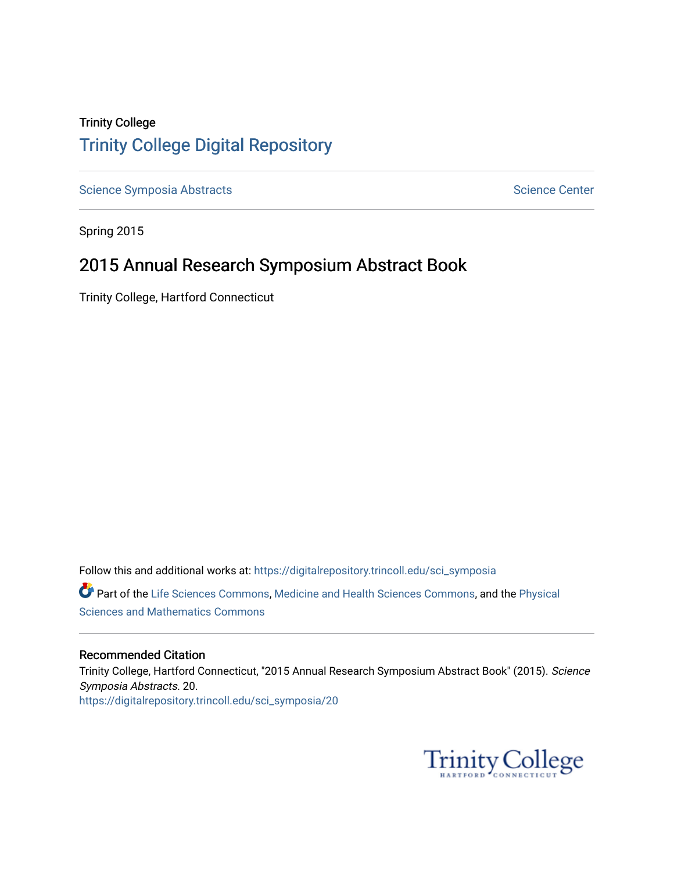### Trinity College [Trinity College Digital Repository](https://digitalrepository.trincoll.edu/)

[Science Symposia Abstracts](https://digitalrepository.trincoll.edu/sci_symposia) **Science Center** Science Center

Spring 2015

### 2015 Annual Research Symposium Abstract Book

Trinity College, Hartford Connecticut

Follow this and additional works at: [https://digitalrepository.trincoll.edu/sci\\_symposia](https://digitalrepository.trincoll.edu/sci_symposia?utm_source=digitalrepository.trincoll.edu%2Fsci_symposia%2F20&utm_medium=PDF&utm_campaign=PDFCoverPages)  Part of the [Life Sciences Commons,](http://network.bepress.com/hgg/discipline/1016?utm_source=digitalrepository.trincoll.edu%2Fsci_symposia%2F20&utm_medium=PDF&utm_campaign=PDFCoverPages) [Medicine and Health Sciences Commons,](http://network.bepress.com/hgg/discipline/648?utm_source=digitalrepository.trincoll.edu%2Fsci_symposia%2F20&utm_medium=PDF&utm_campaign=PDFCoverPages) and the Physical [Sciences and Mathematics Commons](http://network.bepress.com/hgg/discipline/114?utm_source=digitalrepository.trincoll.edu%2Fsci_symposia%2F20&utm_medium=PDF&utm_campaign=PDFCoverPages) 

#### Recommended Citation

Trinity College, Hartford Connecticut, "2015 Annual Research Symposium Abstract Book" (2015). Science Symposia Abstracts. 20. [https://digitalrepository.trincoll.edu/sci\\_symposia/20](https://digitalrepository.trincoll.edu/sci_symposia/20?utm_source=digitalrepository.trincoll.edu%2Fsci_symposia%2F20&utm_medium=PDF&utm_campaign=PDFCoverPages) 

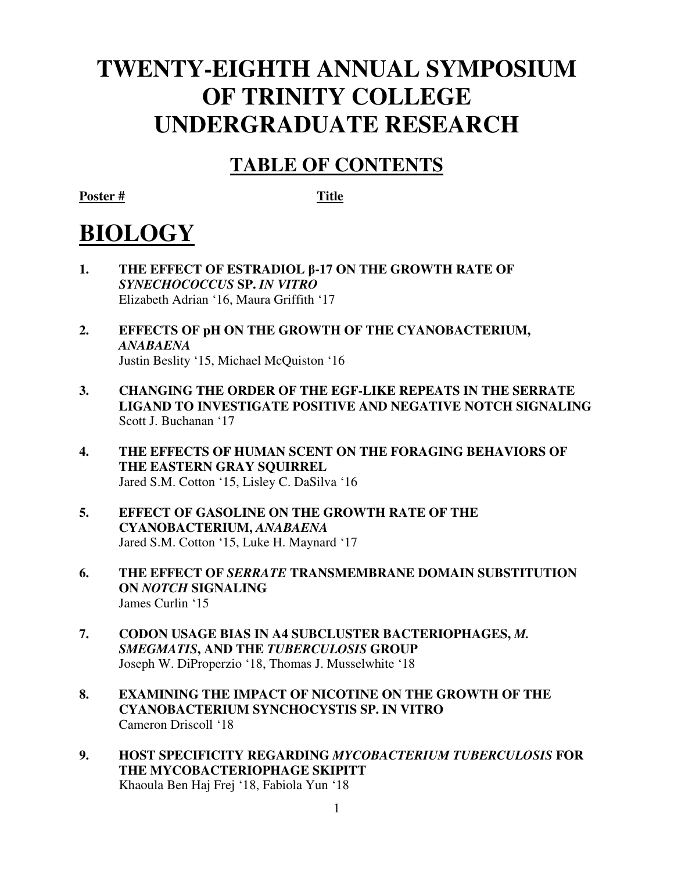# **TWENTY-EIGHTH ANNUAL SYMPOSIUM OF TRINITY COLLEGE UNDERGRADUATE RESEARCH**

### **TABLE OF CONTENTS**

Poster # Title

# **BIOLOGY**

- **1. THE EFFECT OF ESTRADIOL** β**-17 ON THE GROWTH RATE OF**  *SYNECHOCOCCUS* **SP.** *IN VITRO*  Elizabeth Adrian '16, Maura Griffith '17
- **2. EFFECTS OF pH ON THE GROWTH OF THE CYANOBACTERIUM,**  *ANABAENA*  Justin Beslity '15, Michael McQuiston '16
- **3. CHANGING THE ORDER OF THE EGF-LIKE REPEATS IN THE SERRATE LIGAND TO INVESTIGATE POSITIVE AND NEGATIVE NOTCH SIGNALING**  Scott J. Buchanan '17
- **4. THE EFFECTS OF HUMAN SCENT ON THE FORAGING BEHAVIORS OF THE EASTERN GRAY SQUIRREL**  Jared S.M. Cotton '15, Lisley C. DaSilva '16
- **5. EFFECT OF GASOLINE ON THE GROWTH RATE OF THE CYANOBACTERIUM,** *ANABAENA* Jared S.M. Cotton '15, Luke H. Maynard '17
- **6. THE EFFECT OF** *SERRATE* **TRANSMEMBRANE DOMAIN SUBSTITUTION ON** *NOTCH* **SIGNALING**  James Curlin '15
- **7. CODON USAGE BIAS IN A4 SUBCLUSTER BACTERIOPHAGES,** *M. SMEGMATIS***, AND THE** *TUBERCULOSIS* **GROUP**  Joseph W. DiProperzio '18, Thomas J. Musselwhite '18
- **8. EXAMINING THE IMPACT OF NICOTINE ON THE GROWTH OF THE CYANOBACTERIUM SYNCHOCYSTIS SP. IN VITRO** Cameron Driscoll '18
- **9. HOST SPECIFICITY REGARDING** *MYCOBACTERIUM TUBERCULOSIS* **FOR THE MYCOBACTERIOPHAGE SKIPITT** Khaoula Ben Haj Frej '18, Fabiola Yun '18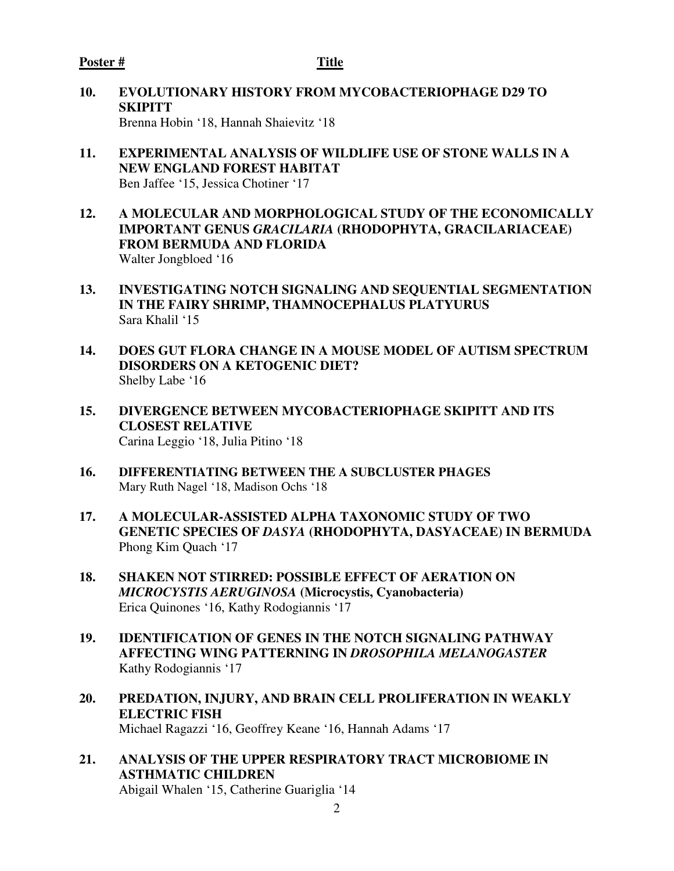- **10. EVOLUTIONARY HISTORY FROM MYCOBACTERIOPHAGE D29 TO SKIPITT**  Brenna Hobin '18, Hannah Shaievitz '18
- **11. EXPERIMENTAL ANALYSIS OF WILDLIFE USE OF STONE WALLS IN A NEW ENGLAND FOREST HABITAT**  Ben Jaffee '15, Jessica Chotiner '17
- **12. A MOLECULAR AND MORPHOLOGICAL STUDY OF THE ECONOMICALLY IMPORTANT GENUS** *GRACILARIA* **(RHODOPHYTA, GRACILARIACEAE) FROM BERMUDA AND FLORIDA**  Walter Jongbloed '16
- **13. INVESTIGATING NOTCH SIGNALING AND SEQUENTIAL SEGMENTATION IN THE FAIRY SHRIMP, THAMNOCEPHALUS PLATYURUS**  Sara Khalil '15
- **14. DOES GUT FLORA CHANGE IN A MOUSE MODEL OF AUTISM SPECTRUM DISORDERS ON A KETOGENIC DIET?** Shelby Labe '16
- **15. DIVERGENCE BETWEEN MYCOBACTERIOPHAGE SKIPITT AND ITS CLOSEST RELATIVE**  Carina Leggio '18, Julia Pitino '18
- **16. DIFFERENTIATING BETWEEN THE A SUBCLUSTER PHAGES**  Mary Ruth Nagel '18, Madison Ochs '18
- **17. A MOLECULAR-ASSISTED ALPHA TAXONOMIC STUDY OF TWO GENETIC SPECIES OF** *DASYA* **(RHODOPHYTA, DASYACEAE) IN BERMUDA**  Phong Kim Quach '17
- **18. SHAKEN NOT STIRRED: POSSIBLE EFFECT OF AERATION ON**  *MICROCYSTIS AERUGINOSA* **(Microcystis, Cyanobacteria)**  Erica Quinones '16, Kathy Rodogiannis '17
- **19. IDENTIFICATION OF GENES IN THE NOTCH SIGNALING PATHWAY AFFECTING WING PATTERNING IN** *DROSOPHILA MELANOGASTER*  Kathy Rodogiannis '17
- **20. PREDATION, INJURY, AND BRAIN CELL PROLIFERATION IN WEAKLY ELECTRIC FISH** Michael Ragazzi '16, Geoffrey Keane '16, Hannah Adams '17
- **21. ANALYSIS OF THE UPPER RESPIRATORY TRACT MICROBIOME IN ASTHMATIC CHILDREN**  Abigail Whalen '15, Catherine Guariglia '14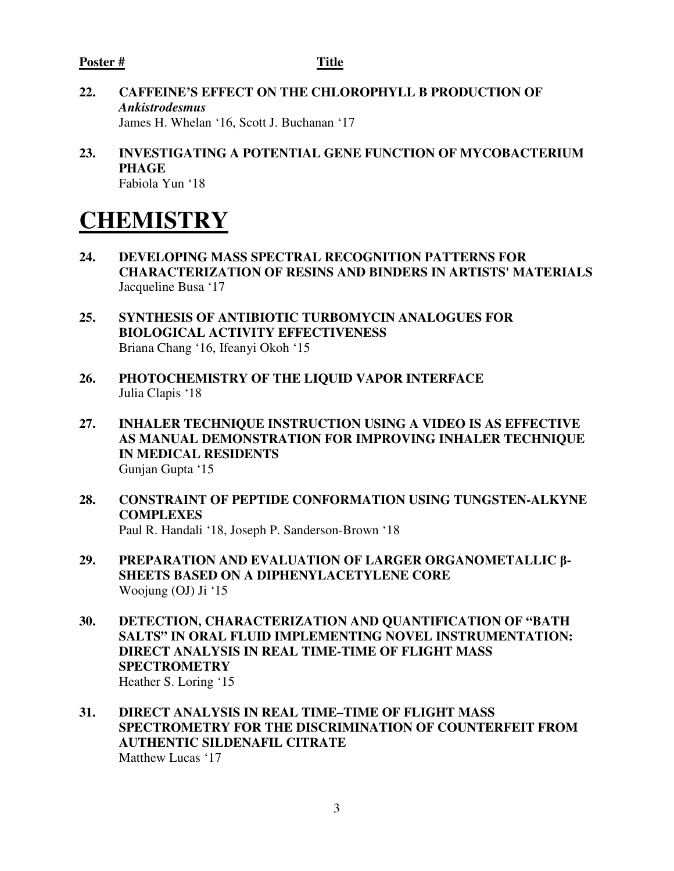- **22. CAFFEINE'S EFFECT ON THE CHLOROPHYLL B PRODUCTION OF**  *Ankistrodesmus* James H. Whelan '16, Scott J. Buchanan '17
- **23. INVESTIGATING A POTENTIAL GENE FUNCTION OF MYCOBACTERIUM PHAGE** Fabiola Yun '18

# **CHEMISTRY**

- **24. DEVELOPING MASS SPECTRAL RECOGNITION PATTERNS FOR CHARACTERIZATION OF RESINS AND BINDERS IN ARTISTS' MATERIALS**  Jacqueline Busa '17
- **25. SYNTHESIS OF ANTIBIOTIC TURBOMYCIN ANALOGUES FOR BIOLOGICAL ACTIVITY EFFECTIVENESS**  Briana Chang '16, Ifeanyi Okoh '15
- **26. PHOTOCHEMISTRY OF THE LIQUID VAPOR INTERFACE**  Julia Clapis '18
- **27. INHALER TECHNIQUE INSTRUCTION USING A VIDEO IS AS EFFECTIVE AS MANUAL DEMONSTRATION FOR IMPROVING INHALER TECHNIQUE IN MEDICAL RESIDENTS**  Gunjan Gupta '15
- **28. CONSTRAINT OF PEPTIDE CONFORMATION USING TUNGSTEN-ALKYNE COMPLEXES**  Paul R. Handali '18, Joseph P. Sanderson-Brown '18
- **29. PREPARATION AND EVALUATION OF LARGER ORGANOMETALLIC** β**-SHEETS BASED ON A DIPHENYLACETYLENE CORE**  Woojung (OJ) Ji '15
- **30. DETECTION, CHARACTERIZATION AND QUANTIFICATION OF "BATH SALTS" IN ORAL FLUID IMPLEMENTING NOVEL INSTRUMENTATION: DIRECT ANALYSIS IN REAL TIME-TIME OF FLIGHT MASS SPECTROMETRY**  Heather S. Loring '15
- **31. DIRECT ANALYSIS IN REAL TIME–TIME OF FLIGHT MASS SPECTROMETRY FOR THE DISCRIMINATION OF COUNTERFEIT FROM AUTHENTIC SILDENAFIL CITRATE**  Matthew Lucas '17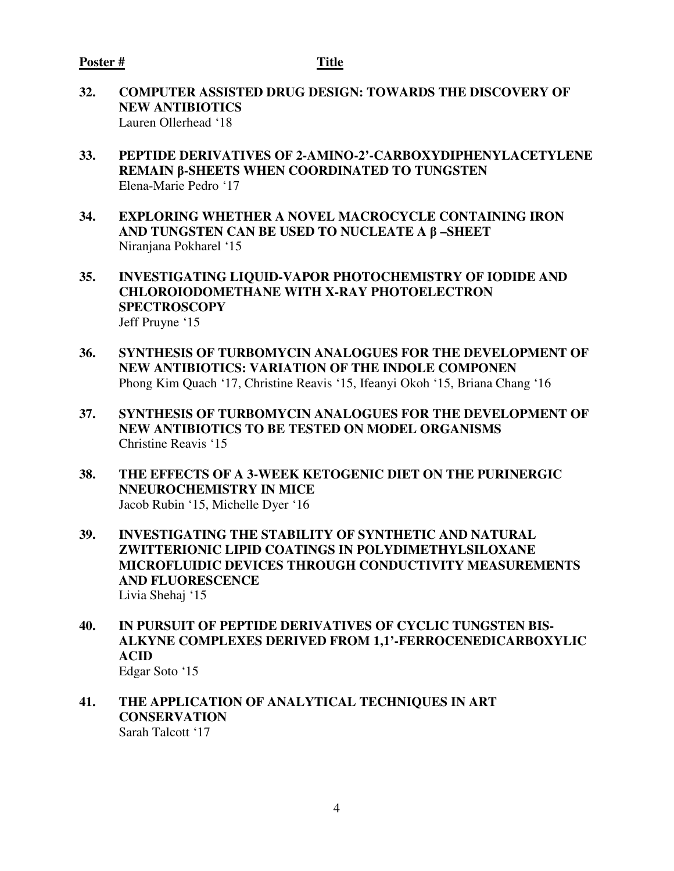- **32. COMPUTER ASSISTED DRUG DESIGN: TOWARDS THE DISCOVERY OF NEW ANTIBIOTICS**  Lauren Ollerhead '18
- **33. PEPTIDE DERIVATIVES OF 2-AMINO-2'-CARBOXYDIPHENYLACETYLENE REMAIN** β**-SHEETS WHEN COORDINATED TO TUNGSTEN**  Elena-Marie Pedro '17
- **34. EXPLORING WHETHER A NOVEL MACROCYCLE CONTAINING IRON AND TUNGSTEN CAN BE USED TO NUCLEATE A** β **–SHEET**  Niranjana Pokharel '15
- **35. INVESTIGATING LIQUID-VAPOR PHOTOCHEMISTRY OF IODIDE AND CHLOROIODOMETHANE WITH X-RAY PHOTOELECTRON SPECTROSCOPY**  Jeff Pruyne '15
- **36. SYNTHESIS OF TURBOMYCIN ANALOGUES FOR THE DEVELOPMENT OF NEW ANTIBIOTICS: VARIATION OF THE INDOLE COMPONEN**  Phong Kim Quach '17, Christine Reavis '15, Ifeanyi Okoh '15, Briana Chang '16
- **37. SYNTHESIS OF TURBOMYCIN ANALOGUES FOR THE DEVELOPMENT OF NEW ANTIBIOTICS TO BE TESTED ON MODEL ORGANISMS** Christine Reavis '15
- **38. THE EFFECTS OF A 3-WEEK KETOGENIC DIET ON THE PURINERGIC NNEUROCHEMISTRY IN MICE**  Jacob Rubin '15, Michelle Dyer '16
- **39. INVESTIGATING THE STABILITY OF SYNTHETIC AND NATURAL ZWITTERIONIC LIPID COATINGS IN POLYDIMETHYLSILOXANE MICROFLUIDIC DEVICES THROUGH CONDUCTIVITY MEASUREMENTS AND FLUORESCENCE**  Livia Shehaj '15
- **40. IN PURSUIT OF PEPTIDE DERIVATIVES OF CYCLIC TUNGSTEN BIS-ALKYNE COMPLEXES DERIVED FROM 1,1'-FERROCENEDICARBOXYLIC ACID**  Edgar Soto '15
- **41. THE APPLICATION OF ANALYTICAL TECHNIQUES IN ART CONSERVATION**  Sarah Talcott '17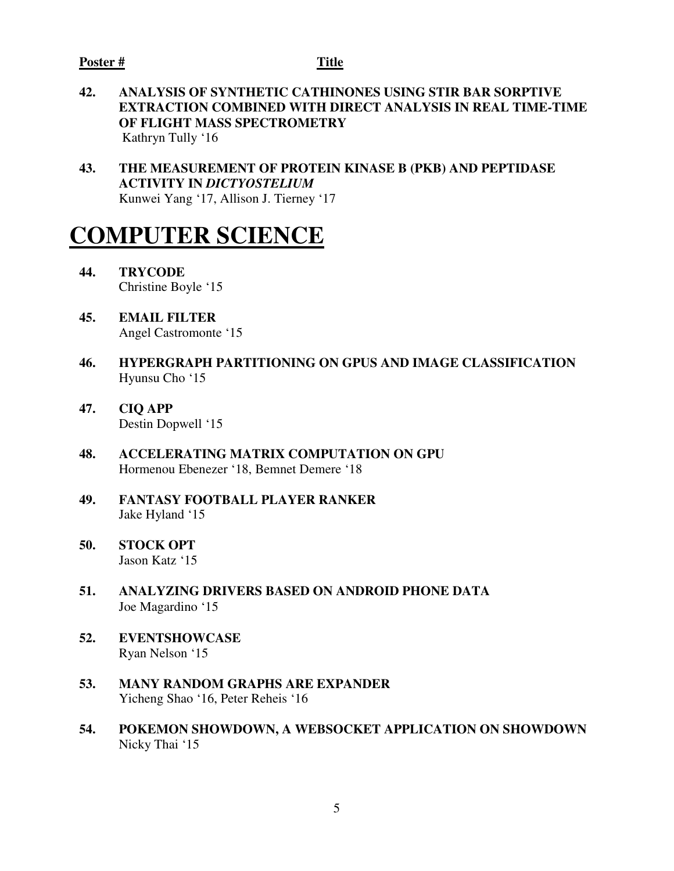- **42. ANALYSIS OF SYNTHETIC CATHINONES USING STIR BAR SORPTIVE EXTRACTION COMBINED WITH DIRECT ANALYSIS IN REAL TIME-TIME OF FLIGHT MASS SPECTROMETRY** Kathryn Tully '16
- **43. THE MEASUREMENT OF PROTEIN KINASE B (PKB) AND PEPTIDASE ACTIVITY IN** *DICTYOSTELIUM* Kunwei Yang '17, Allison J. Tierney '17

## **COMPUTER SCIENCE**

- **44. TRYCODE**  Christine Boyle '15
- **45. EMAIL FILTER** Angel Castromonte '15
- **46. HYPERGRAPH PARTITIONING ON GPUS AND IMAGE CLASSIFICATION** Hyunsu Cho '15
- **47. CIQ APP**  Destin Dopwell '15
- **48. ACCELERATING MATRIX COMPUTATION ON GPU**  Hormenou Ebenezer '18, Bemnet Demere '18
- **49. FANTASY FOOTBALL PLAYER RANKER**  Jake Hyland '15
- **50. STOCK OPT**  Jason Katz '15
- **51. ANALYZING DRIVERS BASED ON ANDROID PHONE DATA**  Joe Magardino '15
- **52. EVENTSHOWCASE**  Ryan Nelson '15
- **53. MANY RANDOM GRAPHS ARE EXPANDER**  Yicheng Shao '16, Peter Reheis '16
- **54. POKEMON SHOWDOWN, A WEBSOCKET APPLICATION ON SHOWDOWN**  Nicky Thai '15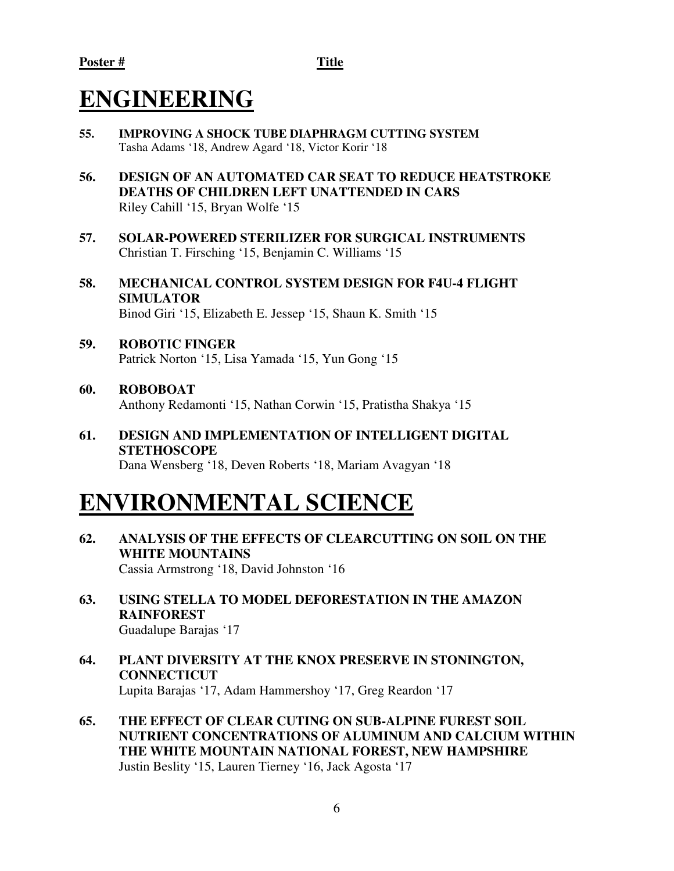# **ENGINEERING**

- **55. IMPROVING A SHOCK TUBE DIAPHRAGM CUTTING SYSTEM** Tasha Adams '18, Andrew Agard '18, Victor Korir '18
- **56. DESIGN OF AN AUTOMATED CAR SEAT TO REDUCE HEATSTROKE DEATHS OF CHILDREN LEFT UNATTENDED IN CARS**  Riley Cahill '15, Bryan Wolfe '15
- **57. SOLAR-POWERED STERILIZER FOR SURGICAL INSTRUMENTS** Christian T. Firsching '15, Benjamin C. Williams '15
- **58. MECHANICAL CONTROL SYSTEM DESIGN FOR F4U-4 FLIGHT SIMULATOR**  Binod Giri '15, Elizabeth E. Jessep '15, Shaun K. Smith '15
- **59. ROBOTIC FINGER**  Patrick Norton '15, Lisa Yamada '15, Yun Gong '15
- **60. ROBOBOAT**  Anthony Redamonti '15, Nathan Corwin '15, Pratistha Shakya '15
- **61. DESIGN AND IMPLEMENTATION OF INTELLIGENT DIGITAL STETHOSCOPE**  Dana Wensberg '18, Deven Roberts '18, Mariam Avagyan '18

## **ENVIRONMENTAL SCIENCE**

- **62. ANALYSIS OF THE EFFECTS OF CLEARCUTTING ON SOIL ON THE WHITE MOUNTAINS**  Cassia Armstrong '18, David Johnston '16
- **63. USING STELLA TO MODEL DEFORESTATION IN THE AMAZON RAINFOREST**  Guadalupe Barajas '17
- **64. PLANT DIVERSITY AT THE KNOX PRESERVE IN STONINGTON, CONNECTICUT** Lupita Barajas '17, Adam Hammershoy '17, Greg Reardon '17
- **65. THE EFFECT OF CLEAR CUTING ON SUB-ALPINE FUREST SOIL NUTRIENT CONCENTRATIONS OF ALUMINUM AND CALCIUM WITHIN THE WHITE MOUNTAIN NATIONAL FOREST, NEW HAMPSHIRE**  Justin Beslity '15, Lauren Tierney '16, Jack Agosta '17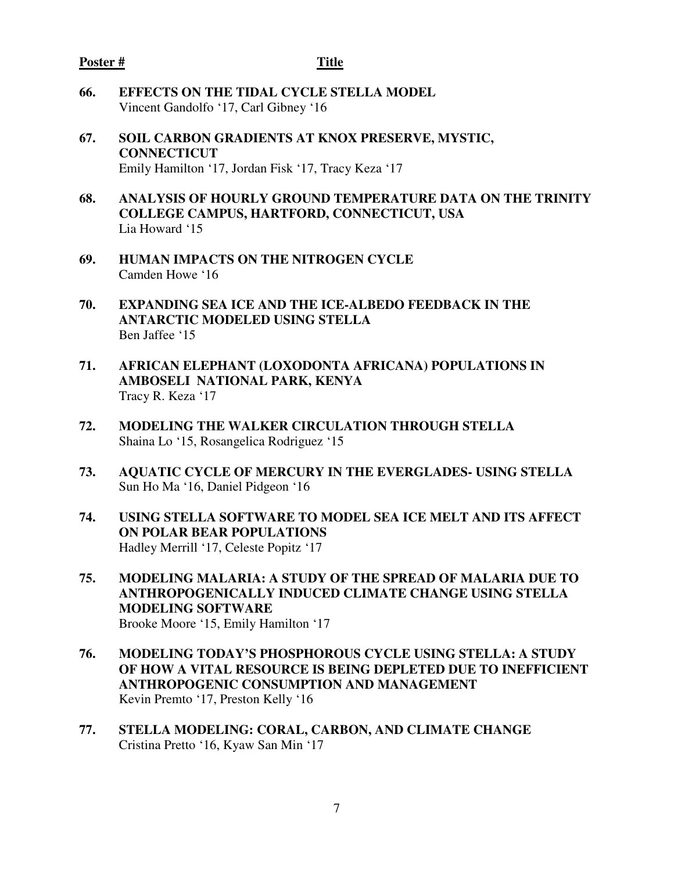#### Poster # Title

- **66. EFFECTS ON THE TIDAL CYCLE STELLA MODEL**  Vincent Gandolfo '17, Carl Gibney '16
- **67. SOIL CARBON GRADIENTS AT KNOX PRESERVE, MYSTIC, CONNECTICUT**  Emily Hamilton '17, Jordan Fisk '17, Tracy Keza '17
- **68. ANALYSIS OF HOURLY GROUND TEMPERATURE DATA ON THE TRINITY COLLEGE CAMPUS, HARTFORD, CONNECTICUT, USA**  Lia Howard '15
- **69. HUMAN IMPACTS ON THE NITROGEN CYCLE**  Camden Howe '16
- **70. EXPANDING SEA ICE AND THE ICE-ALBEDO FEEDBACK IN THE ANTARCTIC MODELED USING STELLA**  Ben Jaffee '15
- **71. AFRICAN ELEPHANT (LOXODONTA AFRICANA) POPULATIONS IN AMBOSELI NATIONAL PARK, KENYA** Tracy R. Keza '17
- **72. MODELING THE WALKER CIRCULATION THROUGH STELLA** Shaina Lo '15, Rosangelica Rodriguez '15
- **73. AQUATIC CYCLE OF MERCURY IN THE EVERGLADES- USING STELLA**  Sun Ho Ma '16, Daniel Pidgeon '16
- **74. USING STELLA SOFTWARE TO MODEL SEA ICE MELT AND ITS AFFECT ON POLAR BEAR POPULATIONS**  Hadley Merrill '17, Celeste Popitz '17
- **75. MODELING MALARIA: A STUDY OF THE SPREAD OF MALARIA DUE TO ANTHROPOGENICALLY INDUCED CLIMATE CHANGE USING STELLA MODELING SOFTWARE**  Brooke Moore '15, Emily Hamilton '17
- **76. MODELING TODAY'S PHOSPHOROUS CYCLE USING STELLA: A STUDY OF HOW A VITAL RESOURCE IS BEING DEPLETED DUE TO INEFFICIENT ANTHROPOGENIC CONSUMPTION AND MANAGEMENT**  Kevin Premto '17, Preston Kelly '16
- **77. STELLA MODELING: CORAL, CARBON, AND CLIMATE CHANGE**  Cristina Pretto '16, Kyaw San Min '17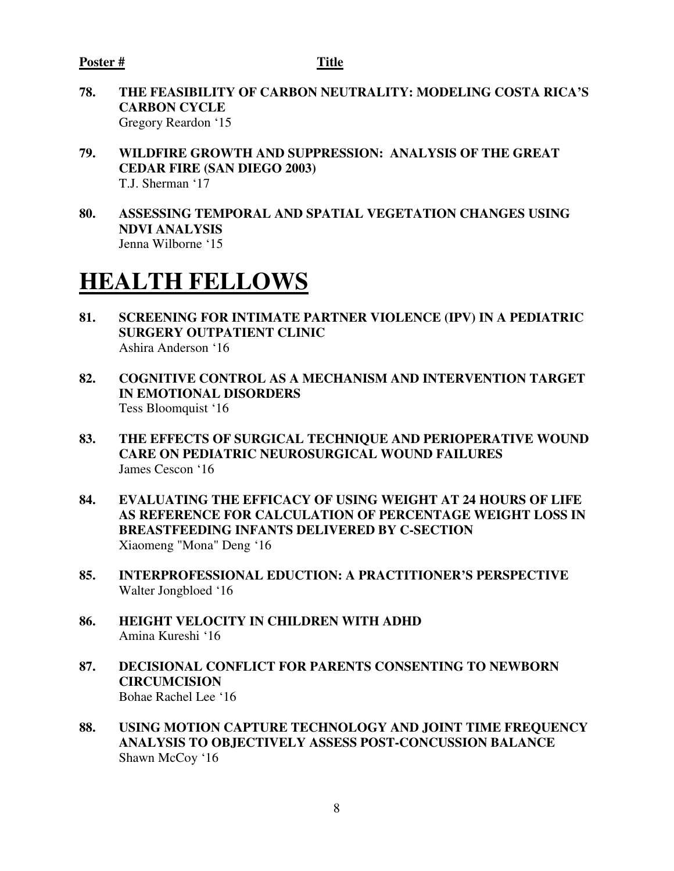- **78. THE FEASIBILITY OF CARBON NEUTRALITY: MODELING COSTA RICA'S CARBON CYCLE**  Gregory Reardon '15
- **79. WILDFIRE GROWTH AND SUPPRESSION: ANALYSIS OF THE GREAT CEDAR FIRE (SAN DIEGO 2003)**  T.J. Sherman '17
- **80. ASSESSING TEMPORAL AND SPATIAL VEGETATION CHANGES USING NDVI ANALYSIS**  Jenna Wilborne '15

# **HEALTH FELLOWS**

- **81. SCREENING FOR INTIMATE PARTNER VIOLENCE (IPV) IN A PEDIATRIC SURGERY OUTPATIENT CLINIC**  Ashira Anderson '16
- **82. COGNITIVE CONTROL AS A MECHANISM AND INTERVENTION TARGET IN EMOTIONAL DISORDERS**  Tess Bloomquist '16
- **83. THE EFFECTS OF SURGICAL TECHNIQUE AND PERIOPERATIVE WOUND CARE ON PEDIATRIC NEUROSURGICAL WOUND FAILURES**  James Cescon '16
- **84. EVALUATING THE EFFICACY OF USING WEIGHT AT 24 HOURS OF LIFE AS REFERENCE FOR CALCULATION OF PERCENTAGE WEIGHT LOSS IN BREASTFEEDING INFANTS DELIVERED BY C-SECTION** Xiaomeng "Mona" Deng '16
- **85. INTERPROFESSIONAL EDUCTION: A PRACTITIONER'S PERSPECTIVE**  Walter Jongbloed '16
- **86. HEIGHT VELOCITY IN CHILDREN WITH ADHD**  Amina Kureshi '16
- **87. DECISIONAL CONFLICT FOR PARENTS CONSENTING TO NEWBORN CIRCUMCISION**  Bohae Rachel Lee '16
- **88. USING MOTION CAPTURE TECHNOLOGY AND JOINT TIME FREQUENCY ANALYSIS TO OBJECTIVELY ASSESS POST-CONCUSSION BALANCE**  Shawn McCoy '16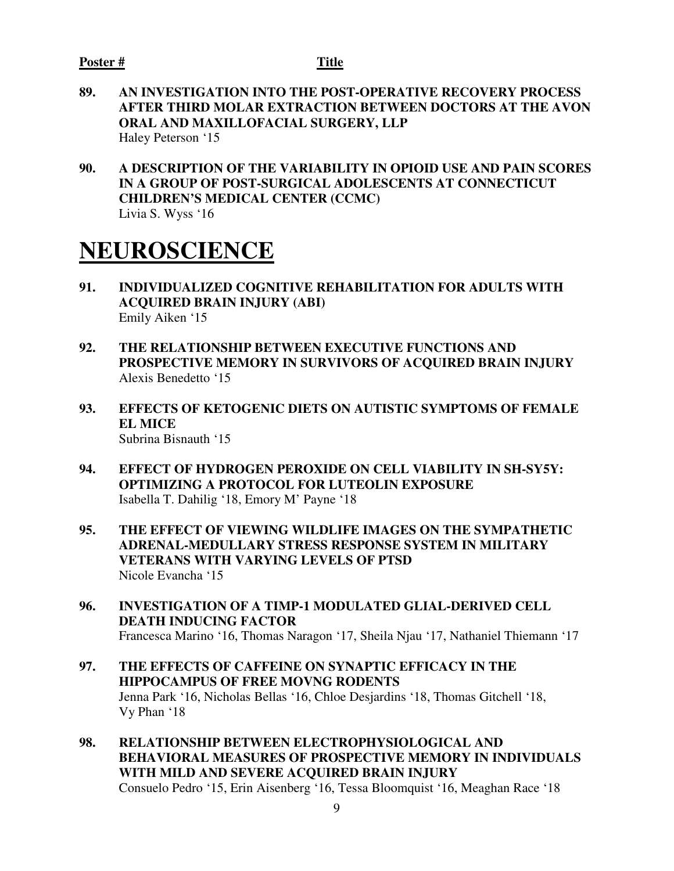#### Poster # Title

- **89. AN INVESTIGATION INTO THE POST-OPERATIVE RECOVERY PROCESS AFTER THIRD MOLAR EXTRACTION BETWEEN DOCTORS AT THE AVON ORAL AND MAXILLOFACIAL SURGERY, LLP**  Haley Peterson '15
- **90. A DESCRIPTION OF THE VARIABILITY IN OPIOID USE AND PAIN SCORES IN A GROUP OF POST-SURGICAL ADOLESCENTS AT CONNECTICUT CHILDREN'S MEDICAL CENTER (CCMC)**  Livia S. Wyss '16

## **NEUROSCIENCE**

- **91. INDIVIDUALIZED COGNITIVE REHABILITATION FOR ADULTS WITH ACQUIRED BRAIN INJURY (ABI)**  Emily Aiken '15
- **92. THE RELATIONSHIP BETWEEN EXECUTIVE FUNCTIONS AND PROSPECTIVE MEMORY IN SURVIVORS OF ACQUIRED BRAIN INJURY**  Alexis Benedetto '15
- **93. EFFECTS OF KETOGENIC DIETS ON AUTISTIC SYMPTOMS OF FEMALE EL MICE**  Subrina Bisnauth '15
- **94. EFFECT OF HYDROGEN PEROXIDE ON CELL VIABILITY IN SH-SY5Y: OPTIMIZING A PROTOCOL FOR LUTEOLIN EXPOSURE**  Isabella T. Dahilig '18, Emory M' Payne '18
- **95. THE EFFECT OF VIEWING WILDLIFE IMAGES ON THE SYMPATHETIC ADRENAL-MEDULLARY STRESS RESPONSE SYSTEM IN MILITARY VETERANS WITH VARYING LEVELS OF PTSD**  Nicole Evancha '15
- **96. INVESTIGATION OF A TIMP-1 MODULATED GLIAL-DERIVED CELL DEATH INDUCING FACTOR**  Francesca Marino '16, Thomas Naragon '17, Sheila Njau '17, Nathaniel Thiemann '17
- **97. THE EFFECTS OF CAFFEINE ON SYNAPTIC EFFICACY IN THE HIPPOCAMPUS OF FREE MOVNG RODENTS**  Jenna Park '16, Nicholas Bellas '16, Chloe Desjardins '18, Thomas Gitchell '18, Vy Phan '18
- **98. RELATIONSHIP BETWEEN ELECTROPHYSIOLOGICAL AND BEHAVIORAL MEASURES OF PROSPECTIVE MEMORY IN INDIVIDUALS WITH MILD AND SEVERE ACQUIRED BRAIN INJURY**  Consuelo Pedro '15, Erin Aisenberg '16, Tessa Bloomquist '16, Meaghan Race '18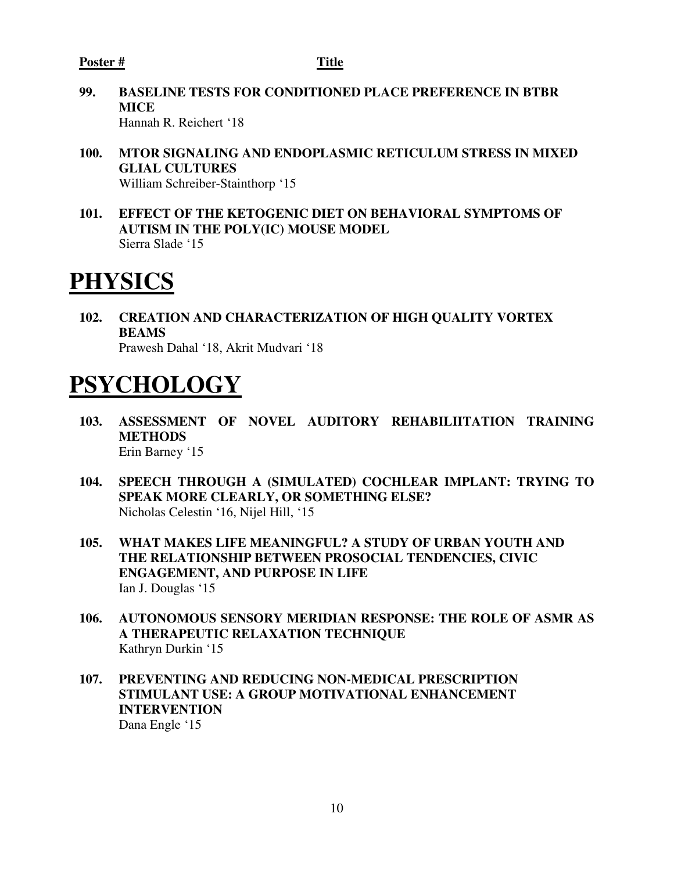- **99. BASELINE TESTS FOR CONDITIONED PLACE PREFERENCE IN BTBR MICE**  Hannah R. Reichert '18
- **100. MTOR SIGNALING AND ENDOPLASMIC RETICULUM STRESS IN MIXED GLIAL CULTURES**  William Schreiber-Stainthorp '15
- **101. EFFECT OF THE KETOGENIC DIET ON BEHAVIORAL SYMPTOMS OF AUTISM IN THE POLY(IC) MOUSE MODEL**  Sierra Slade '15

# **PHYSICS**

**102. CREATION AND CHARACTERIZATION OF HIGH QUALITY VORTEX BEAMS**  Prawesh Dahal '18, Akrit Mudvari '18

# **PSYCHOLOGY**

- **103. ASSESSMENT OF NOVEL AUDITORY REHABILIITATION TRAINING METHODS**  Erin Barney '15
- **104. SPEECH THROUGH A (SIMULATED) COCHLEAR IMPLANT: TRYING TO SPEAK MORE CLEARLY, OR SOMETHING ELSE?**  Nicholas Celestin '16, Nijel Hill, '15
- **105. WHAT MAKES LIFE MEANINGFUL? A STUDY OF URBAN YOUTH AND THE RELATIONSHIP BETWEEN PROSOCIAL TENDENCIES, CIVIC ENGAGEMENT, AND PURPOSE IN LIFE**  Ian J. Douglas '15
- **106. AUTONOMOUS SENSORY MERIDIAN RESPONSE: THE ROLE OF ASMR AS A THERAPEUTIC RELAXATION TECHNIQUE**  Kathryn Durkin '15
- **107. PREVENTING AND REDUCING NON-MEDICAL PRESCRIPTION STIMULANT USE: A GROUP MOTIVATIONAL ENHANCEMENT INTERVENTION**  Dana Engle '15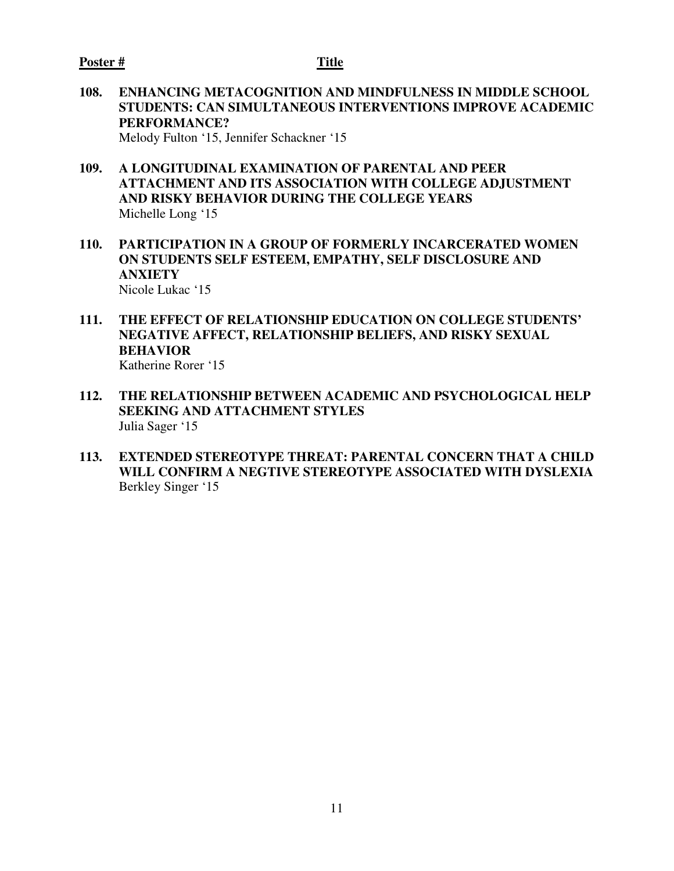**108. ENHANCING METACOGNITION AND MINDFULNESS IN MIDDLE SCHOOL STUDENTS: CAN SIMULTANEOUS INTERVENTIONS IMPROVE ACADEMIC PERFORMANCE?** 

Melody Fulton '15, Jennifer Schackner '15

- **109. A LONGITUDINAL EXAMINATION OF PARENTAL AND PEER ATTACHMENT AND ITS ASSOCIATION WITH COLLEGE ADJUSTMENT AND RISKY BEHAVIOR DURING THE COLLEGE YEARS**  Michelle Long '15
- **110. PARTICIPATION IN A GROUP OF FORMERLY INCARCERATED WOMEN ON STUDENTS SELF ESTEEM, EMPATHY, SELF DISCLOSURE AND ANXIETY**  Nicole Lukac '15
- **111. THE EFFECT OF RELATIONSHIP EDUCATION ON COLLEGE STUDENTS' NEGATIVE AFFECT, RELATIONSHIP BELIEFS, AND RISKY SEXUAL BEHAVIOR**  Katherine Rorer '15
- **112. THE RELATIONSHIP BETWEEN ACADEMIC AND PSYCHOLOGICAL HELP SEEKING AND ATTACHMENT STYLES**  Julia Sager '15
- **113. EXTENDED STEREOTYPE THREAT: PARENTAL CONCERN THAT A CHILD WILL CONFIRM A NEGTIVE STEREOTYPE ASSOCIATED WITH DYSLEXIA**  Berkley Singer '15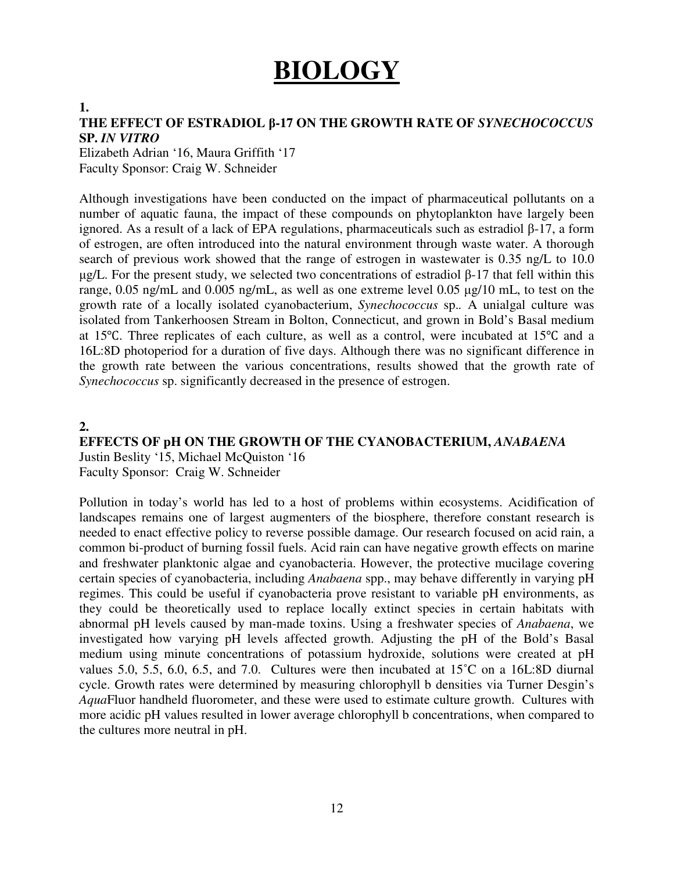# **BIOLOGY**

#### **1.**

#### **THE EFFECT OF ESTRADIOL** β**-17 ON THE GROWTH RATE OF** *SYNECHOCOCCUS*  **SP.** *IN VITRO*

Elizabeth Adrian '16, Maura Griffith '17 Faculty Sponsor: Craig W. Schneider

Although investigations have been conducted on the impact of pharmaceutical pollutants on a number of aquatic fauna, the impact of these compounds on phytoplankton have largely been ignored. As a result of a lack of EPA regulations, pharmaceuticals such as estradiol β-17, a form of estrogen, are often introduced into the natural environment through waste water. A thorough search of previous work showed that the range of estrogen in wastewater is 0.35 ng/L to 10.0  $μg/L$ . For the present study, we selected two concentrations of estradiol β-17 that fell within this range, 0.05 ng/mL and 0.005 ng/mL, as well as one extreme level 0.05 µg/10 mL, to test on the growth rate of a locally isolated cyanobacterium, *Synechococcus* sp.*.* A unialgal culture was isolated from Tankerhoosen Stream in Bolton, Connecticut, and grown in Bold's Basal medium at 15℃. Three replicates of each culture, as well as a control, were incubated at 15℃ and a 16L:8D photoperiod for a duration of five days. Although there was no significant difference in the growth rate between the various concentrations, results showed that the growth rate of *Synechococcus* sp. significantly decreased in the presence of estrogen.

#### **2.**

#### **EFFECTS OF pH ON THE GROWTH OF THE CYANOBACTERIUM,** *ANABAENA*

Justin Beslity '15, Michael McQuiston '16 Faculty Sponsor: Craig W. Schneider

Pollution in today's world has led to a host of problems within ecosystems. Acidification of landscapes remains one of largest augmenters of the biosphere, therefore constant research is needed to enact effective policy to reverse possible damage. Our research focused on acid rain, a common bi-product of burning fossil fuels. Acid rain can have negative growth effects on marine and freshwater planktonic algae and cyanobacteria. However, the protective mucilage covering certain species of cyanobacteria, including *Anabaena* spp., may behave differently in varying pH regimes. This could be useful if cyanobacteria prove resistant to variable pH environments, as they could be theoretically used to replace locally extinct species in certain habitats with abnormal pH levels caused by man-made toxins. Using a freshwater species of *Anabaena*, we investigated how varying pH levels affected growth. Adjusting the pH of the Bold's Basal medium using minute concentrations of potassium hydroxide, solutions were created at pH values 5.0, 5.5, 6.0, 6.5, and 7.0. Cultures were then incubated at 15˚C on a 16L:8D diurnal cycle. Growth rates were determined by measuring chlorophyll b densities via Turner Desgin's *Aqua*Fluor handheld fluorometer, and these were used to estimate culture growth. Cultures with more acidic pH values resulted in lower average chlorophyll b concentrations, when compared to the cultures more neutral in pH.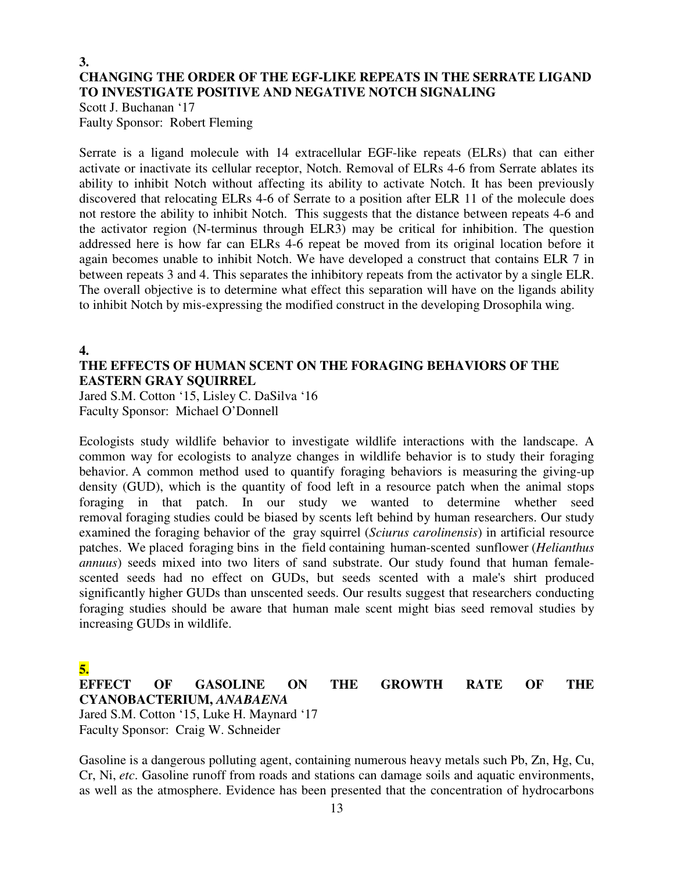#### **3. CHANGING THE ORDER OF THE EGF-LIKE REPEATS IN THE SERRATE LIGAND TO INVESTIGATE POSITIVE AND NEGATIVE NOTCH SIGNALING**

Scott J. Buchanan '17 Faulty Sponsor: Robert Fleming

Serrate is a ligand molecule with 14 extracellular EGF-like repeats (ELRs) that can either activate or inactivate its cellular receptor, Notch. Removal of ELRs 4-6 from Serrate ablates its ability to inhibit Notch without affecting its ability to activate Notch. It has been previously discovered that relocating ELRs 4-6 of Serrate to a position after ELR 11 of the molecule does not restore the ability to inhibit Notch. This suggests that the distance between repeats 4-6 and the activator region (N-terminus through ELR3) may be critical for inhibition. The question addressed here is how far can ELRs 4-6 repeat be moved from its original location before it again becomes unable to inhibit Notch. We have developed a construct that contains ELR 7 in between repeats 3 and 4. This separates the inhibitory repeats from the activator by a single ELR. The overall objective is to determine what effect this separation will have on the ligands ability to inhibit Notch by mis-expressing the modified construct in the developing Drosophila wing.

#### **4. THE EFFECTS OF HUMAN SCENT ON THE FORAGING BEHAVIORS OF THE EASTERN GRAY SQUIRREL**

Jared S.M. Cotton '15, Lisley C. DaSilva '16 Faculty Sponsor: Michael O'Donnell

Ecologists study wildlife behavior to investigate wildlife interactions with the landscape. A common way for ecologists to analyze changes in wildlife behavior is to study their foraging behavior. A common method used to quantify foraging behaviors is measuring the giving-up density (GUD), which is the quantity of food left in a resource patch when the animal stops foraging in that patch. In our study we wanted to determine whether seed removal foraging studies could be biased by scents left behind by human researchers. Our study examined the foraging behavior of the gray squirrel (*Sciurus carolinensis*) in artificial resource patches. We placed foraging bins in the field containing human-scented sunflower (*Helianthus annuus*) seeds mixed into two liters of sand substrate. Our study found that human femalescented seeds had no effect on GUDs, but seeds scented with a male's shirt produced significantly higher GUDs than unscented seeds. Our results suggest that researchers conducting foraging studies should be aware that human male scent might bias seed removal studies by increasing GUDs in wildlife.

**5.** 

### **EFFECT OF GASOLINE ON THE GROWTH RATE OF THE CYANOBACTERIUM,** *ANABAENA*

Jared S.M. Cotton '15, Luke H. Maynard '17 Faculty Sponsor: Craig W. Schneider

Gasoline is a dangerous polluting agent, containing numerous heavy metals such Pb, Zn, Hg, Cu, Cr, Ni, *etc*. Gasoline runoff from roads and stations can damage soils and aquatic environments, as well as the atmosphere. Evidence has been presented that the concentration of hydrocarbons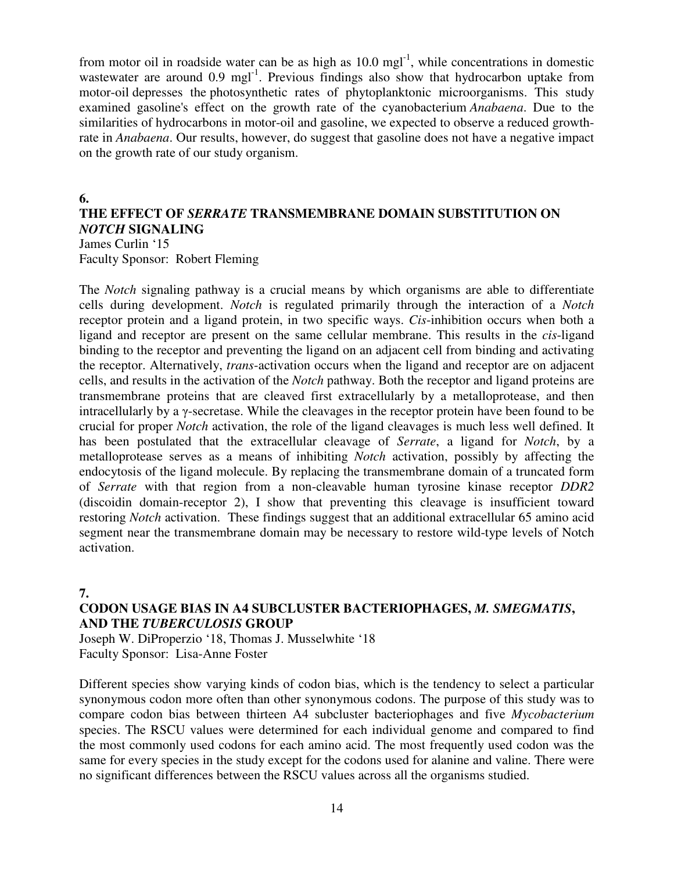from motor oil in roadside water can be as high as  $10.0 \text{ mgl}^{-1}$ , while concentrations in domestic wastewater are around  $0.9 \text{ mgl}^{-1}$ . Previous findings also show that hydrocarbon uptake from motor-oil depresses the photosynthetic rates of phytoplanktonic microorganisms. This study examined gasoline's effect on the growth rate of the cyanobacterium *Anabaena*. Due to the similarities of hydrocarbons in motor-oil and gasoline, we expected to observe a reduced growthrate in *Anabaena*. Our results, however, do suggest that gasoline does not have a negative impact on the growth rate of our study organism.

#### **6.**

#### **THE EFFECT OF** *SERRATE* **TRANSMEMBRANE DOMAIN SUBSTITUTION ON**  *NOTCH* **SIGNALING**

James Curlin '15 Faculty Sponsor: Robert Fleming

The *Notch* signaling pathway is a crucial means by which organisms are able to differentiate cells during development. *Notch* is regulated primarily through the interaction of a *Notch* receptor protein and a ligand protein, in two specific ways. *Cis*-inhibition occurs when both a ligand and receptor are present on the same cellular membrane. This results in the *cis*-ligand binding to the receptor and preventing the ligand on an adjacent cell from binding and activating the receptor. Alternatively, *trans*-activation occurs when the ligand and receptor are on adjacent cells, and results in the activation of the *Notch* pathway. Both the receptor and ligand proteins are transmembrane proteins that are cleaved first extracellularly by a metalloprotease, and then intracellularly by a γ-secretase. While the cleavages in the receptor protein have been found to be crucial for proper *Notch* activation, the role of the ligand cleavages is much less well defined. It has been postulated that the extracellular cleavage of *Serrate*, a ligand for *Notch*, by a metalloprotease serves as a means of inhibiting *Notch* activation, possibly by affecting the endocytosis of the ligand molecule. By replacing the transmembrane domain of a truncated form of *Serrate* with that region from a non-cleavable human tyrosine kinase receptor *DDR2* (discoidin domain-receptor 2), I show that preventing this cleavage is insufficient toward restoring *Notch* activation. These findings suggest that an additional extracellular 65 amino acid segment near the transmembrane domain may be necessary to restore wild-type levels of Notch activation.

**7.** 

#### **CODON USAGE BIAS IN A4 SUBCLUSTER BACTERIOPHAGES,** *M. SMEGMATIS***, AND THE** *TUBERCULOSIS* **GROUP**

Joseph W. DiProperzio '18, Thomas J. Musselwhite '18 Faculty Sponsor: Lisa-Anne Foster

Different species show varying kinds of codon bias, which is the tendency to select a particular synonymous codon more often than other synonymous codons. The purpose of this study was to compare codon bias between thirteen A4 subcluster bacteriophages and five *Mycobacterium* species. The RSCU values were determined for each individual genome and compared to find the most commonly used codons for each amino acid. The most frequently used codon was the same for every species in the study except for the codons used for alanine and valine. There were no significant differences between the RSCU values across all the organisms studied.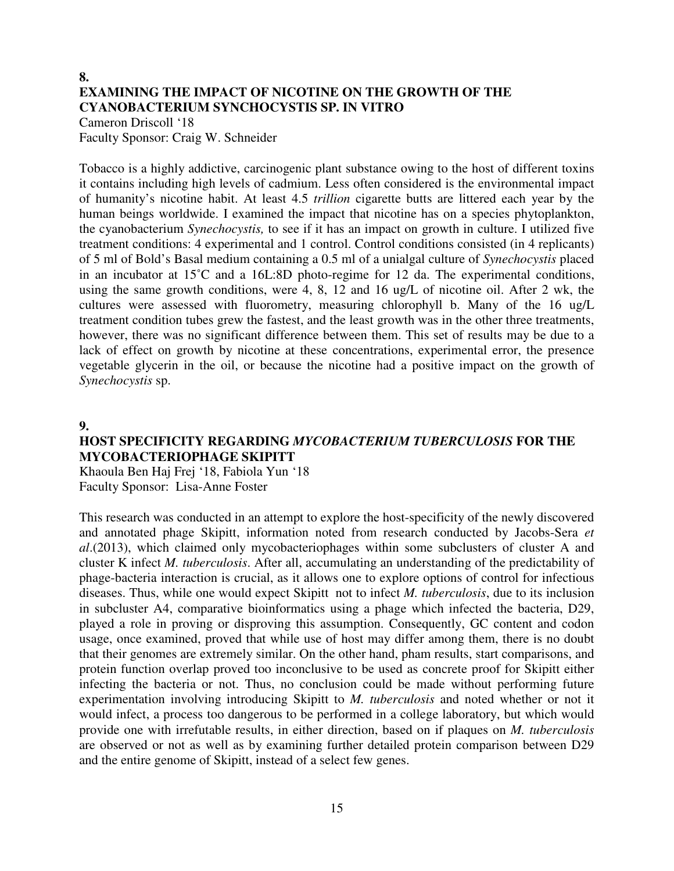#### **8. EXAMINING THE IMPACT OF NICOTINE ON THE GROWTH OF THE CYANOBACTERIUM SYNCHOCYSTIS SP. IN VITRO** Cameron Driscoll '18

Faculty Sponsor: Craig W. Schneider

Tobacco is a highly addictive, carcinogenic plant substance owing to the host of different toxins it contains including high levels of cadmium. Less often considered is the environmental impact of humanity's nicotine habit. At least 4.5 *trillion* cigarette butts are littered each year by the human beings worldwide. I examined the impact that nicotine has on a species phytoplankton, the cyanobacterium *Synechocystis,* to see if it has an impact on growth in culture. I utilized five treatment conditions: 4 experimental and 1 control. Control conditions consisted (in 4 replicants) of 5 ml of Bold's Basal medium containing a 0.5 ml of a unialgal culture of *Synechocystis* placed in an incubator at 15˚C and a 16L:8D photo-regime for 12 da. The experimental conditions, using the same growth conditions, were 4, 8, 12 and 16 ug/L of nicotine oil. After 2 wk, the cultures were assessed with fluorometry, measuring chlorophyll b. Many of the 16 ug/L treatment condition tubes grew the fastest, and the least growth was in the other three treatments, however, there was no significant difference between them. This set of results may be due to a lack of effect on growth by nicotine at these concentrations, experimental error, the presence vegetable glycerin in the oil, or because the nicotine had a positive impact on the growth of *Synechocystis* sp.

#### **9.**

#### **HOST SPECIFICITY REGARDING** *MYCOBACTERIUM TUBERCULOSIS* **FOR THE MYCOBACTERIOPHAGE SKIPITT**

Khaoula Ben Haj Frej '18, Fabiola Yun '18 Faculty Sponsor: Lisa-Anne Foster

This research was conducted in an attempt to explore the host-specificity of the newly discovered and annotated phage Skipitt, information noted from research conducted by Jacobs-Sera *et al*.(2013), which claimed only mycobacteriophages within some subclusters of cluster A and cluster K infect *M. tuberculosis*. After all, accumulating an understanding of the predictability of phage-bacteria interaction is crucial, as it allows one to explore options of control for infectious diseases. Thus, while one would expect Skipitt not to infect *M. tuberculosis*, due to its inclusion in subcluster A4, comparative bioinformatics using a phage which infected the bacteria, D29, played a role in proving or disproving this assumption. Consequently, GC content and codon usage, once examined, proved that while use of host may differ among them, there is no doubt that their genomes are extremely similar. On the other hand, pham results, start comparisons, and protein function overlap proved too inconclusive to be used as concrete proof for Skipitt either infecting the bacteria or not. Thus, no conclusion could be made without performing future experimentation involving introducing Skipitt to *M. tuberculosis* and noted whether or not it would infect, a process too dangerous to be performed in a college laboratory, but which would provide one with irrefutable results, in either direction, based on if plaques on *M. tuberculosis* are observed or not as well as by examining further detailed protein comparison between D29 and the entire genome of Skipitt, instead of a select few genes.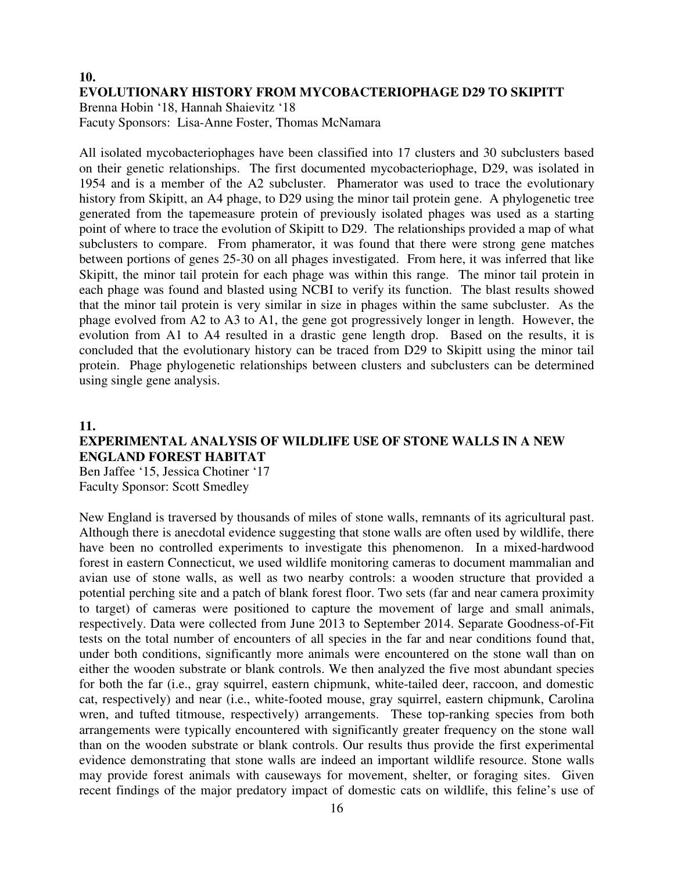#### **10.**

#### **EVOLUTIONARY HISTORY FROM MYCOBACTERIOPHAGE D29 TO SKIPITT**

Brenna Hobin '18, Hannah Shaievitz '18 Facuty Sponsors: Lisa-Anne Foster, Thomas McNamara

All isolated mycobacteriophages have been classified into 17 clusters and 30 subclusters based on their genetic relationships. The first documented mycobacteriophage, D29, was isolated in 1954 and is a member of the A2 subcluster. Phamerator was used to trace the evolutionary history from Skipitt, an A4 phage, to D29 using the minor tail protein gene. A phylogenetic tree generated from the tapemeasure protein of previously isolated phages was used as a starting point of where to trace the evolution of Skipitt to D29. The relationships provided a map of what subclusters to compare. From phamerator, it was found that there were strong gene matches between portions of genes 25-30 on all phages investigated. From here, it was inferred that like Skipitt, the minor tail protein for each phage was within this range. The minor tail protein in each phage was found and blasted using NCBI to verify its function. The blast results showed that the minor tail protein is very similar in size in phages within the same subcluster. As the phage evolved from A2 to A3 to A1, the gene got progressively longer in length. However, the evolution from A1 to A4 resulted in a drastic gene length drop. Based on the results, it is concluded that the evolutionary history can be traced from D29 to Skipitt using the minor tail protein. Phage phylogenetic relationships between clusters and subclusters can be determined using single gene analysis.

#### **11.**

#### **EXPERIMENTAL ANALYSIS OF WILDLIFE USE OF STONE WALLS IN A NEW ENGLAND FOREST HABITAT**

Ben Jaffee '15, Jessica Chotiner '17 Faculty Sponsor: Scott Smedley

New England is traversed by thousands of miles of stone walls, remnants of its agricultural past. Although there is anecdotal evidence suggesting that stone walls are often used by wildlife, there have been no controlled experiments to investigate this phenomenon. In a mixed-hardwood forest in eastern Connecticut, we used wildlife monitoring cameras to document mammalian and avian use of stone walls, as well as two nearby controls: a wooden structure that provided a potential perching site and a patch of blank forest floor. Two sets (far and near camera proximity to target) of cameras were positioned to capture the movement of large and small animals, respectively. Data were collected from June 2013 to September 2014. Separate Goodness-of-Fit tests on the total number of encounters of all species in the far and near conditions found that, under both conditions, significantly more animals were encountered on the stone wall than on either the wooden substrate or blank controls. We then analyzed the five most abundant species for both the far (i.e., gray squirrel, eastern chipmunk, white-tailed deer, raccoon, and domestic cat, respectively) and near (i.e., white-footed mouse, gray squirrel, eastern chipmunk, Carolina wren, and tufted titmouse, respectively) arrangements. These top-ranking species from both arrangements were typically encountered with significantly greater frequency on the stone wall than on the wooden substrate or blank controls. Our results thus provide the first experimental evidence demonstrating that stone walls are indeed an important wildlife resource. Stone walls may provide forest animals with causeways for movement, shelter, or foraging sites. Given recent findings of the major predatory impact of domestic cats on wildlife, this feline's use of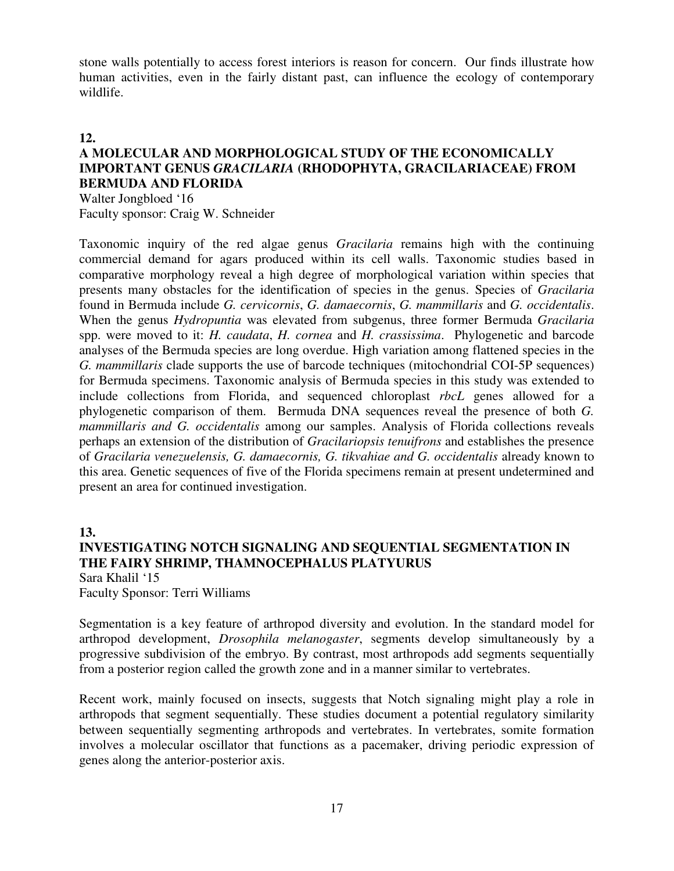stone walls potentially to access forest interiors is reason for concern. Our finds illustrate how human activities, even in the fairly distant past, can influence the ecology of contemporary wildlife.

#### **12.**

#### **A MOLECULAR AND MORPHOLOGICAL STUDY OF THE ECONOMICALLY IMPORTANT GENUS** *GRACILARIA* **(RHODOPHYTA, GRACILARIACEAE) FROM BERMUDA AND FLORIDA**

Walter Jongbloed '16 Faculty sponsor: Craig W. Schneider

Taxonomic inquiry of the red algae genus *Gracilaria* remains high with the continuing commercial demand for agars produced within its cell walls. Taxonomic studies based in comparative morphology reveal a high degree of morphological variation within species that presents many obstacles for the identification of species in the genus. Species of *Gracilaria* found in Bermuda include *G. cervicornis*, *G. damaecornis*, *G. mammillaris* and *G. occidentalis*. When the genus *Hydropuntia* was elevated from subgenus, three former Bermuda *Gracilaria*  spp. were moved to it: *H. caudata*, *H. cornea* and *H. crassissima*. Phylogenetic and barcode analyses of the Bermuda species are long overdue. High variation among flattened species in the *G. mammillaris* clade supports the use of barcode techniques (mitochondrial COI-5P sequences) for Bermuda specimens. Taxonomic analysis of Bermuda species in this study was extended to include collections from Florida, and sequenced chloroplast *rbcL* genes allowed for a phylogenetic comparison of them. Bermuda DNA sequences reveal the presence of both *G. mammillaris and G. occidentalis* among our samples. Analysis of Florida collections reveals perhaps an extension of the distribution of *Gracilariopsis tenuifrons* and establishes the presence of *Gracilaria venezuelensis, G. damaecornis, G. tikvahiae and G. occidentalis* already known to this area. Genetic sequences of five of the Florida specimens remain at present undetermined and present an area for continued investigation.

#### **13. INVESTIGATING NOTCH SIGNALING AND SEQUENTIAL SEGMENTATION IN THE FAIRY SHRIMP, THAMNOCEPHALUS PLATYURUS**  Sara Khalil '15

Faculty Sponsor: Terri Williams

Segmentation is a key feature of arthropod diversity and evolution. In the standard model for arthropod development, *Drosophila melanogaster*, segments develop simultaneously by a progressive subdivision of the embryo. By contrast, most arthropods add segments sequentially from a posterior region called the growth zone and in a manner similar to vertebrates.

Recent work, mainly focused on insects, suggests that Notch signaling might play a role in arthropods that segment sequentially. These studies document a potential regulatory similarity between sequentially segmenting arthropods and vertebrates. In vertebrates, somite formation involves a molecular oscillator that functions as a pacemaker, driving periodic expression of genes along the anterior-posterior axis.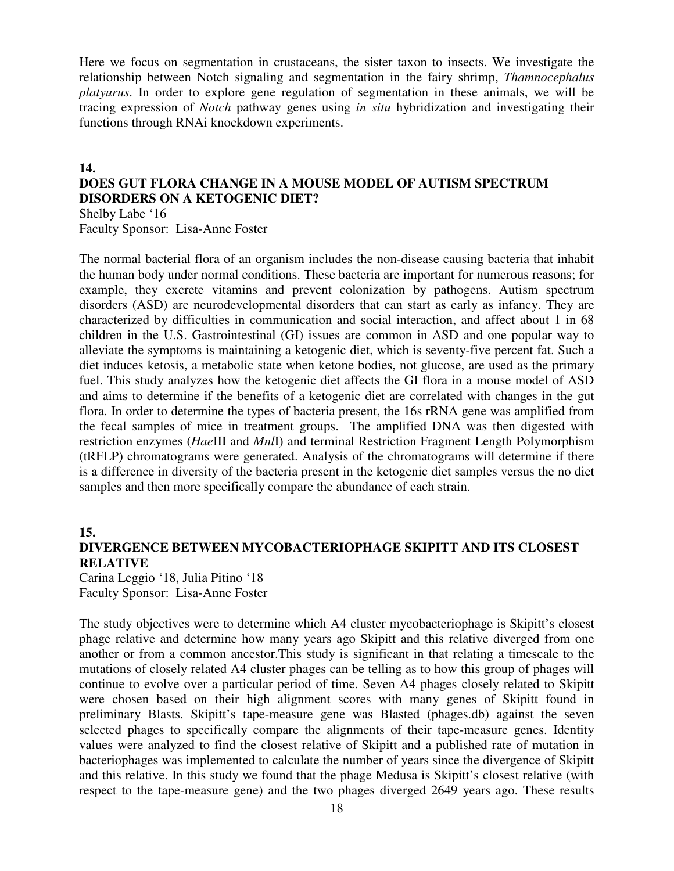Here we focus on segmentation in crustaceans, the sister taxon to insects. We investigate the relationship between Notch signaling and segmentation in the fairy shrimp, *Thamnocephalus platyurus*. In order to explore gene regulation of segmentation in these animals, we will be tracing expression of *Notch* pathway genes using *in situ* hybridization and investigating their functions through RNAi knockdown experiments.

#### **14.**

### **DOES GUT FLORA CHANGE IN A MOUSE MODEL OF AUTISM SPECTRUM DISORDERS ON A KETOGENIC DIET?**

Shelby Labe '16

Faculty Sponsor: Lisa-Anne Foster

The normal bacterial flora of an organism includes the non-disease causing bacteria that inhabit the human body under normal conditions. These bacteria are important for numerous reasons; for example, they excrete vitamins and prevent colonization by pathogens. Autism spectrum disorders (ASD) are neurodevelopmental disorders that can start as early as infancy. They are characterized by difficulties in communication and social interaction, and affect about 1 in 68 children in the U.S. Gastrointestinal (GI) issues are common in ASD and one popular way to alleviate the symptoms is maintaining a ketogenic diet, which is seventy-five percent fat. Such a diet induces ketosis, a metabolic state when ketone bodies, not glucose, are used as the primary fuel. This study analyzes how the ketogenic diet affects the GI flora in a mouse model of ASD and aims to determine if the benefits of a ketogenic diet are correlated with changes in the gut flora. In order to determine the types of bacteria present, the 16s rRNA gene was amplified from the fecal samples of mice in treatment groups. The amplified DNA was then digested with restriction enzymes (*Hae*III and *Mnl*I) and terminal Restriction Fragment Length Polymorphism (tRFLP) chromatograms were generated. Analysis of the chromatograms will determine if there is a difference in diversity of the bacteria present in the ketogenic diet samples versus the no diet samples and then more specifically compare the abundance of each strain.

#### **15.**

#### **DIVERGENCE BETWEEN MYCOBACTERIOPHAGE SKIPITT AND ITS CLOSEST RELATIVE**

Carina Leggio '18, Julia Pitino '18 Faculty Sponsor: Lisa-Anne Foster

The study objectives were to determine which A4 cluster mycobacteriophage is Skipitt's closest phage relative and determine how many years ago Skipitt and this relative diverged from one another or from a common ancestor.This study is significant in that relating a timescale to the mutations of closely related A4 cluster phages can be telling as to how this group of phages will continue to evolve over a particular period of time. Seven A4 phages closely related to Skipitt were chosen based on their high alignment scores with many genes of Skipitt found in preliminary Blasts. Skipitt's tape-measure gene was Blasted (phages.db) against the seven selected phages to specifically compare the alignments of their tape-measure genes. Identity values were analyzed to find the closest relative of Skipitt and a published rate of mutation in bacteriophages was implemented to calculate the number of years since the divergence of Skipitt and this relative. In this study we found that the phage Medusa is Skipitt's closest relative (with respect to the tape-measure gene) and the two phages diverged 2649 years ago. These results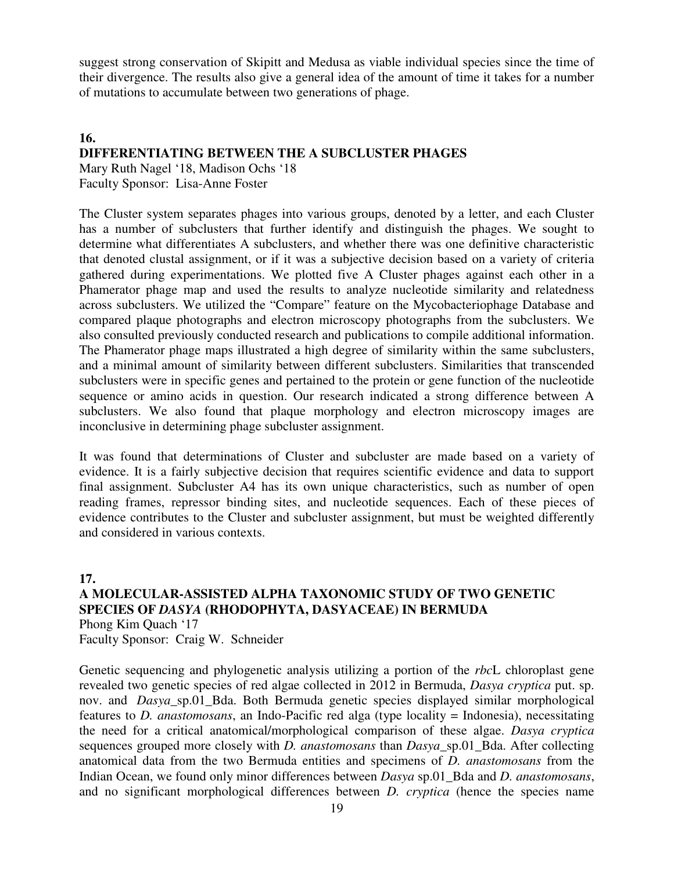suggest strong conservation of Skipitt and Medusa as viable individual species since the time of their divergence. The results also give a general idea of the amount of time it takes for a number of mutations to accumulate between two generations of phage.

### **16. DIFFERENTIATING BETWEEN THE A SUBCLUSTER PHAGES**

Mary Ruth Nagel '18, Madison Ochs '18 Faculty Sponsor: Lisa-Anne Foster

The Cluster system separates phages into various groups, denoted by a letter, and each Cluster has a number of subclusters that further identify and distinguish the phages. We sought to determine what differentiates A subclusters, and whether there was one definitive characteristic that denoted clustal assignment, or if it was a subjective decision based on a variety of criteria gathered during experimentations. We plotted five A Cluster phages against each other in a Phamerator phage map and used the results to analyze nucleotide similarity and relatedness across subclusters. We utilized the "Compare" feature on the Mycobacteriophage Database and compared plaque photographs and electron microscopy photographs from the subclusters. We also consulted previously conducted research and publications to compile additional information. The Phamerator phage maps illustrated a high degree of similarity within the same subclusters, and a minimal amount of similarity between different subclusters. Similarities that transcended subclusters were in specific genes and pertained to the protein or gene function of the nucleotide sequence or amino acids in question. Our research indicated a strong difference between A subclusters. We also found that plaque morphology and electron microscopy images are inconclusive in determining phage subcluster assignment.

It was found that determinations of Cluster and subcluster are made based on a variety of evidence. It is a fairly subjective decision that requires scientific evidence and data to support final assignment. Subcluster A4 has its own unique characteristics, such as number of open reading frames, repressor binding sites, and nucleotide sequences. Each of these pieces of evidence contributes to the Cluster and subcluster assignment, but must be weighted differently and considered in various contexts.

#### **17.**

#### **A MOLECULAR-ASSISTED ALPHA TAXONOMIC STUDY OF TWO GENETIC SPECIES OF** *DASYA* **(RHODOPHYTA, DASYACEAE) IN BERMUDA**  Phong Kim Quach '17

Faculty Sponsor: Craig W. Schneider

Genetic sequencing and phylogenetic analysis utilizing a portion of the *rbc*L chloroplast gene revealed two genetic species of red algae collected in 2012 in Bermuda, *Dasya cryptica* put. sp. nov. and *Dasya*\_sp.01\_Bda. Both Bermuda genetic species displayed similar morphological features to *D. anastomosans*, an Indo-Pacific red alga (type locality = Indonesia), necessitating the need for a critical anatomical/morphological comparison of these algae. *Dasya cryptica* sequences grouped more closely with *D. anastomosans* than *Dasya*\_sp.01\_Bda. After collecting anatomical data from the two Bermuda entities and specimens of *D. anastomosans* from the Indian Ocean, we found only minor differences between *Dasya* sp.01\_Bda and *D. anastomosans*, and no significant morphological differences between *D. cryptica* (hence the species name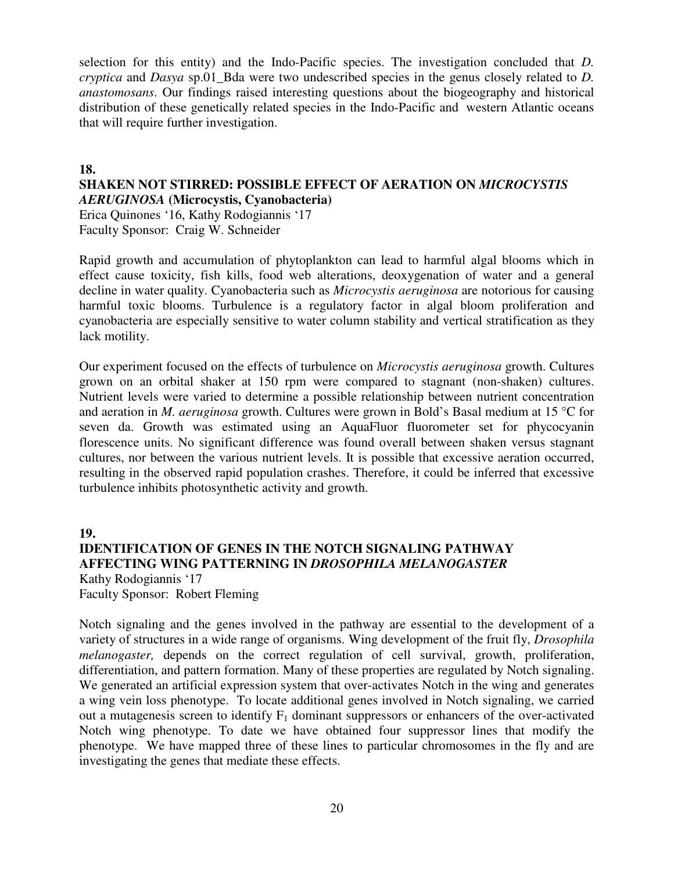selection for this entity) and the Indo-Pacific species. The investigation concluded that *D. cryptica* and *Dasya* sp.01\_Bda were two undescribed species in the genus closely related to *D. anastomosans*. Our findings raised interesting questions about the biogeography and historical distribution of these genetically related species in the Indo-Pacific and western Atlantic oceans that will require further investigation.

#### **18.**

#### **SHAKEN NOT STIRRED: POSSIBLE EFFECT OF AERATION ON** *MICROCYSTIS AERUGINOSA* **(Microcystis, Cyanobacteria)**

Erica Quinones '16, Kathy Rodogiannis '17 Faculty Sponsor: Craig W. Schneider

Rapid growth and accumulation of phytoplankton can lead to harmful algal blooms which in effect cause toxicity, fish kills, food web alterations, deoxygenation of water and a general decline in water quality. Cyanobacteria such as *Microcystis aeruginosa* are notorious for causing harmful toxic blooms. Turbulence is a regulatory factor in algal bloom proliferation and cyanobacteria are especially sensitive to water column stability and vertical stratification as they lack motility.

Our experiment focused on the effects of turbulence on *Microcystis aeruginosa* growth. Cultures grown on an orbital shaker at 150 rpm were compared to stagnant (non-shaken) cultures. Nutrient levels were varied to determine a possible relationship between nutrient concentration and aeration in *M. aeruginosa* growth. Cultures were grown in Bold's Basal medium at 15 °C for seven da. Growth was estimated using an AquaFluor fluorometer set for phycocyanin florescence units. No significant difference was found overall between shaken versus stagnant cultures, nor between the various nutrient levels. It is possible that excessive aeration occurred, resulting in the observed rapid population crashes. Therefore, it could be inferred that excessive turbulence inhibits photosynthetic activity and growth.

**19. IDENTIFICATION OF GENES IN THE NOTCH SIGNALING PATHWAY AFFECTING WING PATTERNING IN** *DROSOPHILA MELANOGASTER*  Kathy Rodogiannis '17

Faculty Sponsor: Robert Fleming

Notch signaling and the genes involved in the pathway are essential to the development of a variety of structures in a wide range of organisms. Wing development of the fruit fly, *Drosophila melanogaster,* depends on the correct regulation of cell survival, growth, proliferation, differentiation, and pattern formation. Many of these properties are regulated by Notch signaling. We generated an artificial expression system that over-activates Notch in the wing and generates a wing vein loss phenotype. To locate additional genes involved in Notch signaling, we carried out a mutagenesis screen to identify  $F_1$  dominant suppressors or enhancers of the over-activated Notch wing phenotype. To date we have obtained four suppressor lines that modify the phenotype. We have mapped three of these lines to particular chromosomes in the fly and are investigating the genes that mediate these effects.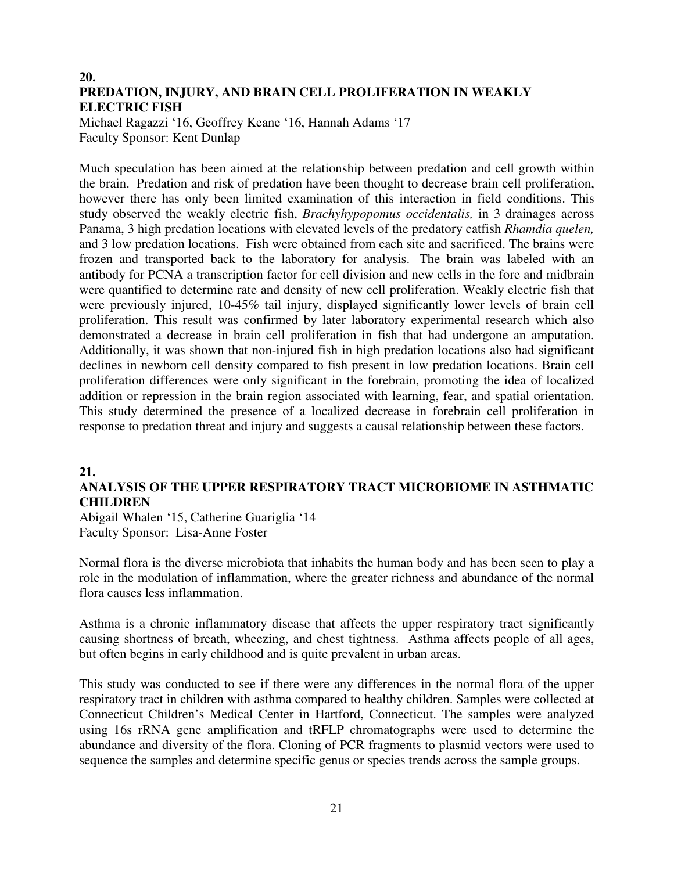#### **20. PREDATION, INJURY, AND BRAIN CELL PROLIFERATION IN WEAKLY ELECTRIC FISH**

Michael Ragazzi '16, Geoffrey Keane '16, Hannah Adams '17 Faculty Sponsor: Kent Dunlap

Much speculation has been aimed at the relationship between predation and cell growth within the brain. Predation and risk of predation have been thought to decrease brain cell proliferation, however there has only been limited examination of this interaction in field conditions. This study observed the weakly electric fish, *Brachyhypopomus occidentalis,* in 3 drainages across Panama, 3 high predation locations with elevated levels of the predatory catfish *Rhamdia quelen,* and 3 low predation locations. Fish were obtained from each site and sacrificed. The brains were frozen and transported back to the laboratory for analysis. The brain was labeled with an antibody for PCNA a transcription factor for cell division and new cells in the fore and midbrain were quantified to determine rate and density of new cell proliferation. Weakly electric fish that were previously injured, 10-45% tail injury, displayed significantly lower levels of brain cell proliferation. This result was confirmed by later laboratory experimental research which also demonstrated a decrease in brain cell proliferation in fish that had undergone an amputation. Additionally, it was shown that non-injured fish in high predation locations also had significant declines in newborn cell density compared to fish present in low predation locations. Brain cell proliferation differences were only significant in the forebrain, promoting the idea of localized addition or repression in the brain region associated with learning, fear, and spatial orientation. This study determined the presence of a localized decrease in forebrain cell proliferation in response to predation threat and injury and suggests a causal relationship between these factors.

#### **21.**

#### **ANALYSIS OF THE UPPER RESPIRATORY TRACT MICROBIOME IN ASTHMATIC CHILDREN**

Abigail Whalen '15, Catherine Guariglia '14 Faculty Sponsor: Lisa-Anne Foster

Normal flora is the diverse microbiota that inhabits the human body and has been seen to play a role in the modulation of inflammation, where the greater richness and abundance of the normal flora causes less inflammation.

Asthma is a chronic inflammatory disease that affects the upper respiratory tract significantly causing shortness of breath, wheezing, and chest tightness. Asthma affects people of all ages, but often begins in early childhood and is quite prevalent in urban areas.

This study was conducted to see if there were any differences in the normal flora of the upper respiratory tract in children with asthma compared to healthy children. Samples were collected at Connecticut Children's Medical Center in Hartford, Connecticut. The samples were analyzed using 16s rRNA gene amplification and tRFLP chromatographs were used to determine the abundance and diversity of the flora. Cloning of PCR fragments to plasmid vectors were used to sequence the samples and determine specific genus or species trends across the sample groups.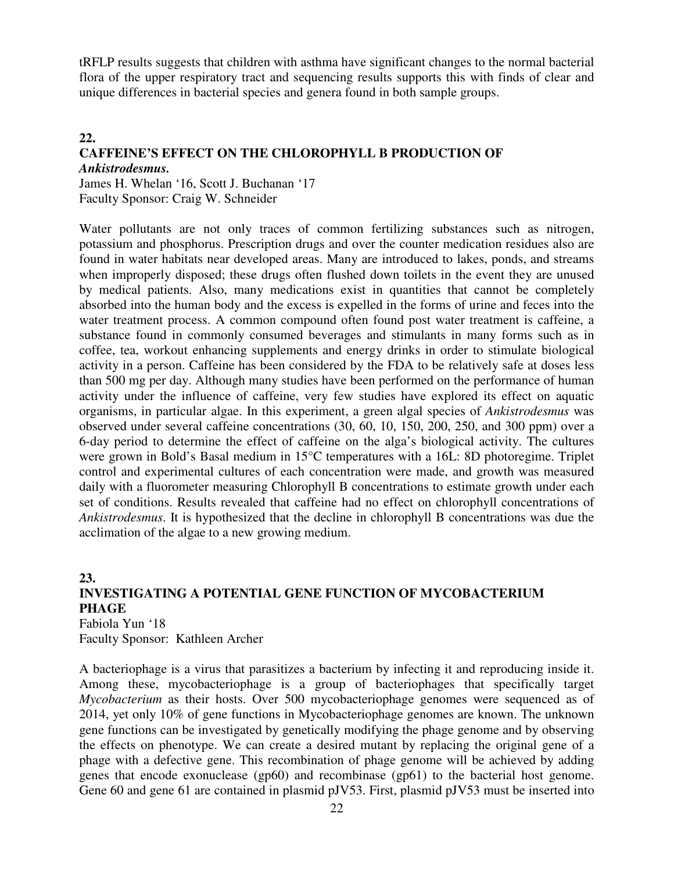tRFLP results suggests that children with asthma have significant changes to the normal bacterial flora of the upper respiratory tract and sequencing results supports this with finds of clear and unique differences in bacterial species and genera found in both sample groups.

#### **22. CAFFEINE'S EFFECT ON THE CHLOROPHYLL B PRODUCTION OF**  *Ankistrodesmus.*

James H. Whelan '16, Scott J. Buchanan '17 Faculty Sponsor: Craig W. Schneider

Water pollutants are not only traces of common fertilizing substances such as nitrogen, potassium and phosphorus. Prescription drugs and over the counter medication residues also are found in water habitats near developed areas. Many are introduced to lakes, ponds, and streams when improperly disposed; these drugs often flushed down toilets in the event they are unused by medical patients. Also, many medications exist in quantities that cannot be completely absorbed into the human body and the excess is expelled in the forms of urine and feces into the water treatment process. A common compound often found post water treatment is caffeine, a substance found in commonly consumed beverages and stimulants in many forms such as in coffee, tea, workout enhancing supplements and energy drinks in order to stimulate biological activity in a person. Caffeine has been considered by the FDA to be relatively safe at doses less than 500 mg per day. Although many studies have been performed on the performance of human activity under the influence of caffeine, very few studies have explored its effect on aquatic organisms, in particular algae. In this experiment, a green algal species of *Ankistrodesmus* was observed under several caffeine concentrations (30, 60, 10, 150, 200, 250, and 300 ppm) over a 6-day period to determine the effect of caffeine on the alga's biological activity. The cultures were grown in Bold's Basal medium in 15°C temperatures with a 16L: 8D photoregime. Triplet control and experimental cultures of each concentration were made, and growth was measured daily with a fluorometer measuring Chlorophyll B concentrations to estimate growth under each set of conditions. Results revealed that caffeine had no effect on chlorophyll concentrations of *Ankistrodesmus*. It is hypothesized that the decline in chlorophyll B concentrations was due the acclimation of the algae to a new growing medium.

#### **23. INVESTIGATING A POTENTIAL GENE FUNCTION OF MYCOBACTERIUM PHAGE**

Fabiola Yun '18 Faculty Sponsor: Kathleen Archer

A bacteriophage is a virus that parasitizes a bacterium by infecting it and reproducing inside it. Among these, mycobacteriophage is a group of bacteriophages that specifically target *Mycobacterium* as their hosts. Over 500 mycobacteriophage genomes were sequenced as of 2014, yet only 10% of gene functions in Mycobacteriophage genomes are known. The unknown gene functions can be investigated by genetically modifying the phage genome and by observing the effects on phenotype. We can create a desired mutant by replacing the original gene of a phage with a defective gene. This recombination of phage genome will be achieved by adding genes that encode exonuclease (gp60) and recombinase (gp61) to the bacterial host genome. Gene 60 and gene 61 are contained in plasmid pJV53. First, plasmid pJV53 must be inserted into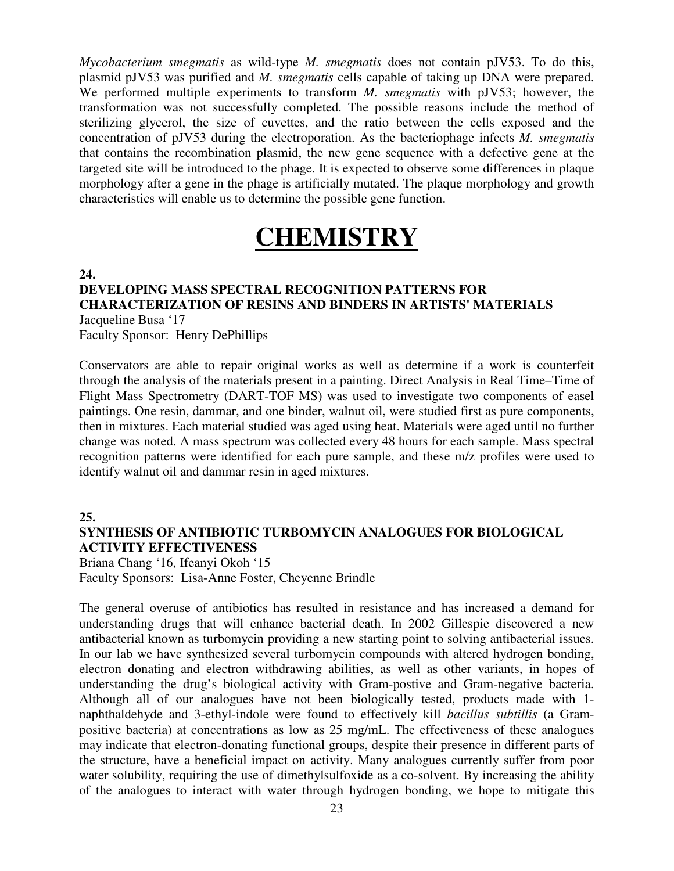*Mycobacterium smegmatis* as wild-type *M. smegmatis* does not contain pJV53. To do this, plasmid pJV53 was purified and *M. smegmatis* cells capable of taking up DNA were prepared. We performed multiple experiments to transform *M. smegmatis* with pJV53; however, the transformation was not successfully completed. The possible reasons include the method of sterilizing glycerol, the size of cuvettes, and the ratio between the cells exposed and the concentration of pJV53 during the electroporation. As the bacteriophage infects *M. smegmatis* that contains the recombination plasmid, the new gene sequence with a defective gene at the targeted site will be introduced to the phage. It is expected to observe some differences in plaque morphology after a gene in the phage is artificially mutated. The plaque morphology and growth characteristics will enable us to determine the possible gene function.

# **CHEMISTRY**

#### **24.**

#### **DEVELOPING MASS SPECTRAL RECOGNITION PATTERNS FOR CHARACTERIZATION OF RESINS AND BINDERS IN ARTISTS' MATERIALS**  Jacqueline Busa '17 Faculty Sponsor: Henry DePhillips

Conservators are able to repair original works as well as determine if a work is counterfeit through the analysis of the materials present in a painting. Direct Analysis in Real Time–Time of Flight Mass Spectrometry (DART-TOF MS) was used to investigate two components of easel paintings. One resin, dammar, and one binder, walnut oil, were studied first as pure components, then in mixtures. Each material studied was aged using heat. Materials were aged until no further change was noted. A mass spectrum was collected every 48 hours for each sample. Mass spectral recognition patterns were identified for each pure sample, and these m/z profiles were used to identify walnut oil and dammar resin in aged mixtures.

#### **25.**

#### **SYNTHESIS OF ANTIBIOTIC TURBOMYCIN ANALOGUES FOR BIOLOGICAL ACTIVITY EFFECTIVENESS**

Briana Chang '16, Ifeanyi Okoh '15 Faculty Sponsors: Lisa-Anne Foster, Cheyenne Brindle

The general overuse of antibiotics has resulted in resistance and has increased a demand for understanding drugs that will enhance bacterial death. In 2002 Gillespie discovered a new antibacterial known as turbomycin providing a new starting point to solving antibacterial issues. In our lab we have synthesized several turbomycin compounds with altered hydrogen bonding, electron donating and electron withdrawing abilities, as well as other variants, in hopes of understanding the drug's biological activity with Gram-postive and Gram-negative bacteria. Although all of our analogues have not been biologically tested, products made with 1 naphthaldehyde and 3-ethyl-indole were found to effectively kill *bacillus subtillis* (a Grampositive bacteria) at concentrations as low as 25 mg/mL. The effectiveness of these analogues may indicate that electron-donating functional groups, despite their presence in different parts of the structure, have a beneficial impact on activity. Many analogues currently suffer from poor water solubility, requiring the use of dimethylsulfoxide as a co-solvent. By increasing the ability of the analogues to interact with water through hydrogen bonding, we hope to mitigate this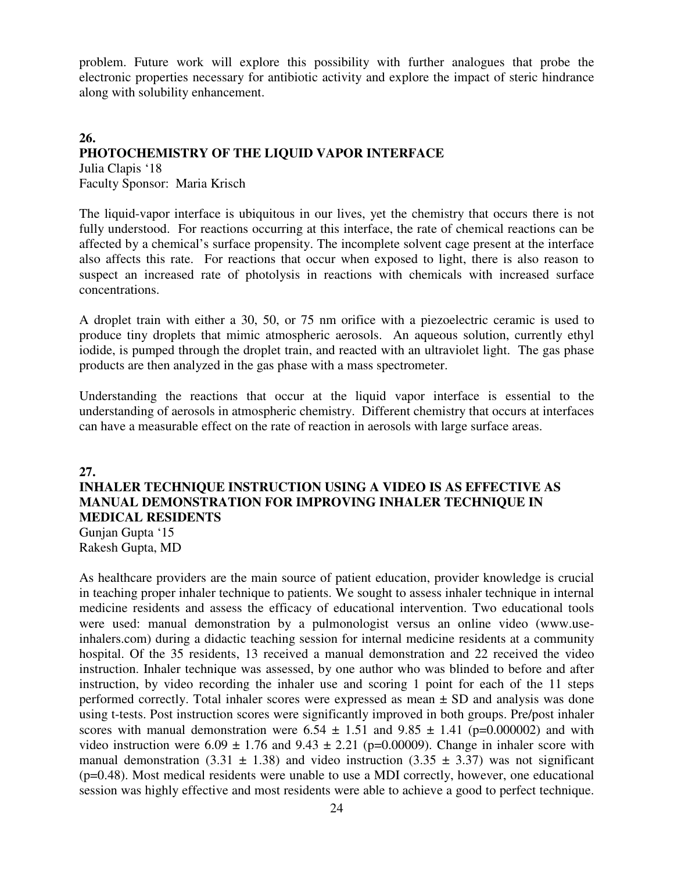problem. Future work will explore this possibility with further analogues that probe the electronic properties necessary for antibiotic activity and explore the impact of steric hindrance along with solubility enhancement.

### **26. PHOTOCHEMISTRY OF THE LIQUID VAPOR INTERFACE**

Julia Clapis '18 Faculty Sponsor: Maria Krisch

The liquid-vapor interface is ubiquitous in our lives, yet the chemistry that occurs there is not fully understood. For reactions occurring at this interface, the rate of chemical reactions can be affected by a chemical's surface propensity. The incomplete solvent cage present at the interface also affects this rate. For reactions that occur when exposed to light, there is also reason to suspect an increased rate of photolysis in reactions with chemicals with increased surface concentrations.

A droplet train with either a 30, 50, or 75 nm orifice with a piezoelectric ceramic is used to produce tiny droplets that mimic atmospheric aerosols. An aqueous solution, currently ethyl iodide, is pumped through the droplet train, and reacted with an ultraviolet light. The gas phase products are then analyzed in the gas phase with a mass spectrometer.

Understanding the reactions that occur at the liquid vapor interface is essential to the understanding of aerosols in atmospheric chemistry. Different chemistry that occurs at interfaces can have a measurable effect on the rate of reaction in aerosols with large surface areas.

#### **27.**

### **INHALER TECHNIQUE INSTRUCTION USING A VIDEO IS AS EFFECTIVE AS MANUAL DEMONSTRATION FOR IMPROVING INHALER TECHNIQUE IN MEDICAL RESIDENTS**

Gunjan Gupta '15 Rakesh Gupta, MD

As healthcare providers are the main source of patient education, provider knowledge is crucial in teaching proper inhaler technique to patients. We sought to assess inhaler technique in internal medicine residents and assess the efficacy of educational intervention. Two educational tools were used: manual demonstration by a pulmonologist versus an online video (www.useinhalers.com) during a didactic teaching session for internal medicine residents at a community hospital. Of the 35 residents, 13 received a manual demonstration and 22 received the video instruction. Inhaler technique was assessed, by one author who was blinded to before and after instruction, by video recording the inhaler use and scoring 1 point for each of the 11 steps performed correctly. Total inhaler scores were expressed as mean ± SD and analysis was done using t-tests. Post instruction scores were significantly improved in both groups. Pre/post inhaler scores with manual demonstration were  $6.54 \pm 1.51$  and  $9.85 \pm 1.41$  (p=0.000002) and with video instruction were  $6.09 \pm 1.76$  and  $9.43 \pm 2.21$  (p=0.00009). Change in inhaler score with manual demonstration (3.31  $\pm$  1.38) and video instruction (3.35  $\pm$  3.37) was not significant (p=0.48). Most medical residents were unable to use a MDI correctly, however, one educational session was highly effective and most residents were able to achieve a good to perfect technique.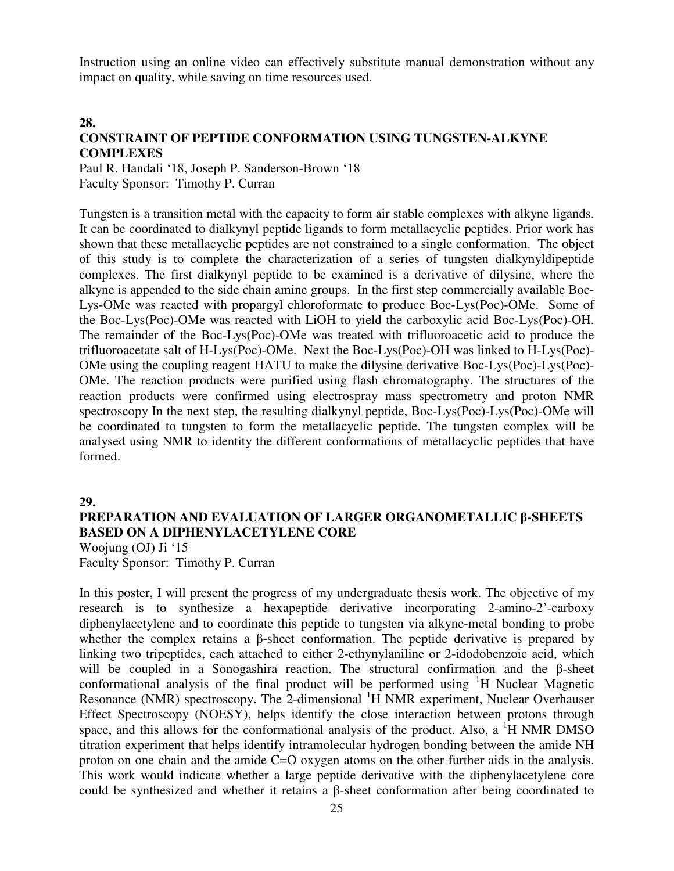Instruction using an online video can effectively substitute manual demonstration without any impact on quality, while saving on time resources used.

#### **28.**

#### **CONSTRAINT OF PEPTIDE CONFORMATION USING TUNGSTEN-ALKYNE COMPLEXES**

Paul R. Handali '18, Joseph P. Sanderson-Brown '18 Faculty Sponsor: Timothy P. Curran

Tungsten is a transition metal with the capacity to form air stable complexes with alkyne ligands. It can be coordinated to dialkynyl peptide ligands to form metallacyclic peptides. Prior work has shown that these metallacyclic peptides are not constrained to a single conformation. The object of this study is to complete the characterization of a series of tungsten dialkynyldipeptide complexes. The first dialkynyl peptide to be examined is a derivative of dilysine, where the alkyne is appended to the side chain amine groups. In the first step commercially available Boc-Lys-OMe was reacted with propargyl chloroformate to produce Boc-Lys(Poc)-OMe. Some of the Boc-Lys(Poc)-OMe was reacted with LiOH to yield the carboxylic acid Boc-Lys(Poc)-OH. The remainder of the Boc-Lys(Poc)-OMe was treated with trifluoroacetic acid to produce the trifluoroacetate salt of H-Lys(Poc)-OMe. Next the Boc-Lys(Poc)-OH was linked to H-Lys(Poc)- OMe using the coupling reagent HATU to make the dilysine derivative Boc-Lys(Poc)-Lys(Poc)- OMe. The reaction products were purified using flash chromatography. The structures of the reaction products were confirmed using electrospray mass spectrometry and proton NMR spectroscopy In the next step, the resulting dialkynyl peptide, Boc-Lys(Poc)-Lys(Poc)-OMe will be coordinated to tungsten to form the metallacyclic peptide. The tungsten complex will be analysed using NMR to identity the different conformations of metallacyclic peptides that have formed.

#### **29.**

#### **PREPARATION AND EVALUATION OF LARGER ORGANOMETALLIC** β**-SHEETS BASED ON A DIPHENYLACETYLENE CORE**

Woojung (OJ) Ji '15 Faculty Sponsor: Timothy P. Curran

In this poster, I will present the progress of my undergraduate thesis work. The objective of my research is to synthesize a hexapeptide derivative incorporating 2-amino-2'-carboxy diphenylacetylene and to coordinate this peptide to tungsten via alkyne-metal bonding to probe whether the complex retains a β-sheet conformation. The peptide derivative is prepared by linking two tripeptides, each attached to either 2-ethynylaniline or 2-idodobenzoic acid, which will be coupled in a Sonogashira reaction. The structural confirmation and the β-sheet conformational analysis of the final product will be performed using  ${}^{1}H$  Nuclear Magnetic Resonance (NMR) spectroscopy. The 2-dimensional  ${}^{1}H$  NMR experiment, Nuclear Overhauser Effect Spectroscopy (NOESY), helps identify the close interaction between protons through space, and this allows for the conformational analysis of the product. Also, a  $\mathrm{^{1}H}$  NMR DMSO titration experiment that helps identify intramolecular hydrogen bonding between the amide NH proton on one chain and the amide C=O oxygen atoms on the other further aids in the analysis. This work would indicate whether a large peptide derivative with the diphenylacetylene core could be synthesized and whether it retains a β-sheet conformation after being coordinated to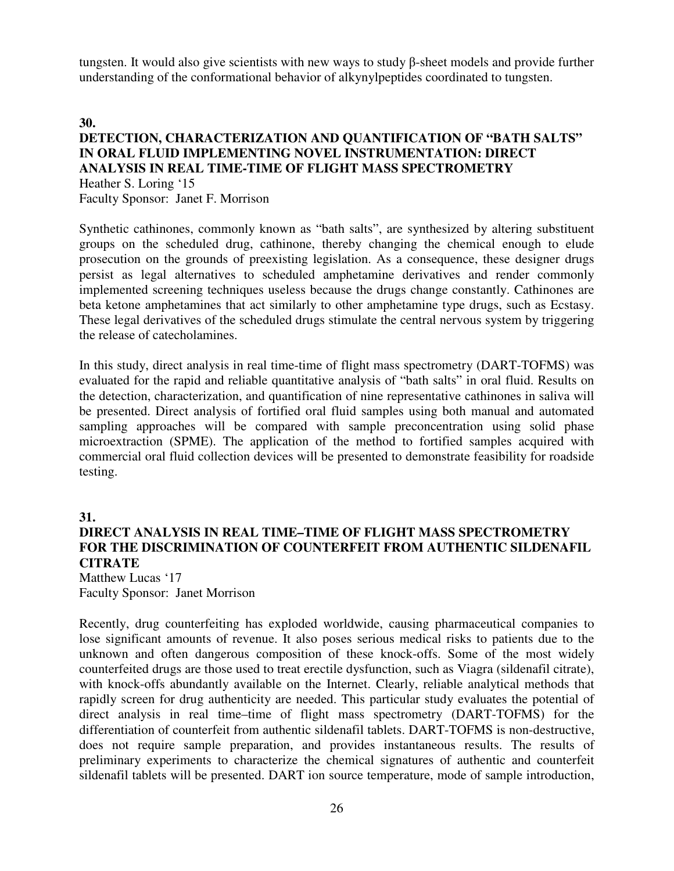tungsten. It would also give scientists with new ways to study β-sheet models and provide further understanding of the conformational behavior of alkynylpeptides coordinated to tungsten.

#### **30.**

#### **DETECTION, CHARACTERIZATION AND QUANTIFICATION OF "BATH SALTS" IN ORAL FLUID IMPLEMENTING NOVEL INSTRUMENTATION: DIRECT ANALYSIS IN REAL TIME-TIME OF FLIGHT MASS SPECTROMETRY**

Heather S. Loring '15 Faculty Sponsor: Janet F. Morrison

Synthetic cathinones, commonly known as "bath salts", are synthesized by altering substituent groups on the scheduled drug, cathinone, thereby changing the chemical enough to elude prosecution on the grounds of preexisting legislation. As a consequence, these designer drugs persist as legal alternatives to scheduled amphetamine derivatives and render commonly implemented screening techniques useless because the drugs change constantly. Cathinones are beta ketone amphetamines that act similarly to other amphetamine type drugs, such as Ecstasy. These legal derivatives of the scheduled drugs stimulate the central nervous system by triggering the release of catecholamines.

In this study, direct analysis in real time-time of flight mass spectrometry (DART-TOFMS) was evaluated for the rapid and reliable quantitative analysis of "bath salts" in oral fluid. Results on the detection, characterization, and quantification of nine representative cathinones in saliva will be presented. Direct analysis of fortified oral fluid samples using both manual and automated sampling approaches will be compared with sample preconcentration using solid phase microextraction (SPME). The application of the method to fortified samples acquired with commercial oral fluid collection devices will be presented to demonstrate feasibility for roadside testing.

**31.** 

### **DIRECT ANALYSIS IN REAL TIME–TIME OF FLIGHT MASS SPECTROMETRY FOR THE DISCRIMINATION OF COUNTERFEIT FROM AUTHENTIC SILDENAFIL CITRATE**

Matthew Lucas '17 Faculty Sponsor: Janet Morrison

Recently, drug counterfeiting has exploded worldwide, causing pharmaceutical companies to lose significant amounts of revenue. It also poses serious medical risks to patients due to the unknown and often dangerous composition of these knock-offs. Some of the most widely counterfeited drugs are those used to treat erectile dysfunction, such as Viagra (sildenafil citrate), with knock-offs abundantly available on the Internet. Clearly, reliable analytical methods that rapidly screen for drug authenticity are needed. This particular study evaluates the potential of direct analysis in real time–time of flight mass spectrometry (DART-TOFMS) for the differentiation of counterfeit from authentic sildenafil tablets. DART-TOFMS is non-destructive, does not require sample preparation, and provides instantaneous results. The results of preliminary experiments to characterize the chemical signatures of authentic and counterfeit sildenafil tablets will be presented. DART ion source temperature, mode of sample introduction,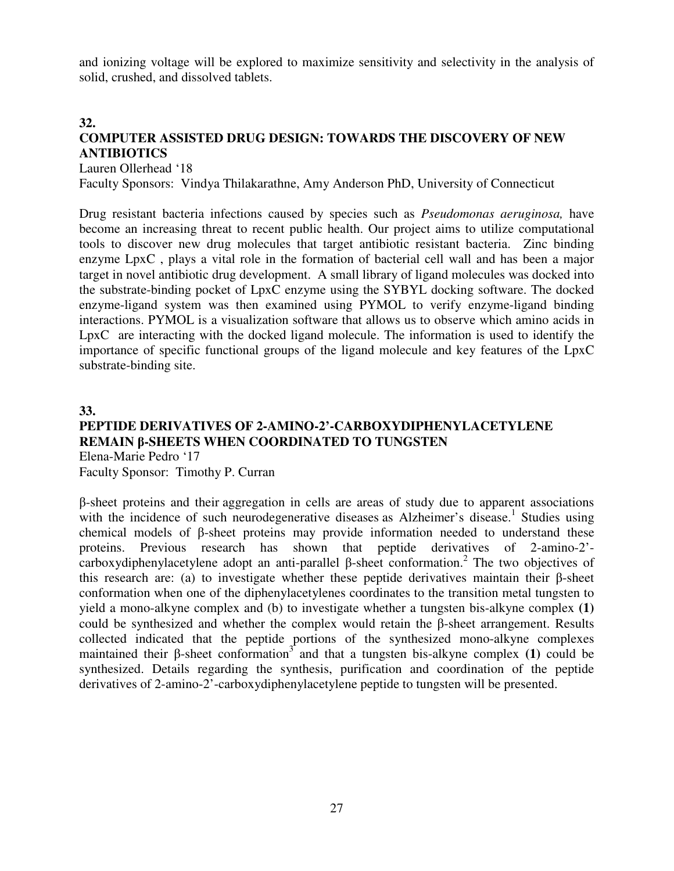and ionizing voltage will be explored to maximize sensitivity and selectivity in the analysis of solid, crushed, and dissolved tablets.

#### **32.**

#### **COMPUTER ASSISTED DRUG DESIGN: TOWARDS THE DISCOVERY OF NEW ANTIBIOTICS**

Lauren Ollerhead '18

Faculty Sponsors: Vindya Thilakarathne, Amy Anderson PhD, University of Connecticut

Drug resistant bacteria infections caused by species such as *Pseudomonas aeruginosa,* have become an increasing threat to recent public health. Our project aims to utilize computational tools to discover new drug molecules that target antibiotic resistant bacteria. Zinc binding enzyme LpxC , plays a vital role in the formation of bacterial cell wall and has been a major target in novel antibiotic drug development. A small library of ligand molecules was docked into the substrate-binding pocket of LpxC enzyme using the SYBYL docking software. The docked enzyme-ligand system was then examined using PYMOL to verify enzyme-ligand binding interactions. PYMOL is a visualization software that allows us to observe which amino acids in LpxC are interacting with the docked ligand molecule. The information is used to identify the importance of specific functional groups of the ligand molecule and key features of the LpxC substrate-binding site.

### **33. PEPTIDE DERIVATIVES OF 2-AMINO-2'-CARBOXYDIPHENYLACETYLENE REMAIN** β**-SHEETS WHEN COORDINATED TO TUNGSTEN**  Elena-Marie Pedro '17

Faculty Sponsor: Timothy P. Curran

β-sheet proteins and their aggregation in cells are areas of study due to apparent associations with the incidence of such neurodegenerative diseases as Alzheimer's disease.<sup>1</sup> Studies using chemical models of β-sheet proteins may provide information needed to understand these proteins. Previous research has shown that peptide derivatives of 2-amino-2' carboxydiphenylacetylene adopt an anti-parallel  $\beta$ -sheet conformation.<sup>2</sup> The two objectives of this research are: (a) to investigate whether these peptide derivatives maintain their β-sheet conformation when one of the diphenylacetylenes coordinates to the transition metal tungsten to yield a mono-alkyne complex and (b) to investigate whether a tungsten bis-alkyne complex **(1)** could be synthesized and whether the complex would retain the β-sheet arrangement. Results collected indicated that the peptide portions of the synthesized mono-alkyne complexes maintained their  $\beta$ -sheet conformation<sup>3</sup> and that a tungsten bis-alkyne complex **(1)** could be synthesized. Details regarding the synthesis, purification and coordination of the peptide derivatives of 2-amino-2'-carboxydiphenylacetylene peptide to tungsten will be presented.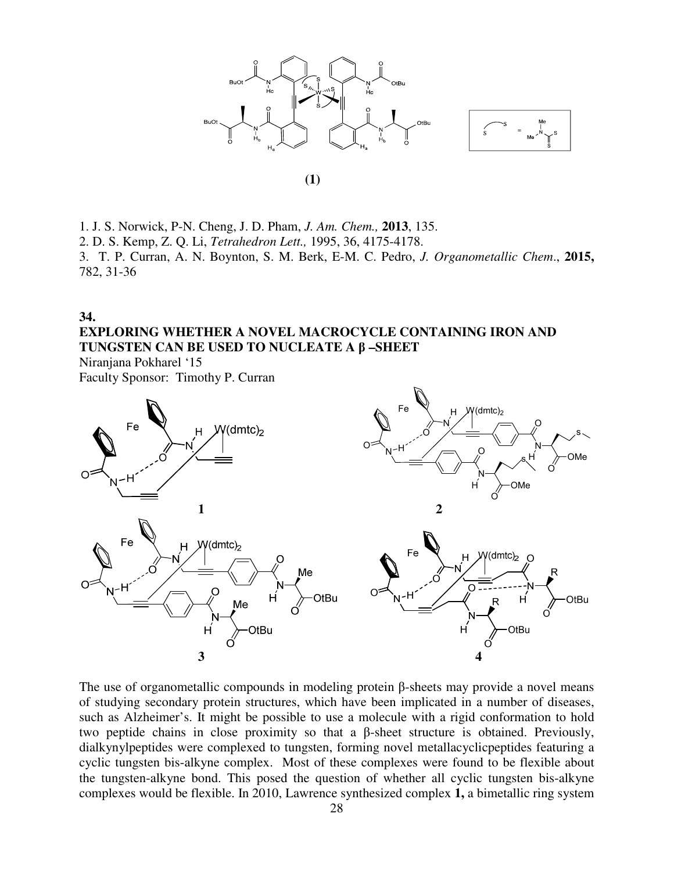

**(1)** 



 1. J. S. Norwick, P-N. Cheng, J. D. Pham, *J. Am. Chem.,* **2013**, 135. 2. D. S. Kemp, Z. Q. Li, *Tetrahedron Lett.,* 1995, 36, 4175-4178. 3. T. P. Curran, A. N. Boynton, S. M. Berk, E-M. C. Pedro, *J. Organometallic Chem*., **2015,**  782, 31-36

#### **34. EXPLORING WHETHER A NOVEL MACROCYCLE CONTAINING IRON AND TUNGSTEN CAN BE USED TO NUCLEATE A** β **–SHEET**

Niranjana Pokharel '15



The use of organometallic compounds in modeling protein β-sheets may provide a novel means of studying secondary protein structures, which have been implicated in a number of diseases, such as Alzheimer's. It might be possible to use a molecule with a rigid conformation to hold two peptide chains in close proximity so that a β-sheet structure is obtained. Previously, dialkynylpeptides were complexed to tungsten, forming novel metallacyclicpeptides featuring a cyclic tungsten bis-alkyne complex. Most of these complexes were found to be flexible about the tungsten-alkyne bond. This posed the question of whether all cyclic tungsten bis-alkyne complexes would be flexible. In 2010, Lawrence synthesized complex **1,** a bimetallic ring system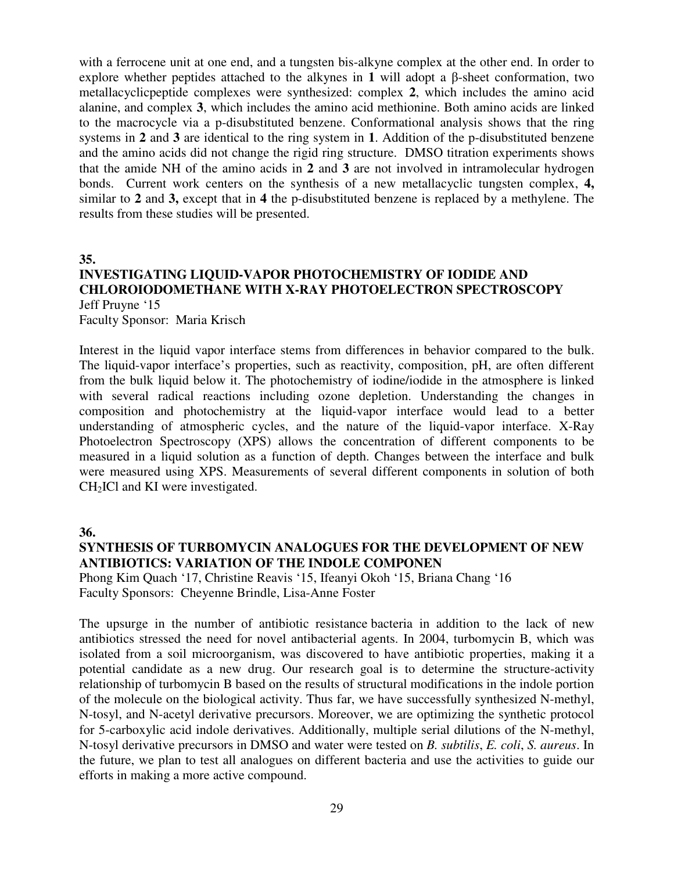with a ferrocene unit at one end, and a tungsten bis-alkyne complex at the other end. In order to explore whether peptides attached to the alkynes in **1** will adopt a β-sheet conformation, two metallacyclicpeptide complexes were synthesized: complex **2**, which includes the amino acid alanine, and complex **3**, which includes the amino acid methionine. Both amino acids are linked to the macrocycle via a p-disubstituted benzene. Conformational analysis shows that the ring systems in **2** and **3** are identical to the ring system in **1**. Addition of the p-disubstituted benzene and the amino acids did not change the rigid ring structure. DMSO titration experiments shows that the amide NH of the amino acids in **2** and **3** are not involved in intramolecular hydrogen bonds. Current work centers on the synthesis of a new metallacyclic tungsten complex, **4,**  similar to **2** and **3,** except that in **4** the p-disubstituted benzene is replaced by a methylene. The results from these studies will be presented.

**35.** 

#### **INVESTIGATING LIQUID-VAPOR PHOTOCHEMISTRY OF IODIDE AND CHLOROIODOMETHANE WITH X-RAY PHOTOELECTRON SPECTROSCOPY** Jeff Pruyne '15

Faculty Sponsor: Maria Krisch

Interest in the liquid vapor interface stems from differences in behavior compared to the bulk. The liquid-vapor interface's properties, such as reactivity, composition, pH, are often different from the bulk liquid below it. The photochemistry of iodine/iodide in the atmosphere is linked with several radical reactions including ozone depletion. Understanding the changes in composition and photochemistry at the liquid-vapor interface would lead to a better understanding of atmospheric cycles, and the nature of the liquid-vapor interface. X-Ray Photoelectron Spectroscopy (XPS) allows the concentration of different components to be measured in a liquid solution as a function of depth. Changes between the interface and bulk were measured using XPS. Measurements of several different components in solution of both CH2ICl and KI were investigated.

**36.** 

#### **SYNTHESIS OF TURBOMYCIN ANALOGUES FOR THE DEVELOPMENT OF NEW ANTIBIOTICS: VARIATION OF THE INDOLE COMPONEN**

Phong Kim Quach '17, Christine Reavis '15, Ifeanyi Okoh '15, Briana Chang '16 Faculty Sponsors: Cheyenne Brindle, Lisa-Anne Foster

The upsurge in the number of antibiotic resistance bacteria in addition to the lack of new antibiotics stressed the need for novel antibacterial agents. In 2004, turbomycin B, which was isolated from a soil microorganism, was discovered to have antibiotic properties, making it a potential candidate as a new drug. Our research goal is to determine the structure-activity relationship of turbomycin B based on the results of structural modifications in the indole portion of the molecule on the biological activity. Thus far, we have successfully synthesized N-methyl, N-tosyl, and N-acetyl derivative precursors. Moreover, we are optimizing the synthetic protocol for 5-carboxylic acid indole derivatives. Additionally, multiple serial dilutions of the N-methyl, N-tosyl derivative precursors in DMSO and water were tested on *B. subtilis*, *E. coli*, *S. aureus*. In the future, we plan to test all analogues on different bacteria and use the activities to guide our efforts in making a more active compound.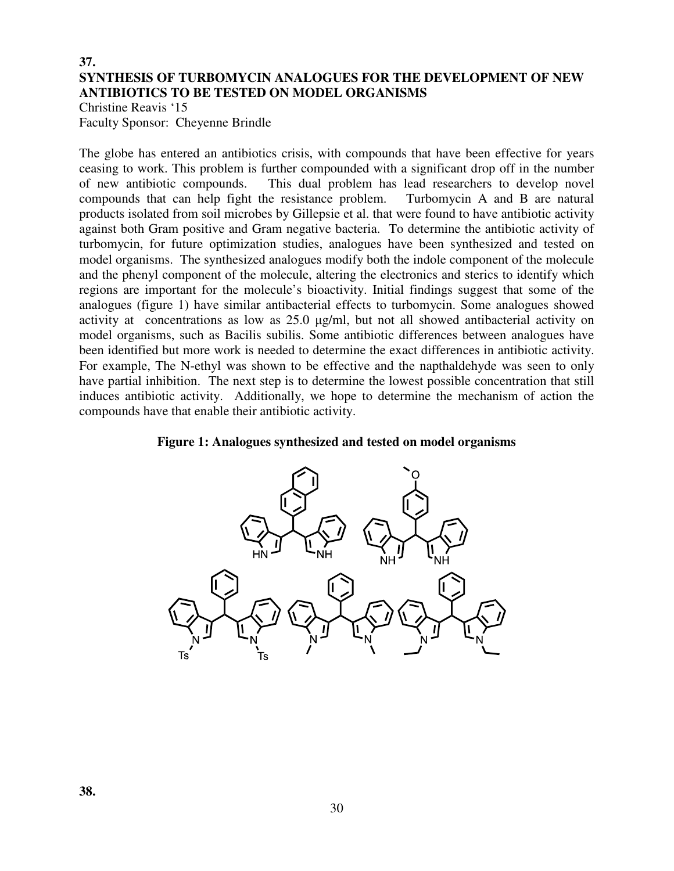#### **37. SYNTHESIS OF TURBOMYCIN ANALOGUES FOR THE DEVELOPMENT OF NEW ANTIBIOTICS TO BE TESTED ON MODEL ORGANISMS**

Christine Reavis '15

Faculty Sponsor: Cheyenne Brindle

The globe has entered an antibiotics crisis, with compounds that have been effective for years ceasing to work. This problem is further compounded with a significant drop off in the number<br>of new antibiotic compounds. This dual problem has lead researchers to develop novel This dual problem has lead researchers to develop novel compounds that can help fight the resistance problem. Turbomycin A and B are natural products isolated from soil microbes by Gillepsie et al. that were found to have antibiotic activity against both Gram positive and Gram negative bacteria. To determine the antibiotic activity of turbomycin, for future optimization studies, analogues have been synthesized and tested on model organisms. The synthesized analogues modify both the indole component of the molecule and the phenyl component of the molecule, altering the electronics and sterics to identify which regions are important for the molecule's bioactivity. Initial findings suggest that some of the analogues (figure 1) have similar antibacterial effects to turbomycin. Some analogues showed activity at concentrations as low as 25.0 µg/ml, but not all showed antibacterial activity on model organisms, such as Bacilis subilis. Some antibiotic differences between analogues have been identified but more work is needed to determine the exact differences in antibiotic activity. For example, The N-ethyl was shown to be effective and the napthaldehyde was seen to only have partial inhibition. The next step is to determine the lowest possible concentration that still induces antibiotic activity. Additionally, we hope to determine the mechanism of action the compounds have that enable their antibiotic activity.



**Figure 1: Analogues synthesized and tested on model organisms**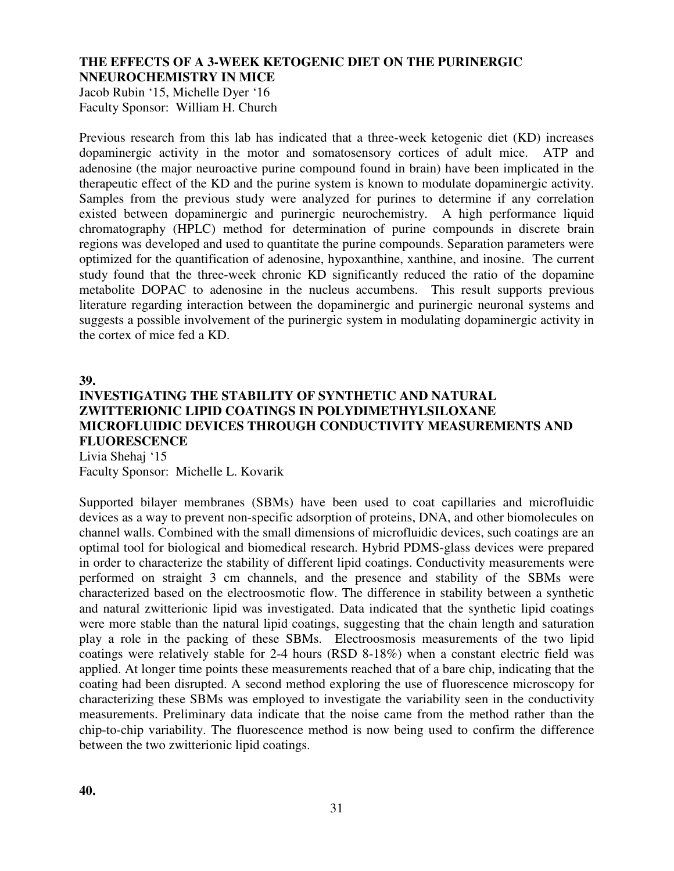#### **THE EFFECTS OF A 3-WEEK KETOGENIC DIET ON THE PURINERGIC NNEUROCHEMISTRY IN MICE**

Jacob Rubin '15, Michelle Dyer '16 Faculty Sponsor: William H. Church

Previous research from this lab has indicated that a three-week ketogenic diet (KD) increases dopaminergic activity in the motor and somatosensory cortices of adult mice. ATP and adenosine (the major neuroactive purine compound found in brain) have been implicated in the therapeutic effect of the KD and the purine system is known to modulate dopaminergic activity. Samples from the previous study were analyzed for purines to determine if any correlation existed between dopaminergic and purinergic neurochemistry. A high performance liquid chromatography (HPLC) method for determination of purine compounds in discrete brain regions was developed and used to quantitate the purine compounds. Separation parameters were optimized for the quantification of adenosine, hypoxanthine, xanthine, and inosine. The current study found that the three-week chronic KD significantly reduced the ratio of the dopamine metabolite DOPAC to adenosine in the nucleus accumbens. This result supports previous literature regarding interaction between the dopaminergic and purinergic neuronal systems and suggests a possible involvement of the purinergic system in modulating dopaminergic activity in the cortex of mice fed a KD.

**39.** 

#### **INVESTIGATING THE STABILITY OF SYNTHETIC AND NATURAL ZWITTERIONIC LIPID COATINGS IN POLYDIMETHYLSILOXANE MICROFLUIDIC DEVICES THROUGH CONDUCTIVITY MEASUREMENTS AND FLUORESCENCE**

Livia Shehaj '15 Faculty Sponsor: Michelle L. Kovarik

Supported bilayer membranes (SBMs) have been used to coat capillaries and microfluidic devices as a way to prevent non-specific adsorption of proteins, DNA, and other biomolecules on channel walls. Combined with the small dimensions of microfluidic devices, such coatings are an optimal tool for biological and biomedical research. Hybrid PDMS-glass devices were prepared in order to characterize the stability of different lipid coatings. Conductivity measurements were performed on straight 3 cm channels, and the presence and stability of the SBMs were characterized based on the electroosmotic flow. The difference in stability between a synthetic and natural zwitterionic lipid was investigated. Data indicated that the synthetic lipid coatings were more stable than the natural lipid coatings, suggesting that the chain length and saturation play a role in the packing of these SBMs. Electroosmosis measurements of the two lipid coatings were relatively stable for 2-4 hours (RSD 8-18%) when a constant electric field was applied. At longer time points these measurements reached that of a bare chip, indicating that the coating had been disrupted. A second method exploring the use of fluorescence microscopy for characterizing these SBMs was employed to investigate the variability seen in the conductivity measurements. Preliminary data indicate that the noise came from the method rather than the chip-to-chip variability. The fluorescence method is now being used to confirm the difference between the two zwitterionic lipid coatings.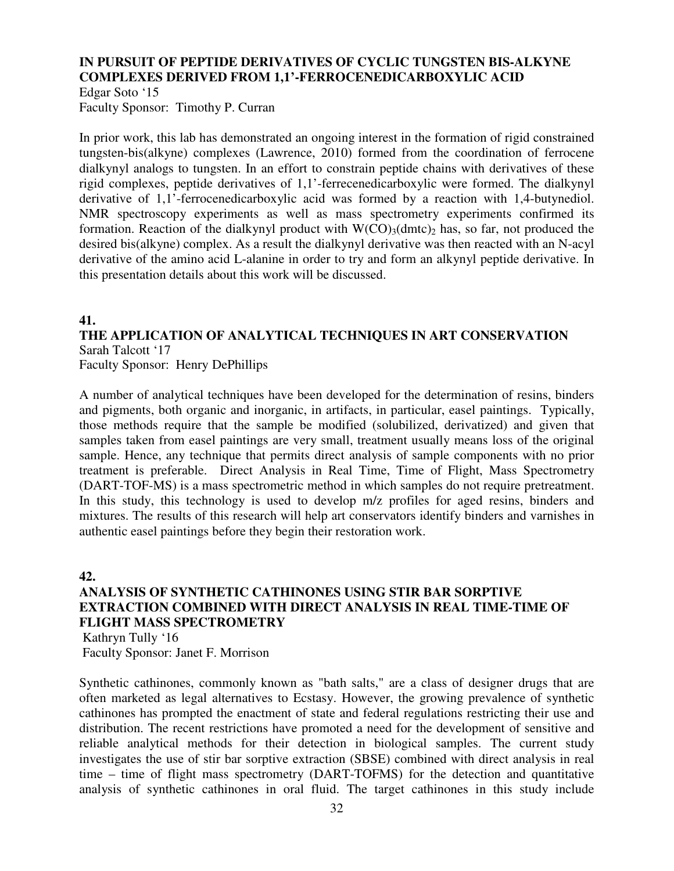### **IN PURSUIT OF PEPTIDE DERIVATIVES OF CYCLIC TUNGSTEN BIS-ALKYNE COMPLEXES DERIVED FROM 1,1'-FERROCENEDICARBOXYLIC ACID**

Edgar Soto '15

Faculty Sponsor: Timothy P. Curran

In prior work, this lab has demonstrated an ongoing interest in the formation of rigid constrained tungsten-bis(alkyne) complexes (Lawrence, 2010) formed from the coordination of ferrocene dialkynyl analogs to tungsten. In an effort to constrain peptide chains with derivatives of these rigid complexes, peptide derivatives of 1,1'-ferrecenedicarboxylic were formed. The dialkynyl derivative of 1,1'-ferrocenedicarboxylic acid was formed by a reaction with 1,4-butynediol. NMR spectroscopy experiments as well as mass spectrometry experiments confirmed its formation. Reaction of the dialkynyl product with  $W(CO)$ <sub>3</sub>(dmtc)<sub>2</sub> has, so far, not produced the desired bis(alkyne) complex. As a result the dialkynyl derivative was then reacted with an N-acyl derivative of the amino acid L-alanine in order to try and form an alkynyl peptide derivative. In this presentation details about this work will be discussed.

#### **41. THE APPLICATION OF ANALYTICAL TECHNIQUES IN ART CONSERVATION**  Sarah Talcott '17

Faculty Sponsor: Henry DePhillips

A number of analytical techniques have been developed for the determination of resins, binders and pigments, both organic and inorganic, in artifacts, in particular, easel paintings. Typically, those methods require that the sample be modified (solubilized, derivatized) and given that samples taken from easel paintings are very small, treatment usually means loss of the original sample. Hence, any technique that permits direct analysis of sample components with no prior treatment is preferable. Direct Analysis in Real Time, Time of Flight, Mass Spectrometry (DART-TOF-MS) is a mass spectrometric method in which samples do not require pretreatment. In this study, this technology is used to develop m/z profiles for aged resins, binders and mixtures. The results of this research will help art conservators identify binders and varnishes in authentic easel paintings before they begin their restoration work.

**42.** 

### **ANALYSIS OF SYNTHETIC CATHINONES USING STIR BAR SORPTIVE EXTRACTION COMBINED WITH DIRECT ANALYSIS IN REAL TIME-TIME OF FLIGHT MASS SPECTROMETRY**

 Kathryn Tully '16 Faculty Sponsor: Janet F. Morrison

Synthetic cathinones, commonly known as "bath salts," are a class of designer drugs that are often marketed as legal alternatives to Ecstasy. However, the growing prevalence of synthetic cathinones has prompted the enactment of state and federal regulations restricting their use and distribution. The recent restrictions have promoted a need for the development of sensitive and reliable analytical methods for their detection in biological samples. The current study investigates the use of stir bar sorptive extraction (SBSE) combined with direct analysis in real time – time of flight mass spectrometry (DART-TOFMS) for the detection and quantitative analysis of synthetic cathinones in oral fluid. The target cathinones in this study include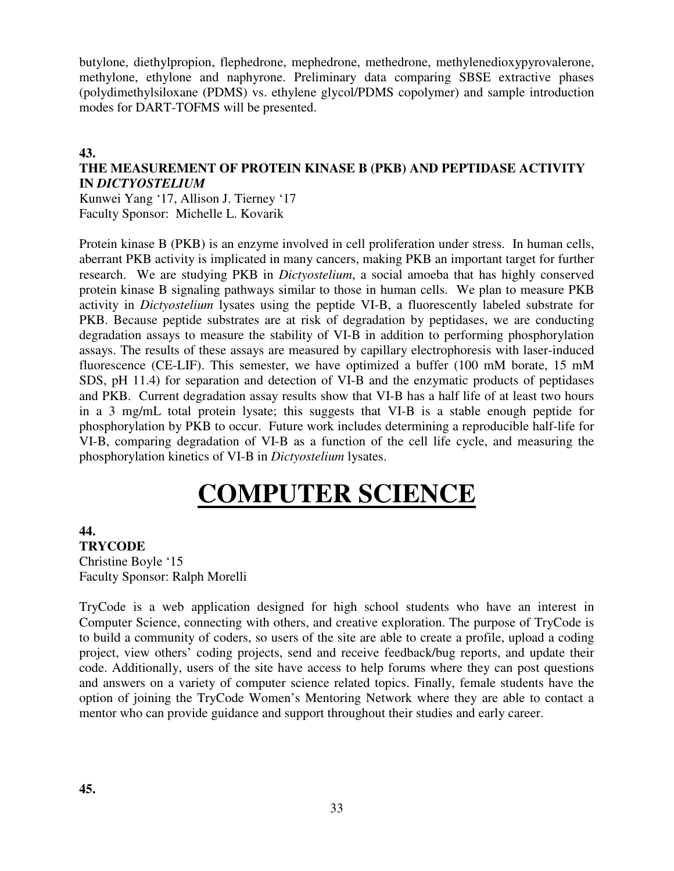butylone, diethylpropion, flephedrone, mephedrone, methedrone, methylenedioxypyrovalerone, methylone, ethylone and naphyrone. Preliminary data comparing SBSE extractive phases (polydimethylsiloxane (PDMS) vs. ethylene glycol/PDMS copolymer) and sample introduction modes for DART-TOFMS will be presented.

#### **43.**

#### **THE MEASUREMENT OF PROTEIN KINASE B (PKB) AND PEPTIDASE ACTIVITY IN** *DICTYOSTELIUM*

Kunwei Yang '17, Allison J. Tierney '17 Faculty Sponsor: Michelle L. Kovarik

Protein kinase B (PKB) is an enzyme involved in cell proliferation under stress. In human cells, aberrant PKB activity is implicated in many cancers, making PKB an important target for further research. We are studying PKB in *Dictyostelium*, a social amoeba that has highly conserved protein kinase B signaling pathways similar to those in human cells. We plan to measure PKB activity in *Dictyostelium* lysates using the peptide VI-B, a fluorescently labeled substrate for PKB. Because peptide substrates are at risk of degradation by peptidases, we are conducting degradation assays to measure the stability of VI-B in addition to performing phosphorylation assays. The results of these assays are measured by capillary electrophoresis with laser-induced fluorescence (CE-LIF). This semester, we have optimized a buffer (100 mM borate, 15 mM SDS, pH 11.4) for separation and detection of VI-B and the enzymatic products of peptidases and PKB. Current degradation assay results show that VI-B has a half life of at least two hours in a 3 mg/mL total protein lysate; this suggests that VI-B is a stable enough peptide for phosphorylation by PKB to occur. Future work includes determining a reproducible half-life for VI-B, comparing degradation of VI-B as a function of the cell life cycle, and measuring the phosphorylation kinetics of VI-B in *Dictyostelium* lysates.

# **COMPUTER SCIENCE**

#### **44. TRYCODE**  Christine Boyle '15 Faculty Sponsor: Ralph Morelli

TryCode is a web application designed for high school students who have an interest in Computer Science, connecting with others, and creative exploration. The purpose of TryCode is to build a community of coders, so users of the site are able to create a profile, upload a coding project, view others' coding projects, send and receive feedback/bug reports, and update their code. Additionally, users of the site have access to help forums where they can post questions and answers on a variety of computer science related topics. Finally, female students have the option of joining the TryCode Women's Mentoring Network where they are able to contact a mentor who can provide guidance and support throughout their studies and early career.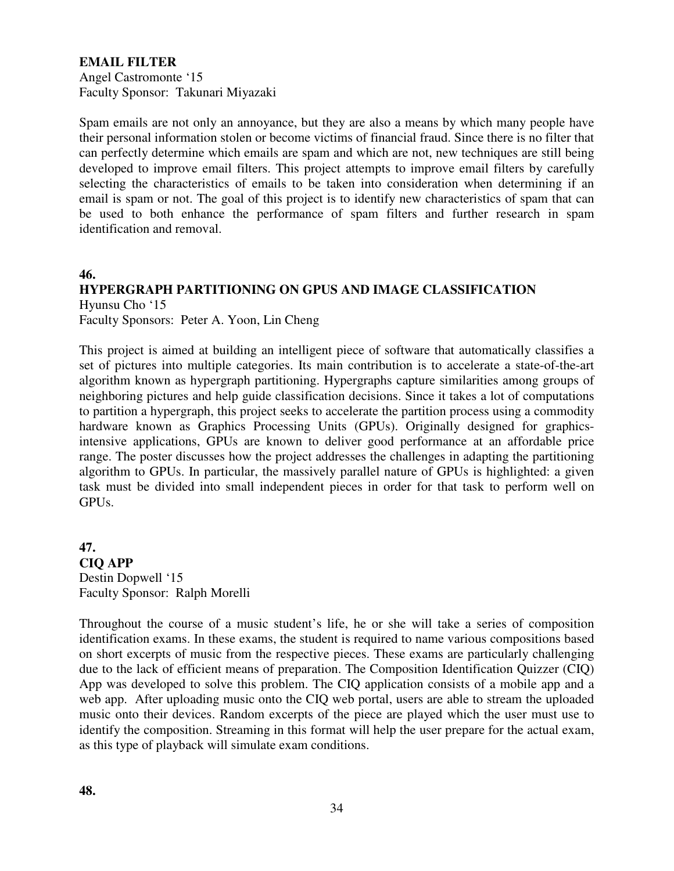#### **EMAIL FILTER**

Angel Castromonte '15 Faculty Sponsor: Takunari Miyazaki

Spam emails are not only an annoyance, but they are also a means by which many people have their personal information stolen or become victims of financial fraud. Since there is no filter that can perfectly determine which emails are spam and which are not, new techniques are still being developed to improve email filters. This project attempts to improve email filters by carefully selecting the characteristics of emails to be taken into consideration when determining if an email is spam or not. The goal of this project is to identify new characteristics of spam that can be used to both enhance the performance of spam filters and further research in spam identification and removal.

#### **46.**

#### **HYPERGRAPH PARTITIONING ON GPUS AND IMAGE CLASSIFICATION** Hyunsu Cho '15

Faculty Sponsors: Peter A. Yoon, Lin Cheng

This project is aimed at building an intelligent piece of software that automatically classifies a set of pictures into multiple categories. Its main contribution is to accelerate a state-of-the-art algorithm known as hypergraph partitioning. Hypergraphs capture similarities among groups of neighboring pictures and help guide classification decisions. Since it takes a lot of computations to partition a hypergraph, this project seeks to accelerate the partition process using a commodity hardware known as Graphics Processing Units (GPUs). Originally designed for graphicsintensive applications, GPUs are known to deliver good performance at an affordable price range. The poster discusses how the project addresses the challenges in adapting the partitioning algorithm to GPUs. In particular, the massively parallel nature of GPUs is highlighted: a given task must be divided into small independent pieces in order for that task to perform well on GPUs.

#### **47. CIQ APP**  Destin Dopwell '15 Faculty Sponsor: Ralph Morelli

Throughout the course of a music student's life, he or she will take a series of composition identification exams. In these exams, the student is required to name various compositions based on short excerpts of music from the respective pieces. These exams are particularly challenging due to the lack of efficient means of preparation. The Composition Identification Quizzer (CIQ) App was developed to solve this problem. The CIQ application consists of a mobile app and a web app. After uploading music onto the CIQ web portal, users are able to stream the uploaded music onto their devices. Random excerpts of the piece are played which the user must use to identify the composition. Streaming in this format will help the user prepare for the actual exam, as this type of playback will simulate exam conditions.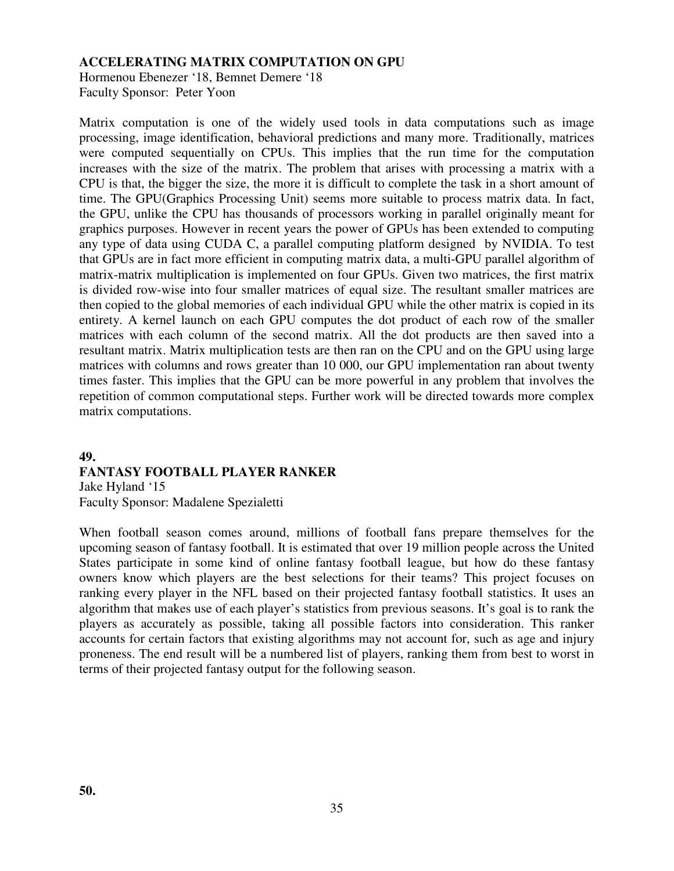#### **ACCELERATING MATRIX COMPUTATION ON GPU**

Hormenou Ebenezer '18, Bemnet Demere '18 Faculty Sponsor: Peter Yoon

Matrix computation is one of the widely used tools in data computations such as image processing, image identification, behavioral predictions and many more. Traditionally, matrices were computed sequentially on CPUs. This implies that the run time for the computation increases with the size of the matrix. The problem that arises with processing a matrix with a CPU is that, the bigger the size, the more it is difficult to complete the task in a short amount of time. The GPU(Graphics Processing Unit) seems more suitable to process matrix data. In fact, the GPU, unlike the CPU has thousands of processors working in parallel originally meant for graphics purposes. However in recent years the power of GPUs has been extended to computing any type of data using CUDA C, a parallel computing platform designed by NVIDIA. To test that GPUs are in fact more efficient in computing matrix data, a multi-GPU parallel algorithm of matrix-matrix multiplication is implemented on four GPUs. Given two matrices, the first matrix is divided row-wise into four smaller matrices of equal size. The resultant smaller matrices are then copied to the global memories of each individual GPU while the other matrix is copied in its entirety. A kernel launch on each GPU computes the dot product of each row of the smaller matrices with each column of the second matrix. All the dot products are then saved into a resultant matrix. Matrix multiplication tests are then ran on the CPU and on the GPU using large matrices with columns and rows greater than 10 000, our GPU implementation ran about twenty times faster. This implies that the GPU can be more powerful in any problem that involves the repetition of common computational steps. Further work will be directed towards more complex matrix computations.

#### **49. FANTASY FOOTBALL PLAYER RANKER**  Jake Hyland '15

Faculty Sponsor: Madalene Spezialetti

When football season comes around, millions of football fans prepare themselves for the upcoming season of fantasy football. It is estimated that over 19 million people across the United States participate in some kind of online fantasy football league, but how do these fantasy owners know which players are the best selections for their teams? This project focuses on ranking every player in the NFL based on their projected fantasy football statistics. It uses an algorithm that makes use of each player's statistics from previous seasons. It's goal is to rank the players as accurately as possible, taking all possible factors into consideration. This ranker accounts for certain factors that existing algorithms may not account for, such as age and injury proneness. The end result will be a numbered list of players, ranking them from best to worst in terms of their projected fantasy output for the following season.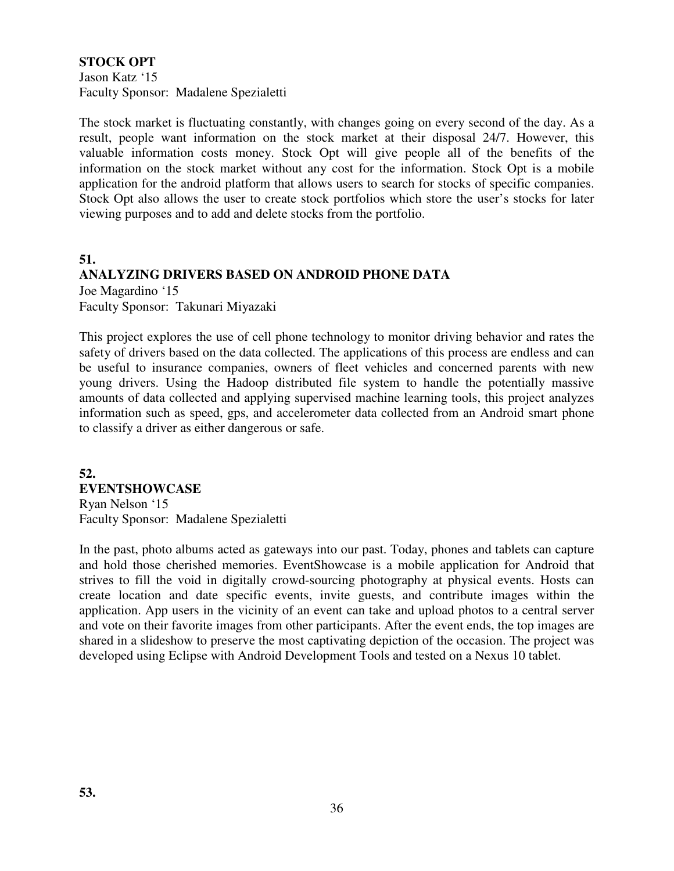#### **STOCK OPT**

Jason Katz '15 Faculty Sponsor: Madalene Spezialetti

The stock market is fluctuating constantly, with changes going on every second of the day. As a result, people want information on the stock market at their disposal 24/7. However, this valuable information costs money. Stock Opt will give people all of the benefits of the information on the stock market without any cost for the information. Stock Opt is a mobile application for the android platform that allows users to search for stocks of specific companies. Stock Opt also allows the user to create stock portfolios which store the user's stocks for later viewing purposes and to add and delete stocks from the portfolio.

#### **51. ANALYZING DRIVERS BASED ON ANDROID PHONE DATA**  Joe Magardino '15

Faculty Sponsor: Takunari Miyazaki

This project explores the use of cell phone technology to monitor driving behavior and rates the safety of drivers based on the data collected. The applications of this process are endless and can be useful to insurance companies, owners of fleet vehicles and concerned parents with new young drivers. Using the Hadoop distributed file system to handle the potentially massive amounts of data collected and applying supervised machine learning tools, this project analyzes information such as speed, gps, and accelerometer data collected from an Android smart phone to classify a driver as either dangerous or safe.

**52. EVENTSHOWCASE**  Ryan Nelson '15 Faculty Sponsor: Madalene Spezialetti

In the past, photo albums acted as gateways into our past. Today, phones and tablets can capture and hold those cherished memories. EventShowcase is a mobile application for Android that strives to fill the void in digitally crowd-sourcing photography at physical events. Hosts can create location and date specific events, invite guests, and contribute images within the application. App users in the vicinity of an event can take and upload photos to a central server and vote on their favorite images from other participants. After the event ends, the top images are shared in a slideshow to preserve the most captivating depiction of the occasion. The project was developed using Eclipse with Android Development Tools and tested on a Nexus 10 tablet.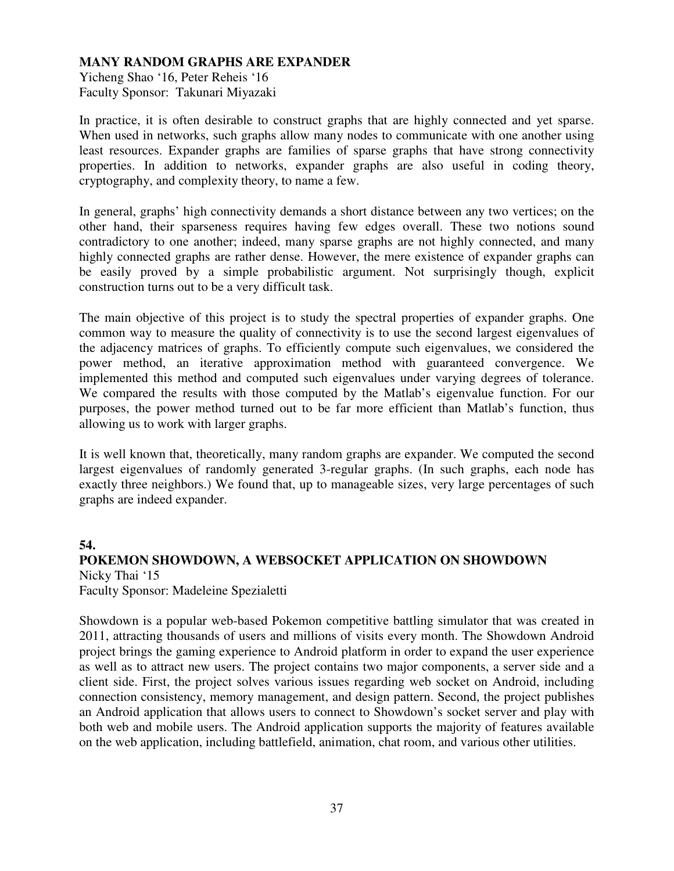#### **MANY RANDOM GRAPHS ARE EXPANDER**

Yicheng Shao '16, Peter Reheis '16 Faculty Sponsor: Takunari Miyazaki

In practice, it is often desirable to construct graphs that are highly connected and yet sparse. When used in networks, such graphs allow many nodes to communicate with one another using least resources. Expander graphs are families of sparse graphs that have strong connectivity properties. In addition to networks, expander graphs are also useful in coding theory, cryptography, and complexity theory, to name a few.

In general, graphs' high connectivity demands a short distance between any two vertices; on the other hand, their sparseness requires having few edges overall. These two notions sound contradictory to one another; indeed, many sparse graphs are not highly connected, and many highly connected graphs are rather dense. However, the mere existence of expander graphs can be easily proved by a simple probabilistic argument. Not surprisingly though, explicit construction turns out to be a very difficult task.

The main objective of this project is to study the spectral properties of expander graphs. One common way to measure the quality of connectivity is to use the second largest eigenvalues of the adjacency matrices of graphs. To efficiently compute such eigenvalues, we considered the power method, an iterative approximation method with guaranteed convergence. We implemented this method and computed such eigenvalues under varying degrees of tolerance. We compared the results with those computed by the Matlab's eigenvalue function. For our purposes, the power method turned out to be far more efficient than Matlab's function, thus allowing us to work with larger graphs.

It is well known that, theoretically, many random graphs are expander. We computed the second largest eigenvalues of randomly generated 3-regular graphs. (In such graphs, each node has exactly three neighbors.) We found that, up to manageable sizes, very large percentages of such graphs are indeed expander.

#### **54.**

#### **POKEMON SHOWDOWN, A WEBSOCKET APPLICATION ON SHOWDOWN**  Nicky Thai '15

Faculty Sponsor: Madeleine Spezialetti

Showdown is a popular web-based Pokemon competitive battling simulator that was created in 2011, attracting thousands of users and millions of visits every month. The Showdown Android project brings the gaming experience to Android platform in order to expand the user experience as well as to attract new users. The project contains two major components, a server side and a client side. First, the project solves various issues regarding web socket on Android, including connection consistency, memory management, and design pattern. Second, the project publishes an Android application that allows users to connect to Showdown's socket server and play with both web and mobile users. The Android application supports the majority of features available on the web application, including battlefield, animation, chat room, and various other utilities.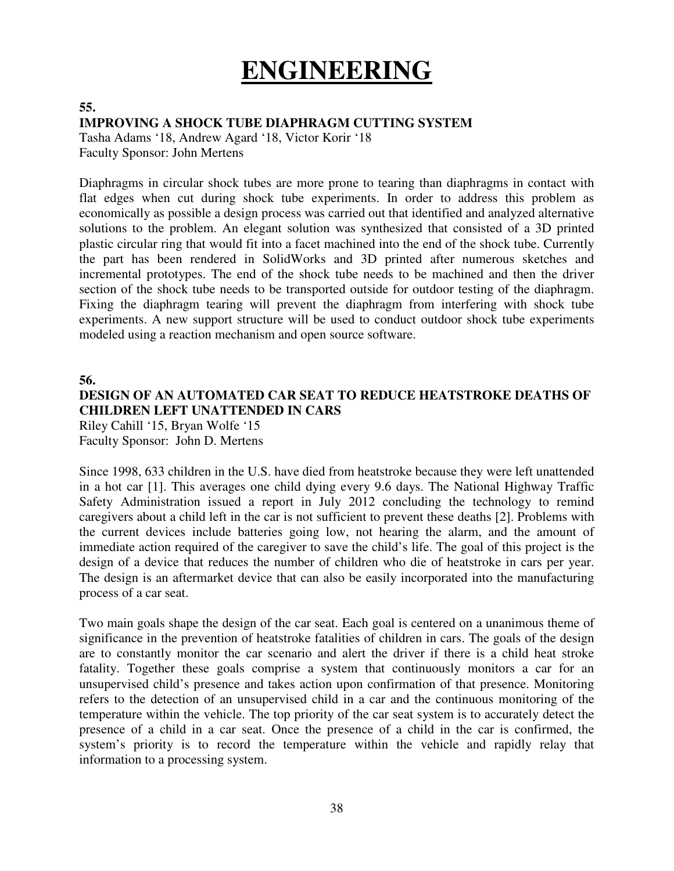# **ENGINEERING**

#### **55.**

#### **IMPROVING A SHOCK TUBE DIAPHRAGM CUTTING SYSTEM**

Tasha Adams '18, Andrew Agard '18, Victor Korir '18 Faculty Sponsor: John Mertens

Diaphragms in circular shock tubes are more prone to tearing than diaphragms in contact with flat edges when cut during shock tube experiments. In order to address this problem as economically as possible a design process was carried out that identified and analyzed alternative solutions to the problem. An elegant solution was synthesized that consisted of a 3D printed plastic circular ring that would fit into a facet machined into the end of the shock tube. Currently the part has been rendered in SolidWorks and 3D printed after numerous sketches and incremental prototypes. The end of the shock tube needs to be machined and then the driver section of the shock tube needs to be transported outside for outdoor testing of the diaphragm. Fixing the diaphragm tearing will prevent the diaphragm from interfering with shock tube experiments. A new support structure will be used to conduct outdoor shock tube experiments modeled using a reaction mechanism and open source software.

**56.** 

#### **DESIGN OF AN AUTOMATED CAR SEAT TO REDUCE HEATSTROKE DEATHS OF CHILDREN LEFT UNATTENDED IN CARS**

Riley Cahill '15, Bryan Wolfe '15 Faculty Sponsor: John D. Mertens

Since 1998, 633 children in the U.S. have died from heatstroke because they were left unattended in a hot car [1]. This averages one child dying every 9.6 days. The National Highway Traffic Safety Administration issued a report in July 2012 concluding the technology to remind caregivers about a child left in the car is not sufficient to prevent these deaths [2]. Problems with the current devices include batteries going low, not hearing the alarm, and the amount of immediate action required of the caregiver to save the child's life. The goal of this project is the design of a device that reduces the number of children who die of heatstroke in cars per year. The design is an aftermarket device that can also be easily incorporated into the manufacturing process of a car seat.

Two main goals shape the design of the car seat. Each goal is centered on a unanimous theme of significance in the prevention of heatstroke fatalities of children in cars. The goals of the design are to constantly monitor the car scenario and alert the driver if there is a child heat stroke fatality. Together these goals comprise a system that continuously monitors a car for an unsupervised child's presence and takes action upon confirmation of that presence. Monitoring refers to the detection of an unsupervised child in a car and the continuous monitoring of the temperature within the vehicle. The top priority of the car seat system is to accurately detect the presence of a child in a car seat. Once the presence of a child in the car is confirmed, the system's priority is to record the temperature within the vehicle and rapidly relay that information to a processing system.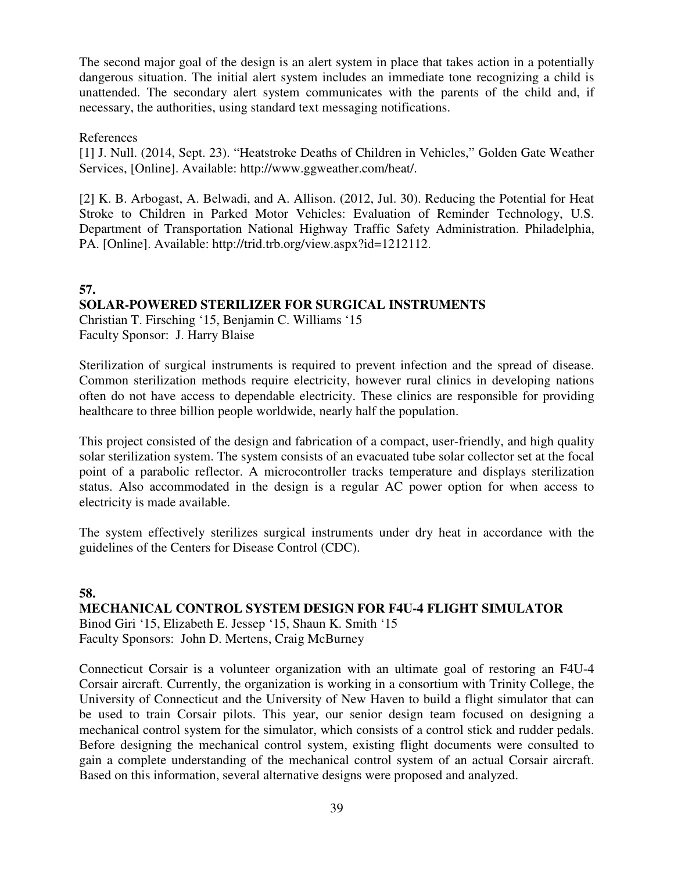The second major goal of the design is an alert system in place that takes action in a potentially dangerous situation. The initial alert system includes an immediate tone recognizing a child is unattended. The secondary alert system communicates with the parents of the child and, if necessary, the authorities, using standard text messaging notifications.

References

[1] J. Null. (2014, Sept. 23). "Heatstroke Deaths of Children in Vehicles," Golden Gate Weather Services, [Online]. Available: http://www.ggweather.com/heat/.

[2] K. B. Arbogast, A. Belwadi, and A. Allison. (2012, Jul. 30). Reducing the Potential for Heat Stroke to Children in Parked Motor Vehicles: Evaluation of Reminder Technology, U.S. Department of Transportation National Highway Traffic Safety Administration. Philadelphia, PA. [Online]. Available: http://trid.trb.org/view.aspx?id=1212112.

#### **57.**

#### **SOLAR-POWERED STERILIZER FOR SURGICAL INSTRUMENTS**

Christian T. Firsching '15, Benjamin C. Williams '15 Faculty Sponsor: J. Harry Blaise

Sterilization of surgical instruments is required to prevent infection and the spread of disease. Common sterilization methods require electricity, however rural clinics in developing nations often do not have access to dependable electricity. These clinics are responsible for providing healthcare to three billion people worldwide, nearly half the population.

This project consisted of the design and fabrication of a compact, user-friendly, and high quality solar sterilization system. The system consists of an evacuated tube solar collector set at the focal point of a parabolic reflector. A microcontroller tracks temperature and displays sterilization status. Also accommodated in the design is a regular AC power option for when access to electricity is made available.

The system effectively sterilizes surgical instruments under dry heat in accordance with the guidelines of the Centers for Disease Control (CDC).

#### **58.**

#### **MECHANICAL CONTROL SYSTEM DESIGN FOR F4U-4 FLIGHT SIMULATOR**  Binod Giri '15, Elizabeth E. Jessep '15, Shaun K. Smith '15 Faculty Sponsors: John D. Mertens, Craig McBurney

Connecticut Corsair is a volunteer organization with an ultimate goal of restoring an F4U-4 Corsair aircraft. Currently, the organization is working in a consortium with Trinity College, the University of Connecticut and the University of New Haven to build a flight simulator that can be used to train Corsair pilots. This year, our senior design team focused on designing a mechanical control system for the simulator, which consists of a control stick and rudder pedals. Before designing the mechanical control system, existing flight documents were consulted to gain a complete understanding of the mechanical control system of an actual Corsair aircraft. Based on this information, several alternative designs were proposed and analyzed.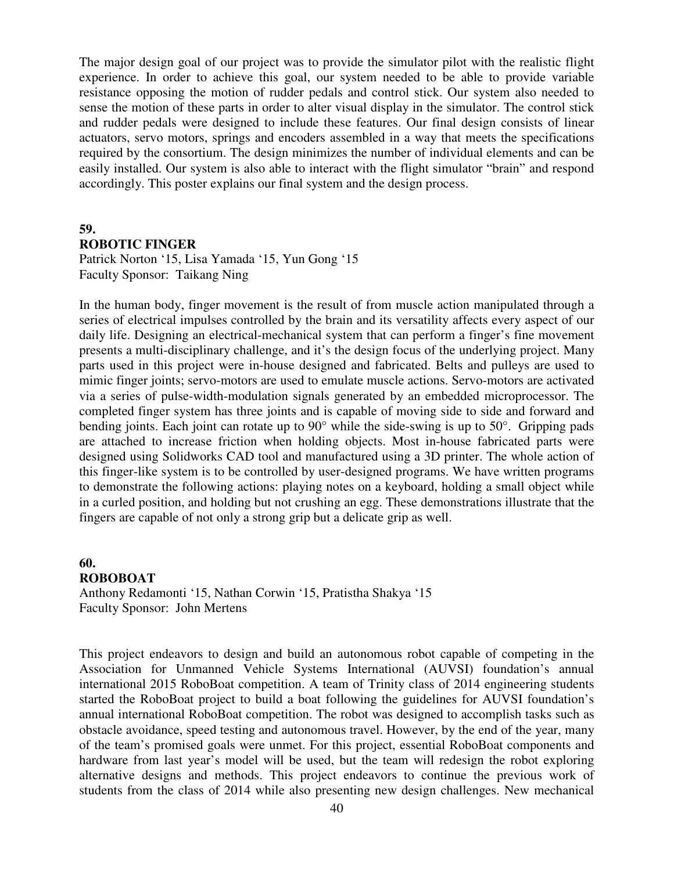The major design goal of our project was to provide the simulator pilot with the realistic flight experience. In order to achieve this goal, our system needed to be able to provide variable resistance opposing the motion of rudder pedals and control stick. Our system also needed to sense the motion of these parts in order to alter visual display in the simulator. The control stick and rudder pedals were designed to include these features. Our final design consists of linear actuators, servo motors, springs and encoders assembled in a way that meets the specifications required by the consortium. The design minimizes the number of individual elements and can be easily installed. Our system is also able to interact with the flight simulator "brain" and respond accordingly. This poster explains our final system and the design process.

#### **59. ROBOTIC FINGER**

Patrick Norton '15, Lisa Yamada '15, Yun Gong '15 Faculty Sponsor: Taikang Ning

In the human body, finger movement is the result of from muscle action manipulated through a series of electrical impulses controlled by the brain and its versatility affects every aspect of our daily life. Designing an electrical-mechanical system that can perform a finger's fine movement presents a multi-disciplinary challenge, and it's the design focus of the underlying project. Many parts used in this project were in-house designed and fabricated. Belts and pulleys are used to mimic finger joints; servo-motors are used to emulate muscle actions. Servo-motors are activated via a series of pulse-width-modulation signals generated by an embedded microprocessor. The completed finger system has three joints and is capable of moving side to side and forward and bending joints. Each joint can rotate up to 90° while the side-swing is up to 50°. Gripping pads are attached to increase friction when holding objects. Most in-house fabricated parts were designed using Solidworks CAD tool and manufactured using a 3D printer. The whole action of this finger-like system is to be controlled by user-designed programs. We have written programs to demonstrate the following actions: playing notes on a keyboard, holding a small object while in a curled position, and holding but not crushing an egg. These demonstrations illustrate that the fingers are capable of not only a strong grip but a delicate grip as well.

#### **60. ROBOBOAT**  Anthony Redamonti '15, Nathan Corwin '15, Pratistha Shakya '15 Faculty Sponsor: John Mertens

This project endeavors to design and build an autonomous robot capable of competing in the Association for Unmanned Vehicle Systems International (AUVSI) foundation's annual international 2015 RoboBoat competition. A team of Trinity class of 2014 engineering students started the RoboBoat project to build a boat following the guidelines for AUVSI foundation's annual international RoboBoat competition. The robot was designed to accomplish tasks such as obstacle avoidance, speed testing and autonomous travel. However, by the end of the year, many of the team's promised goals were unmet. For this project, essential RoboBoat components and hardware from last year's model will be used, but the team will redesign the robot exploring alternative designs and methods. This project endeavors to continue the previous work of students from the class of 2014 while also presenting new design challenges. New mechanical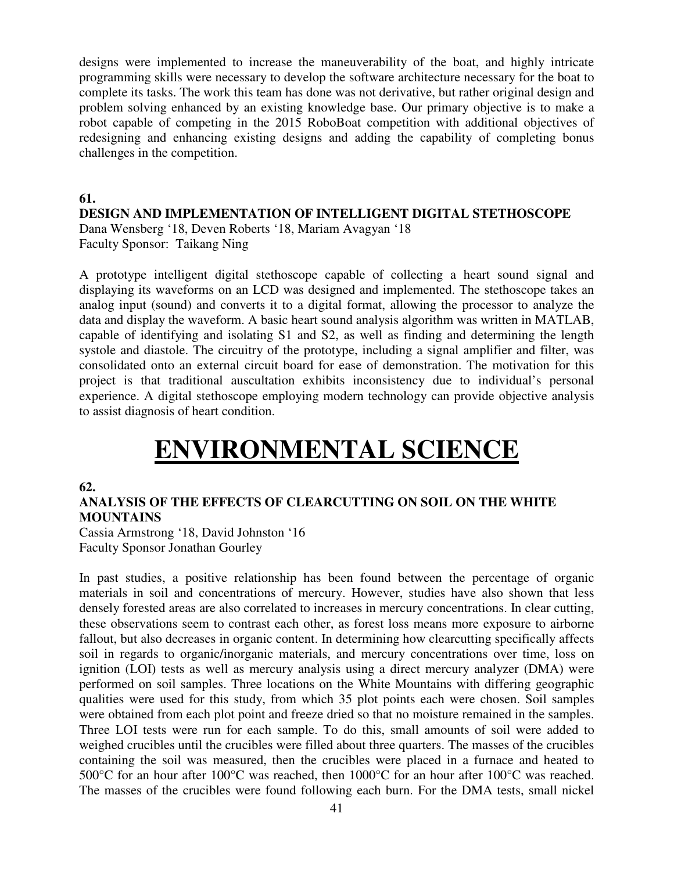designs were implemented to increase the maneuverability of the boat, and highly intricate programming skills were necessary to develop the software architecture necessary for the boat to complete its tasks. The work this team has done was not derivative, but rather original design and problem solving enhanced by an existing knowledge base. Our primary objective is to make a robot capable of competing in the 2015 RoboBoat competition with additional objectives of redesigning and enhancing existing designs and adding the capability of completing bonus challenges in the competition.

#### **61.**

**DESIGN AND IMPLEMENTATION OF INTELLIGENT DIGITAL STETHOSCOPE**  Dana Wensberg '18, Deven Roberts '18, Mariam Avagyan '18 Faculty Sponsor: Taikang Ning

A prototype intelligent digital stethoscope capable of collecting a heart sound signal and displaying its waveforms on an LCD was designed and implemented. The stethoscope takes an analog input (sound) and converts it to a digital format, allowing the processor to analyze the data and display the waveform. A basic heart sound analysis algorithm was written in MATLAB, capable of identifying and isolating S1 and S2, as well as finding and determining the length systole and diastole. The circuitry of the prototype, including a signal amplifier and filter, was consolidated onto an external circuit board for ease of demonstration. The motivation for this project is that traditional auscultation exhibits inconsistency due to individual's personal experience. A digital stethoscope employing modern technology can provide objective analysis to assist diagnosis of heart condition.

# **ENVIRONMENTAL SCIENCE**

#### **62.**

#### **ANALYSIS OF THE EFFECTS OF CLEARCUTTING ON SOIL ON THE WHITE MOUNTAINS**

Cassia Armstrong '18, David Johnston '16 Faculty Sponsor Jonathan Gourley

In past studies, a positive relationship has been found between the percentage of organic materials in soil and concentrations of mercury. However, studies have also shown that less densely forested areas are also correlated to increases in mercury concentrations. In clear cutting, these observations seem to contrast each other, as forest loss means more exposure to airborne fallout, but also decreases in organic content. In determining how clearcutting specifically affects soil in regards to organic/inorganic materials, and mercury concentrations over time, loss on ignition (LOI) tests as well as mercury analysis using a direct mercury analyzer (DMA) were performed on soil samples. Three locations on the White Mountains with differing geographic qualities were used for this study, from which 35 plot points each were chosen. Soil samples were obtained from each plot point and freeze dried so that no moisture remained in the samples. Three LOI tests were run for each sample. To do this, small amounts of soil were added to weighed crucibles until the crucibles were filled about three quarters. The masses of the crucibles containing the soil was measured, then the crucibles were placed in a furnace and heated to 500 °C for an hour after 100 °C was reached, then 1000 °C for an hour after 100 °C was reached. The masses of the crucibles were found following each burn. For the DMA tests, small nickel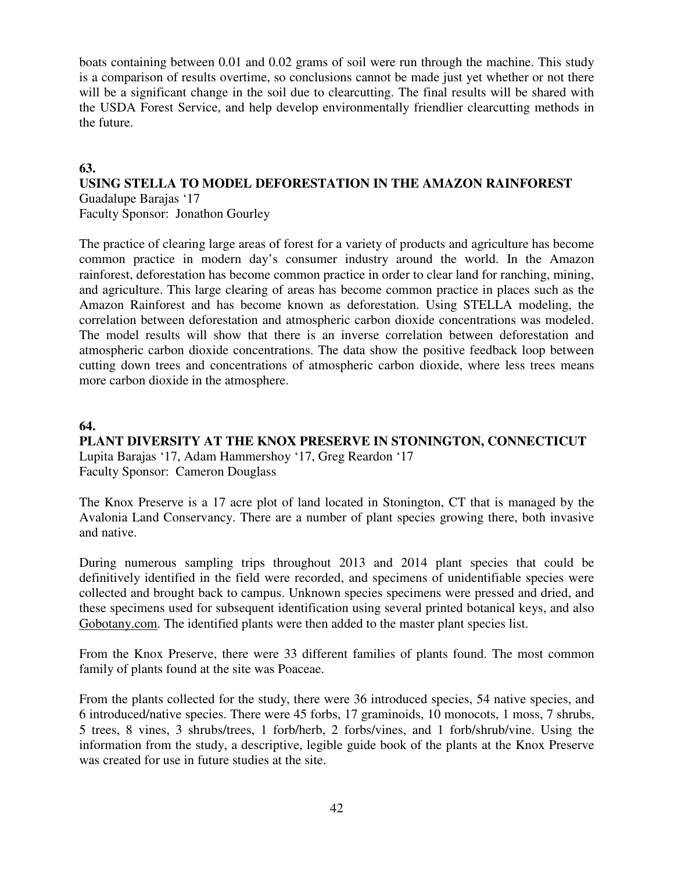boats containing between 0.01 and 0.02 grams of soil were run through the machine. This study is a comparison of results overtime, so conclusions cannot be made just yet whether or not there will be a significant change in the soil due to clearcutting. The final results will be shared with the USDA Forest Service, and help develop environmentally friendlier clearcutting methods in the future.

#### **63.**

### **USING STELLA TO MODEL DEFORESTATION IN THE AMAZON RAINFOREST**

Guadalupe Barajas '17 Faculty Sponsor: Jonathon Gourley

The practice of clearing large areas of forest for a variety of products and agriculture has become common practice in modern day's consumer industry around the world. In the Amazon rainforest, deforestation has become common practice in order to clear land for ranching, mining, and agriculture. This large clearing of areas has become common practice in places such as the Amazon Rainforest and has become known as deforestation. Using STELLA modeling, the correlation between deforestation and atmospheric carbon dioxide concentrations was modeled. The model results will show that there is an inverse correlation between deforestation and atmospheric carbon dioxide concentrations. The data show the positive feedback loop between cutting down trees and concentrations of atmospheric carbon dioxide, where less trees means more carbon dioxide in the atmosphere.

#### **64.**

### **PLANT DIVERSITY AT THE KNOX PRESERVE IN STONINGTON, CONNECTICUT**

Lupita Barajas '17, Adam Hammershoy '17, Greg Reardon '17 Faculty Sponsor: Cameron Douglass

The Knox Preserve is a 17 acre plot of land located in Stonington, CT that is managed by the Avalonia Land Conservancy. There are a number of plant species growing there, both invasive and native.

During numerous sampling trips throughout 2013 and 2014 plant species that could be definitively identified in the field were recorded, and specimens of unidentifiable species were collected and brought back to campus. Unknown species specimens were pressed and dried, and these specimens used for subsequent identification using several printed botanical keys, and also Gobotany.com. The identified plants were then added to the master plant species list.

From the Knox Preserve, there were 33 different families of plants found. The most common family of plants found at the site was Poaceae.

From the plants collected for the study, there were 36 introduced species, 54 native species, and 6 introduced/native species. There were 45 forbs, 17 graminoids, 10 monocots, 1 moss, 7 shrubs, 5 trees, 8 vines, 3 shrubs/trees, 1 forb/herb, 2 forbs/vines, and 1 forb/shrub/vine. Using the information from the study, a descriptive, legible guide book of the plants at the Knox Preserve was created for use in future studies at the site.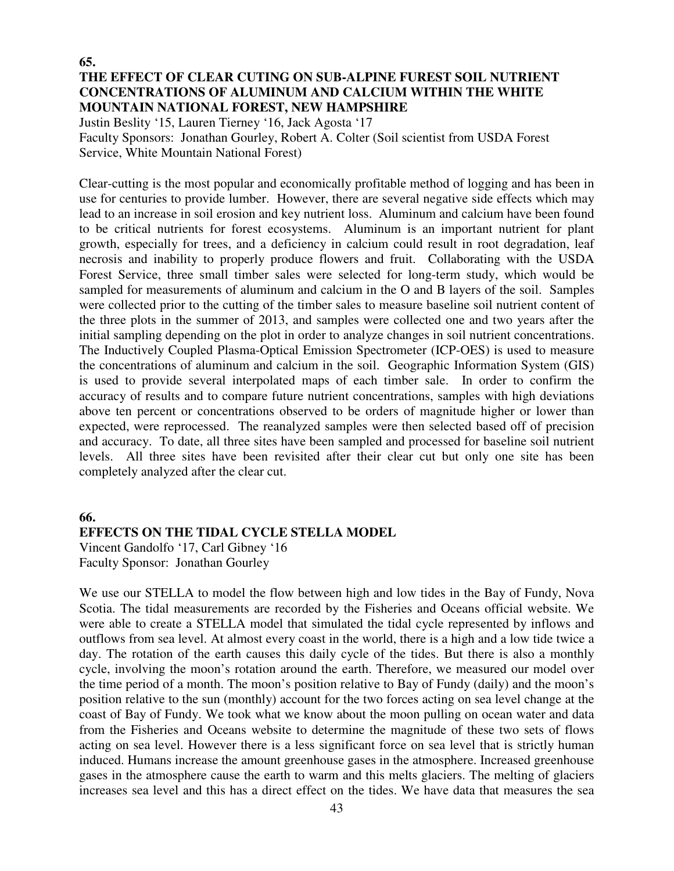#### **65. THE EFFECT OF CLEAR CUTING ON SUB-ALPINE FUREST SOIL NUTRIENT CONCENTRATIONS OF ALUMINUM AND CALCIUM WITHIN THE WHITE MOUNTAIN NATIONAL FOREST, NEW HAMPSHIRE**

Justin Beslity '15, Lauren Tierney '16, Jack Agosta '17

Faculty Sponsors: Jonathan Gourley, Robert A. Colter (Soil scientist from USDA Forest Service, White Mountain National Forest)

Clear-cutting is the most popular and economically profitable method of logging and has been in use for centuries to provide lumber. However, there are several negative side effects which may lead to an increase in soil erosion and key nutrient loss. Aluminum and calcium have been found to be critical nutrients for forest ecosystems. Aluminum is an important nutrient for plant growth, especially for trees, and a deficiency in calcium could result in root degradation, leaf necrosis and inability to properly produce flowers and fruit. Collaborating with the USDA Forest Service, three small timber sales were selected for long-term study, which would be sampled for measurements of aluminum and calcium in the O and B layers of the soil. Samples were collected prior to the cutting of the timber sales to measure baseline soil nutrient content of the three plots in the summer of 2013, and samples were collected one and two years after the initial sampling depending on the plot in order to analyze changes in soil nutrient concentrations. The Inductively Coupled Plasma-Optical Emission Spectrometer (ICP-OES) is used to measure the concentrations of aluminum and calcium in the soil. Geographic Information System (GIS) is used to provide several interpolated maps of each timber sale. In order to confirm the accuracy of results and to compare future nutrient concentrations, samples with high deviations above ten percent or concentrations observed to be orders of magnitude higher or lower than expected, were reprocessed. The reanalyzed samples were then selected based off of precision and accuracy. To date, all three sites have been sampled and processed for baseline soil nutrient levels. All three sites have been revisited after their clear cut but only one site has been completely analyzed after the clear cut.

#### **66.**

#### **EFFECTS ON THE TIDAL CYCLE STELLA MODEL**

Vincent Gandolfo '17, Carl Gibney '16 Faculty Sponsor: Jonathan Gourley

We use our STELLA to model the flow between high and low tides in the Bay of Fundy, Nova Scotia. The tidal measurements are recorded by the Fisheries and Oceans official website. We were able to create a STELLA model that simulated the tidal cycle represented by inflows and outflows from sea level. At almost every coast in the world, there is a high and a low tide twice a day. The rotation of the earth causes this daily cycle of the tides. But there is also a monthly cycle, involving the moon's rotation around the earth. Therefore, we measured our model over the time period of a month. The moon's position relative to Bay of Fundy (daily) and the moon's position relative to the sun (monthly) account for the two forces acting on sea level change at the coast of Bay of Fundy. We took what we know about the moon pulling on ocean water and data from the Fisheries and Oceans website to determine the magnitude of these two sets of flows acting on sea level. However there is a less significant force on sea level that is strictly human induced. Humans increase the amount greenhouse gases in the atmosphere. Increased greenhouse gases in the atmosphere cause the earth to warm and this melts glaciers. The melting of glaciers increases sea level and this has a direct effect on the tides. We have data that measures the sea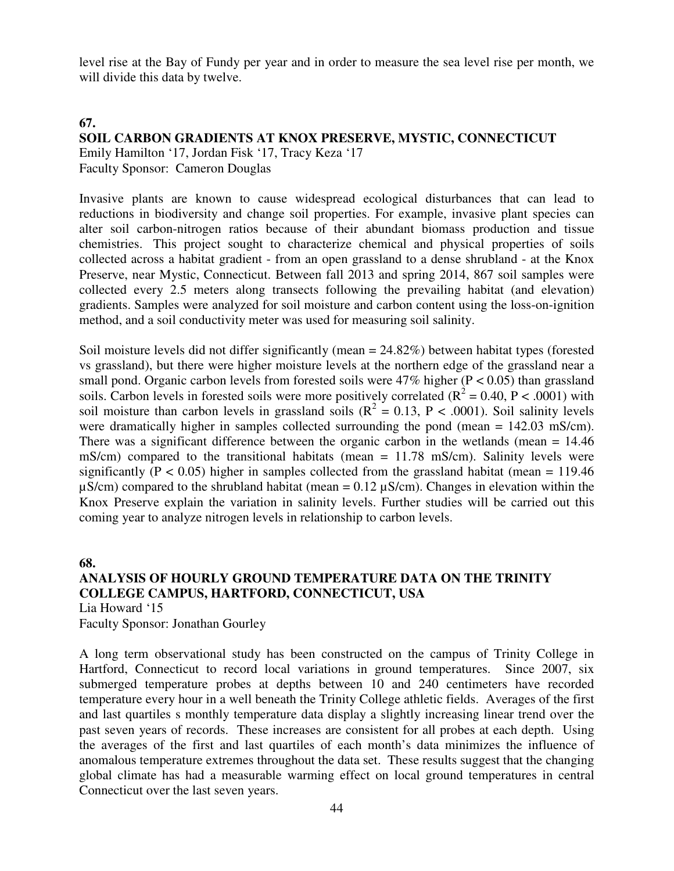level rise at the Bay of Fundy per year and in order to measure the sea level rise per month, we will divide this data by twelve.

#### **67.**

#### **SOIL CARBON GRADIENTS AT KNOX PRESERVE, MYSTIC, CONNECTICUT**

Emily Hamilton '17, Jordan Fisk '17, Tracy Keza '17 Faculty Sponsor: Cameron Douglas

Invasive plants are known to cause widespread ecological disturbances that can lead to reductions in biodiversity and change soil properties. For example, invasive plant species can alter soil carbon-nitrogen ratios because of their abundant biomass production and tissue chemistries. This project sought to characterize chemical and physical properties of soils collected across a habitat gradient - from an open grassland to a dense shrubland - at the Knox Preserve, near Mystic, Connecticut. Between fall 2013 and spring 2014, 867 soil samples were collected every 2.5 meters along transects following the prevailing habitat (and elevation) gradients. Samples were analyzed for soil moisture and carbon content using the loss-on-ignition method, and a soil conductivity meter was used for measuring soil salinity.

Soil moisture levels did not differ significantly (mean = 24.82%) between habitat types (forested vs grassland), but there were higher moisture levels at the northern edge of the grassland near a small pond. Organic carbon levels from forested soils were  $47\%$  higher (P < 0.05) than grassland soils. Carbon levels in forested soils were more positively correlated ( $\mathbb{R}^2 = 0.40$ ,  $\mathbb{P} < .0001$ ) with soil moisture than carbon levels in grassland soils ( $R^2 = 0.13$ ,  $P < .0001$ ). Soil salinity levels were dramatically higher in samples collected surrounding the pond (mean  $= 142.03$  mS/cm). There was a significant difference between the organic carbon in the wetlands (mean = 14.46) mS/cm) compared to the transitional habitats (mean = 11.78 mS/cm). Salinity levels were significantly ( $P < 0.05$ ) higher in samples collected from the grassland habitat (mean = 119.46  $\mu$ S/cm) compared to the shrubland habitat (mean = 0.12  $\mu$ S/cm). Changes in elevation within the Knox Preserve explain the variation in salinity levels. Further studies will be carried out this coming year to analyze nitrogen levels in relationship to carbon levels.

#### **68.**

#### **ANALYSIS OF HOURLY GROUND TEMPERATURE DATA ON THE TRINITY COLLEGE CAMPUS, HARTFORD, CONNECTICUT, USA**  Lia Howard '15

Faculty Sponsor: Jonathan Gourley

A long term observational study has been constructed on the campus of Trinity College in Hartford, Connecticut to record local variations in ground temperatures. Since 2007, six submerged temperature probes at depths between 10 and 240 centimeters have recorded temperature every hour in a well beneath the Trinity College athletic fields. Averages of the first and last quartiles s monthly temperature data display a slightly increasing linear trend over the past seven years of records. These increases are consistent for all probes at each depth. Using the averages of the first and last quartiles of each month's data minimizes the influence of anomalous temperature extremes throughout the data set. These results suggest that the changing global climate has had a measurable warming effect on local ground temperatures in central Connecticut over the last seven years.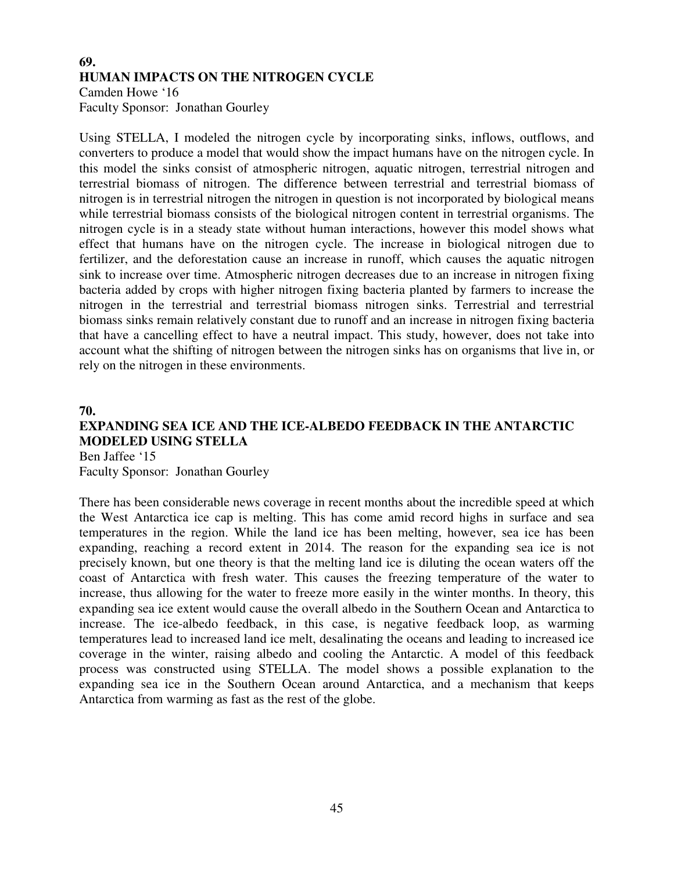#### **69. HUMAN IMPACTS ON THE NITROGEN CYCLE**  Camden Howe '16

Faculty Sponsor: Jonathan Gourley

Using STELLA, I modeled the nitrogen cycle by incorporating sinks, inflows, outflows, and converters to produce a model that would show the impact humans have on the nitrogen cycle. In this model the sinks consist of atmospheric nitrogen, aquatic nitrogen, terrestrial nitrogen and terrestrial biomass of nitrogen. The difference between terrestrial and terrestrial biomass of nitrogen is in terrestrial nitrogen the nitrogen in question is not incorporated by biological means while terrestrial biomass consists of the biological nitrogen content in terrestrial organisms. The nitrogen cycle is in a steady state without human interactions, however this model shows what effect that humans have on the nitrogen cycle. The increase in biological nitrogen due to fertilizer, and the deforestation cause an increase in runoff, which causes the aquatic nitrogen sink to increase over time. Atmospheric nitrogen decreases due to an increase in nitrogen fixing bacteria added by crops with higher nitrogen fixing bacteria planted by farmers to increase the nitrogen in the terrestrial and terrestrial biomass nitrogen sinks. Terrestrial and terrestrial biomass sinks remain relatively constant due to runoff and an increase in nitrogen fixing bacteria that have a cancelling effect to have a neutral impact. This study, however, does not take into account what the shifting of nitrogen between the nitrogen sinks has on organisms that live in, or rely on the nitrogen in these environments.

#### **70.**

#### **EXPANDING SEA ICE AND THE ICE-ALBEDO FEEDBACK IN THE ANTARCTIC MODELED USING STELLA**

Ben Jaffee '15 Faculty Sponsor: Jonathan Gourley

There has been considerable news coverage in recent months about the incredible speed at which the West Antarctica ice cap is melting. This has come amid record highs in surface and sea temperatures in the region. While the land ice has been melting, however, sea ice has been expanding, reaching a record extent in 2014. The reason for the expanding sea ice is not precisely known, but one theory is that the melting land ice is diluting the ocean waters off the coast of Antarctica with fresh water. This causes the freezing temperature of the water to increase, thus allowing for the water to freeze more easily in the winter months. In theory, this expanding sea ice extent would cause the overall albedo in the Southern Ocean and Antarctica to increase. The ice-albedo feedback, in this case, is negative feedback loop, as warming temperatures lead to increased land ice melt, desalinating the oceans and leading to increased ice coverage in the winter, raising albedo and cooling the Antarctic. A model of this feedback process was constructed using STELLA. The model shows a possible explanation to the expanding sea ice in the Southern Ocean around Antarctica, and a mechanism that keeps Antarctica from warming as fast as the rest of the globe.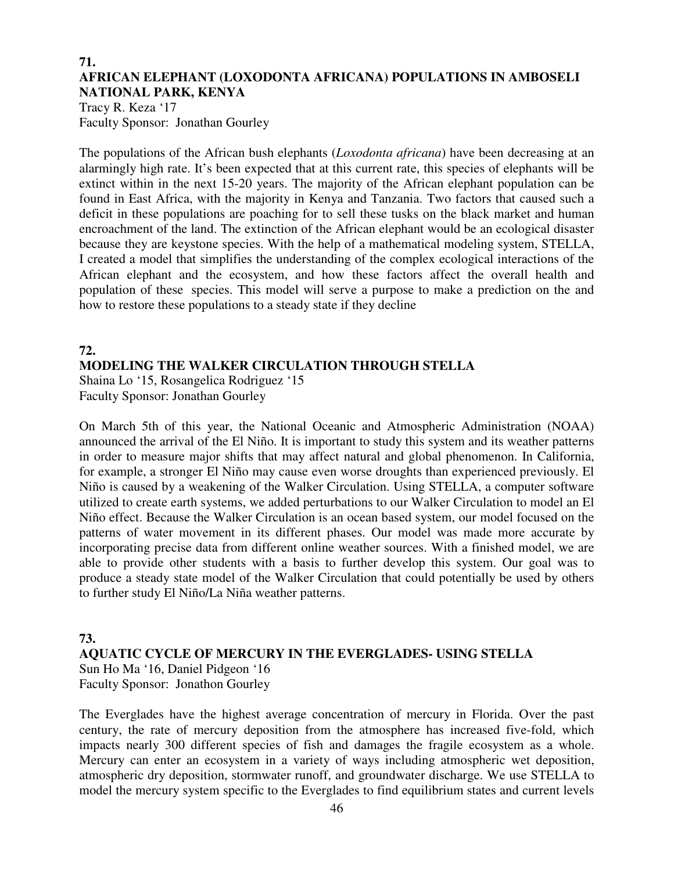#### **71. AFRICAN ELEPHANT (LOXODONTA AFRICANA) POPULATIONS IN AMBOSELI NATIONAL PARK, KENYA**

Tracy R. Keza '17 Faculty Sponsor: Jonathan Gourley

The populations of the African bush elephants (*Loxodonta africana*) have been decreasing at an alarmingly high rate. It's been expected that at this current rate, this species of elephants will be extinct within in the next 15-20 years. The majority of the African elephant population can be found in East Africa, with the majority in Kenya and Tanzania. Two factors that caused such a deficit in these populations are poaching for to sell these tusks on the black market and human encroachment of the land. The extinction of the African elephant would be an ecological disaster because they are keystone species. With the help of a mathematical modeling system, STELLA, I created a model that simplifies the understanding of the complex ecological interactions of the African elephant and the ecosystem, and how these factors affect the overall health and population of these species. This model will serve a purpose to make a prediction on the and how to restore these populations to a steady state if they decline

### **72. MODELING THE WALKER CIRCULATION THROUGH STELLA**

Shaina Lo '15, Rosangelica Rodriguez '15 Faculty Sponsor: Jonathan Gourley

On March 5th of this year, the National Oceanic and Atmospheric Administration (NOAA) announced the arrival of the El Niño. It is important to study this system and its weather patterns in order to measure major shifts that may affect natural and global phenomenon. In California, for example, a stronger El Niño may cause even worse droughts than experienced previously. El Niño is caused by a weakening of the Walker Circulation. Using STELLA, a computer software utilized to create earth systems, we added perturbations to our Walker Circulation to model an El Niño effect. Because the Walker Circulation is an ocean based system, our model focused on the patterns of water movement in its different phases. Our model was made more accurate by incorporating precise data from different online weather sources. With a finished model, we are able to provide other students with a basis to further develop this system. Our goal was to produce a steady state model of the Walker Circulation that could potentially be used by others to further study El Niño/La Niña weather patterns.

#### **73.**

#### **AQUATIC CYCLE OF MERCURY IN THE EVERGLADES- USING STELLA**  Sun Ho Ma '16, Daniel Pidgeon '16 Faculty Sponsor: Jonathon Gourley

The Everglades have the highest average concentration of mercury in Florida. Over the past century, the rate of mercury deposition from the atmosphere has increased five-fold, which impacts nearly 300 different species of fish and damages the fragile ecosystem as a whole. Mercury can enter an ecosystem in a variety of ways including atmospheric wet deposition, atmospheric dry deposition, stormwater runoff, and groundwater discharge. We use STELLA to model the mercury system specific to the Everglades to find equilibrium states and current levels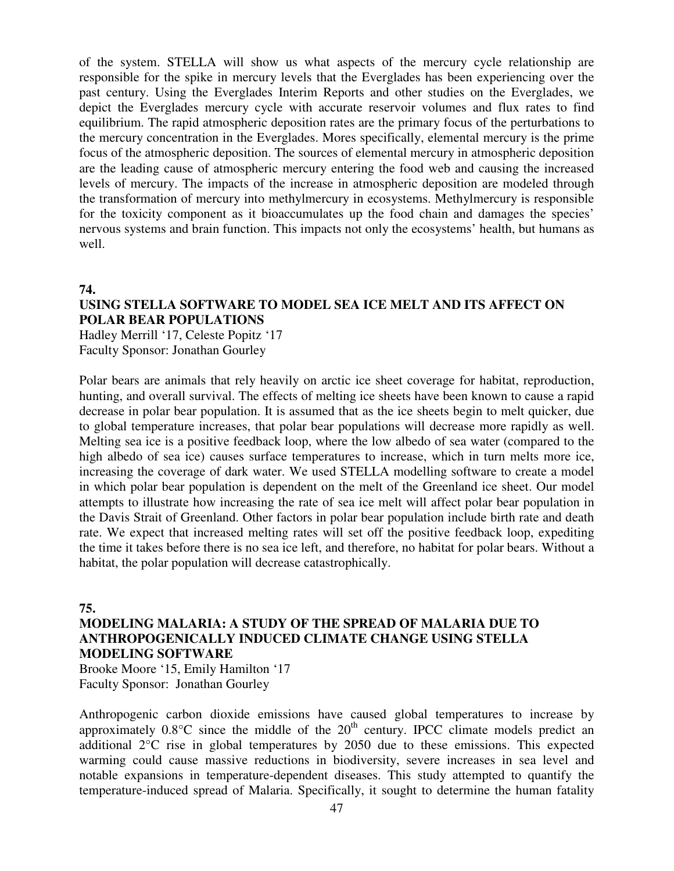of the system. STELLA will show us what aspects of the mercury cycle relationship are responsible for the spike in mercury levels that the Everglades has been experiencing over the past century. Using the Everglades Interim Reports and other studies on the Everglades, we depict the Everglades mercury cycle with accurate reservoir volumes and flux rates to find equilibrium. The rapid atmospheric deposition rates are the primary focus of the perturbations to the mercury concentration in the Everglades. Mores specifically, elemental mercury is the prime focus of the atmospheric deposition. The sources of elemental mercury in atmospheric deposition are the leading cause of atmospheric mercury entering the food web and causing the increased levels of mercury. The impacts of the increase in atmospheric deposition are modeled through the transformation of mercury into methylmercury in ecosystems. Methylmercury is responsible for the toxicity component as it bioaccumulates up the food chain and damages the species' nervous systems and brain function. This impacts not only the ecosystems' health, but humans as well.

#### **74.**

#### **USING STELLA SOFTWARE TO MODEL SEA ICE MELT AND ITS AFFECT ON POLAR BEAR POPULATIONS**

Hadley Merrill '17, Celeste Popitz '17 Faculty Sponsor: Jonathan Gourley

Polar bears are animals that rely heavily on arctic ice sheet coverage for habitat, reproduction, hunting, and overall survival. The effects of melting ice sheets have been known to cause a rapid decrease in polar bear population. It is assumed that as the ice sheets begin to melt quicker, due to global temperature increases, that polar bear populations will decrease more rapidly as well. Melting sea ice is a positive feedback loop, where the low albedo of sea water (compared to the high albedo of sea ice) causes surface temperatures to increase, which in turn melts more ice, increasing the coverage of dark water. We used STELLA modelling software to create a model in which polar bear population is dependent on the melt of the Greenland ice sheet. Our model attempts to illustrate how increasing the rate of sea ice melt will affect polar bear population in the Davis Strait of Greenland. Other factors in polar bear population include birth rate and death rate. We expect that increased melting rates will set off the positive feedback loop, expediting the time it takes before there is no sea ice left, and therefore, no habitat for polar bears. Without a habitat, the polar population will decrease catastrophically.

#### **75.**

#### **MODELING MALARIA: A STUDY OF THE SPREAD OF MALARIA DUE TO ANTHROPOGENICALLY INDUCED CLIMATE CHANGE USING STELLA MODELING SOFTWARE**

Brooke Moore '15, Emily Hamilton '17 Faculty Sponsor: Jonathan Gourley

Anthropogenic carbon dioxide emissions have caused global temperatures to increase by approximately  $0.8^{\circ}$ C since the middle of the  $20^{th}$  century. IPCC climate models predict an additional 2°C rise in global temperatures by 2050 due to these emissions. This expected warming could cause massive reductions in biodiversity, severe increases in sea level and notable expansions in temperature-dependent diseases. This study attempted to quantify the temperature-induced spread of Malaria. Specifically, it sought to determine the human fatality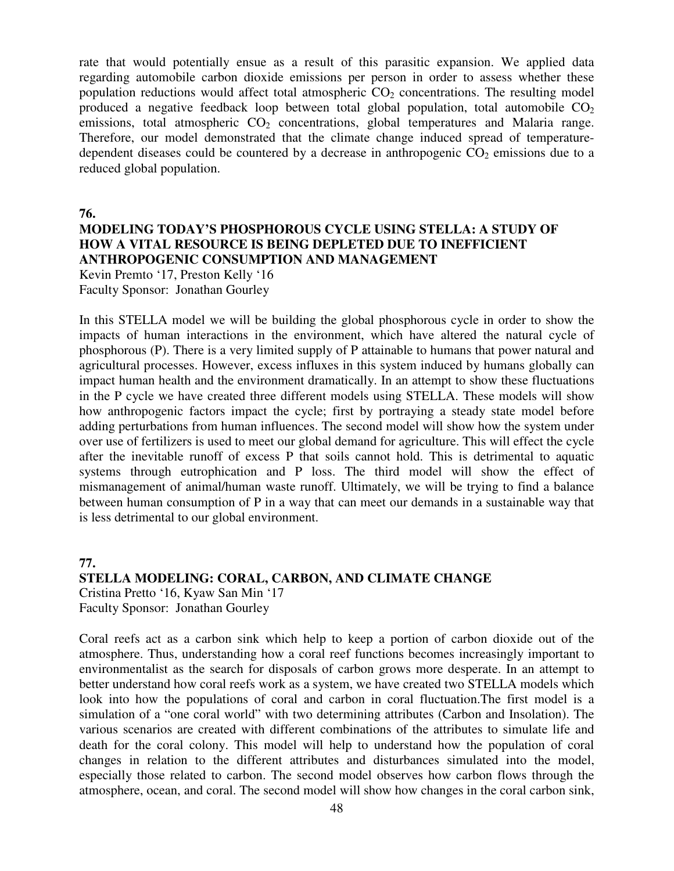rate that would potentially ensue as a result of this parasitic expansion. We applied data regarding automobile carbon dioxide emissions per person in order to assess whether these population reductions would affect total atmospheric  $CO<sub>2</sub>$  concentrations. The resulting model produced a negative feedback loop between total global population, total automobile  $CO<sub>2</sub>$ emissions, total atmospheric  $CO<sub>2</sub>$  concentrations, global temperatures and Malaria range. Therefore, our model demonstrated that the climate change induced spread of temperaturedependent diseases could be countered by a decrease in anthropogenic  $CO<sub>2</sub>$  emissions due to a reduced global population.

#### **76.**

#### **MODELING TODAY'S PHOSPHOROUS CYCLE USING STELLA: A STUDY OF HOW A VITAL RESOURCE IS BEING DEPLETED DUE TO INEFFICIENT ANTHROPOGENIC CONSUMPTION AND MANAGEMENT**

Kevin Premto '17, Preston Kelly '16 Faculty Sponsor: Jonathan Gourley

In this STELLA model we will be building the global phosphorous cycle in order to show the impacts of human interactions in the environment, which have altered the natural cycle of phosphorous (P). There is a very limited supply of P attainable to humans that power natural and agricultural processes. However, excess influxes in this system induced by humans globally can impact human health and the environment dramatically. In an attempt to show these fluctuations in the P cycle we have created three different models using STELLA. These models will show how anthropogenic factors impact the cycle; first by portraying a steady state model before adding perturbations from human influences. The second model will show how the system under over use of fertilizers is used to meet our global demand for agriculture. This will effect the cycle after the inevitable runoff of excess P that soils cannot hold. This is detrimental to aquatic systems through eutrophication and P loss. The third model will show the effect of mismanagement of animal/human waste runoff. Ultimately, we will be trying to find a balance between human consumption of P in a way that can meet our demands in a sustainable way that is less detrimental to our global environment.

#### **77.**

#### **STELLA MODELING: CORAL, CARBON, AND CLIMATE CHANGE**  Cristina Pretto '16, Kyaw San Min '17 Faculty Sponsor: Jonathan Gourley

Coral reefs act as a carbon sink which help to keep a portion of carbon dioxide out of the atmosphere. Thus, understanding how a coral reef functions becomes increasingly important to environmentalist as the search for disposals of carbon grows more desperate. In an attempt to better understand how coral reefs work as a system, we have created two STELLA models which look into how the populations of coral and carbon in coral fluctuation.The first model is a simulation of a "one coral world" with two determining attributes (Carbon and Insolation). The various scenarios are created with different combinations of the attributes to simulate life and death for the coral colony. This model will help to understand how the population of coral changes in relation to the different attributes and disturbances simulated into the model, especially those related to carbon. The second model observes how carbon flows through the atmosphere, ocean, and coral. The second model will show how changes in the coral carbon sink,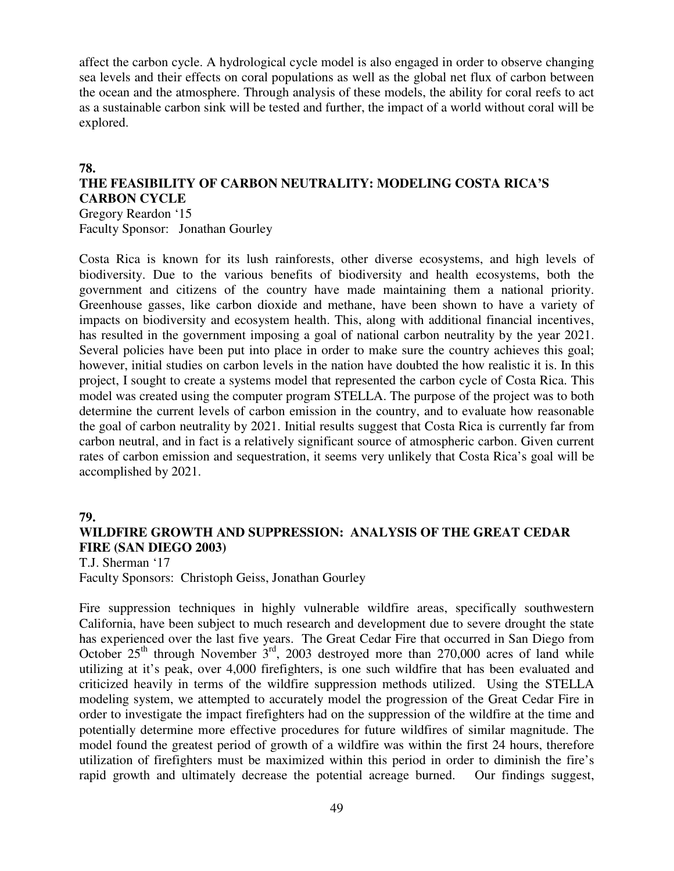affect the carbon cycle. A hydrological cycle model is also engaged in order to observe changing sea levels and their effects on coral populations as well as the global net flux of carbon between the ocean and the atmosphere. Through analysis of these models, the ability for coral reefs to act as a sustainable carbon sink will be tested and further, the impact of a world without coral will be explored.

#### **78.**

#### **THE FEASIBILITY OF CARBON NEUTRALITY: MODELING COSTA RICA'S CARBON CYCLE**  Gregory Reardon '15

Faculty Sponsor: Jonathan Gourley

Costa Rica is known for its lush rainforests, other diverse ecosystems, and high levels of biodiversity. Due to the various benefits of biodiversity and health ecosystems, both the government and citizens of the country have made maintaining them a national priority. Greenhouse gasses, like carbon dioxide and methane, have been shown to have a variety of impacts on biodiversity and ecosystem health. This, along with additional financial incentives, has resulted in the government imposing a goal of national carbon neutrality by the year 2021. Several policies have been put into place in order to make sure the country achieves this goal; however, initial studies on carbon levels in the nation have doubted the how realistic it is. In this project, I sought to create a systems model that represented the carbon cycle of Costa Rica. This model was created using the computer program STELLA. The purpose of the project was to both determine the current levels of carbon emission in the country, and to evaluate how reasonable the goal of carbon neutrality by 2021. Initial results suggest that Costa Rica is currently far from carbon neutral, and in fact is a relatively significant source of atmospheric carbon. Given current rates of carbon emission and sequestration, it seems very unlikely that Costa Rica's goal will be accomplished by 2021.

#### **79.**

#### **WILDFIRE GROWTH AND SUPPRESSION: ANALYSIS OF THE GREAT CEDAR FIRE (SAN DIEGO 2003)**

T.J. Sherman '17 Faculty Sponsors: Christoph Geiss, Jonathan Gourley

Fire suppression techniques in highly vulnerable wildfire areas, specifically southwestern California, have been subject to much research and development due to severe drought the state has experienced over the last five years. The Great Cedar Fire that occurred in San Diego from October  $25<sup>th</sup>$  through November  $3<sup>rd</sup>$ , 2003 destroyed more than 270,000 acres of land while utilizing at it's peak, over 4,000 firefighters, is one such wildfire that has been evaluated and criticized heavily in terms of the wildfire suppression methods utilized. Using the STELLA modeling system, we attempted to accurately model the progression of the Great Cedar Fire in order to investigate the impact firefighters had on the suppression of the wildfire at the time and potentially determine more effective procedures for future wildfires of similar magnitude. The model found the greatest period of growth of a wildfire was within the first 24 hours, therefore utilization of firefighters must be maximized within this period in order to diminish the fire's rapid growth and ultimately decrease the potential acreage burned. Our findings suggest,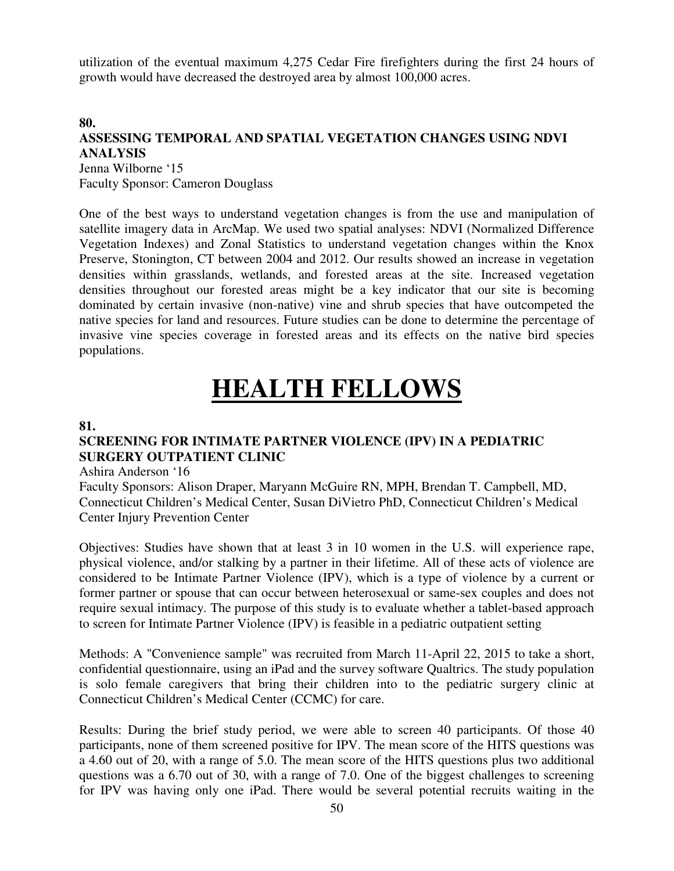utilization of the eventual maximum 4,275 Cedar Fire firefighters during the first 24 hours of growth would have decreased the destroyed area by almost 100,000 acres.

#### **80.**

#### **ASSESSING TEMPORAL AND SPATIAL VEGETATION CHANGES USING NDVI ANALYSIS**

Jenna Wilborne '15 Faculty Sponsor: Cameron Douglass

One of the best ways to understand vegetation changes is from the use and manipulation of satellite imagery data in ArcMap. We used two spatial analyses: NDVI (Normalized Difference Vegetation Indexes) and Zonal Statistics to understand vegetation changes within the Knox Preserve, Stonington, CT between 2004 and 2012. Our results showed an increase in vegetation densities within grasslands, wetlands, and forested areas at the site. Increased vegetation densities throughout our forested areas might be a key indicator that our site is becoming dominated by certain invasive (non-native) vine and shrub species that have outcompeted the native species for land and resources. Future studies can be done to determine the percentage of invasive vine species coverage in forested areas and its effects on the native bird species populations.

# **HEALTH FELLOWS**

#### **81.**

#### **SCREENING FOR INTIMATE PARTNER VIOLENCE (IPV) IN A PEDIATRIC SURGERY OUTPATIENT CLINIC**

Ashira Anderson '16

Faculty Sponsors: Alison Draper, Maryann McGuire RN, MPH, Brendan T. Campbell, MD, Connecticut Children's Medical Center, Susan DiVietro PhD, Connecticut Children's Medical Center Injury Prevention Center

Objectives: Studies have shown that at least 3 in 10 women in the U.S. will experience rape, physical violence, and/or stalking by a partner in their lifetime. All of these acts of violence are considered to be Intimate Partner Violence (IPV), which is a type of violence by a current or former partner or spouse that can occur between heterosexual or same-sex couples and does not require sexual intimacy. The purpose of this study is to evaluate whether a tablet-based approach to screen for Intimate Partner Violence (IPV) is feasible in a pediatric outpatient setting

Methods: A "Convenience sample" was recruited from March 11-April 22, 2015 to take a short, confidential questionnaire, using an iPad and the survey software Qualtrics. The study population is solo female caregivers that bring their children into to the pediatric surgery clinic at Connecticut Children's Medical Center (CCMC) for care.

Results: During the brief study period, we were able to screen 40 participants. Of those 40 participants, none of them screened positive for IPV. The mean score of the HITS questions was a 4.60 out of 20, with a range of 5.0. The mean score of the HITS questions plus two additional questions was a 6.70 out of 30, with a range of 7.0. One of the biggest challenges to screening for IPV was having only one iPad. There would be several potential recruits waiting in the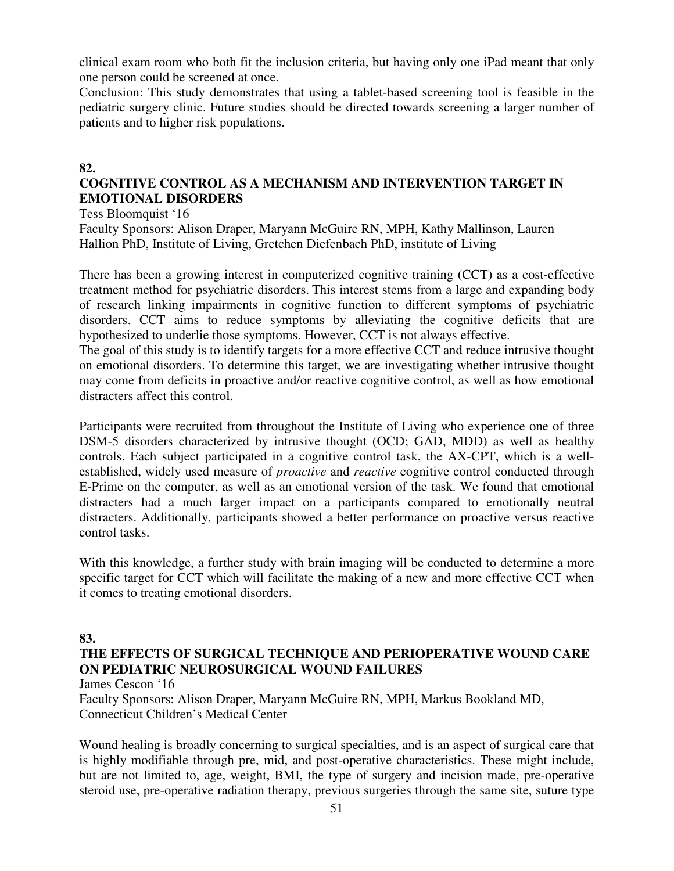clinical exam room who both fit the inclusion criteria, but having only one iPad meant that only one person could be screened at once.

Conclusion: This study demonstrates that using a tablet-based screening tool is feasible in the pediatric surgery clinic. Future studies should be directed towards screening a larger number of patients and to higher risk populations.

#### **82.**

### **COGNITIVE CONTROL AS A MECHANISM AND INTERVENTION TARGET IN EMOTIONAL DISORDERS**

Tess Bloomquist '16

Faculty Sponsors: Alison Draper, Maryann McGuire RN, MPH, Kathy Mallinson, Lauren Hallion PhD, Institute of Living, Gretchen Diefenbach PhD, institute of Living

There has been a growing interest in computerized cognitive training (CCT) as a cost-effective treatment method for psychiatric disorders. This interest stems from a large and expanding body of research linking impairments in cognitive function to different symptoms of psychiatric disorders. CCT aims to reduce symptoms by alleviating the cognitive deficits that are hypothesized to underlie those symptoms. However, CCT is not always effective.

The goal of this study is to identify targets for a more effective CCT and reduce intrusive thought on emotional disorders. To determine this target, we are investigating whether intrusive thought may come from deficits in proactive and/or reactive cognitive control, as well as how emotional distracters affect this control.

Participants were recruited from throughout the Institute of Living who experience one of three DSM-5 disorders characterized by intrusive thought (OCD; GAD, MDD) as well as healthy controls. Each subject participated in a cognitive control task, the AX-CPT, which is a wellestablished, widely used measure of *proactive* and *reactive* cognitive control conducted through E-Prime on the computer, as well as an emotional version of the task. We found that emotional distracters had a much larger impact on a participants compared to emotionally neutral distracters. Additionally, participants showed a better performance on proactive versus reactive control tasks.

With this knowledge, a further study with brain imaging will be conducted to determine a more specific target for CCT which will facilitate the making of a new and more effective CCT when it comes to treating emotional disorders.

#### **83.**

### **THE EFFECTS OF SURGICAL TECHNIQUE AND PERIOPERATIVE WOUND CARE ON PEDIATRIC NEUROSURGICAL WOUND FAILURES**

James Cescon '16

Faculty Sponsors: Alison Draper, Maryann McGuire RN, MPH, Markus Bookland MD, Connecticut Children's Medical Center

Wound healing is broadly concerning to surgical specialties, and is an aspect of surgical care that is highly modifiable through pre, mid, and post-operative characteristics. These might include, but are not limited to, age, weight, BMI, the type of surgery and incision made, pre-operative steroid use, pre-operative radiation therapy, previous surgeries through the same site, suture type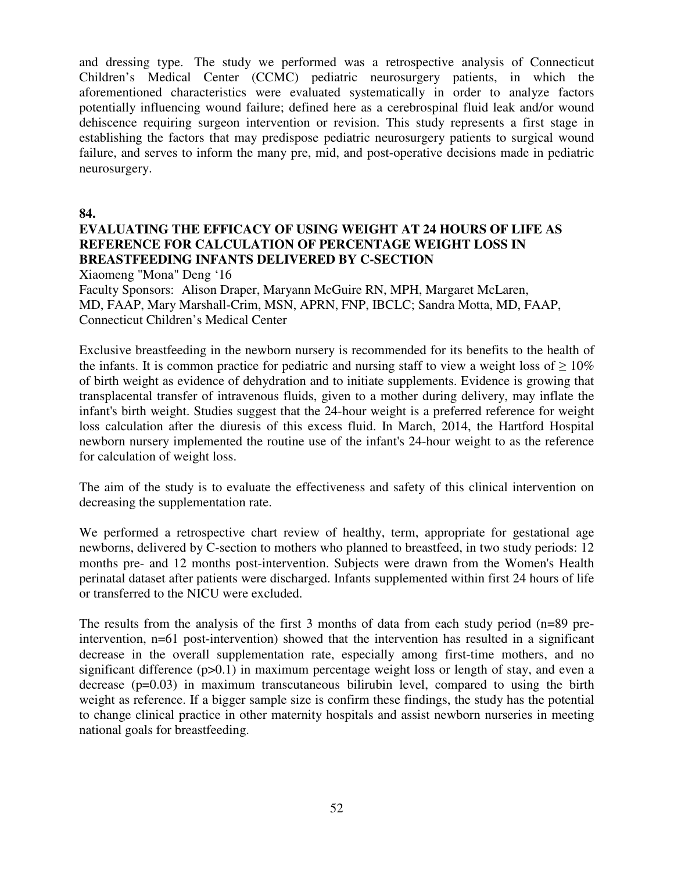and dressing type. The study we performed was a retrospective analysis of Connecticut Children's Medical Center (CCMC) pediatric neurosurgery patients, in which the aforementioned characteristics were evaluated systematically in order to analyze factors potentially influencing wound failure; defined here as a cerebrospinal fluid leak and/or wound dehiscence requiring surgeon intervention or revision. This study represents a first stage in establishing the factors that may predispose pediatric neurosurgery patients to surgical wound failure, and serves to inform the many pre, mid, and post-operative decisions made in pediatric neurosurgery.

**84.** 

#### **EVALUATING THE EFFICACY OF USING WEIGHT AT 24 HOURS OF LIFE AS REFERENCE FOR CALCULATION OF PERCENTAGE WEIGHT LOSS IN BREASTFEEDING INFANTS DELIVERED BY C-SECTION**

Xiaomeng "Mona" Deng '16

Faculty Sponsors: Alison Draper, Maryann McGuire RN, MPH, Margaret McLaren, MD, FAAP, Mary Marshall-Crim, MSN, APRN, FNP, IBCLC; Sandra Motta, MD, FAAP, Connecticut Children's Medical Center

Exclusive breastfeeding in the newborn nursery is recommended for its benefits to the health of the infants. It is common practice for pediatric and nursing staff to view a weight loss of  $> 10\%$ of birth weight as evidence of dehydration and to initiate supplements. Evidence is growing that transplacental transfer of intravenous fluids, given to a mother during delivery, may inflate the infant's birth weight. Studies suggest that the 24-hour weight is a preferred reference for weight loss calculation after the diuresis of this excess fluid. In March, 2014, the Hartford Hospital newborn nursery implemented the routine use of the infant's 24-hour weight to as the reference for calculation of weight loss.

The aim of the study is to evaluate the effectiveness and safety of this clinical intervention on decreasing the supplementation rate.

We performed a retrospective chart review of healthy, term, appropriate for gestational age newborns, delivered by C-section to mothers who planned to breastfeed, in two study periods: 12 months pre- and 12 months post-intervention. Subjects were drawn from the Women's Health perinatal dataset after patients were discharged. Infants supplemented within first 24 hours of life or transferred to the NICU were excluded.

The results from the analysis of the first 3 months of data from each study period (n=89 preintervention, n=61 post-intervention) showed that the intervention has resulted in a significant decrease in the overall supplementation rate, especially among first-time mothers, and no significant difference  $(p>0.1)$  in maximum percentage weight loss or length of stay, and even a decrease (p=0.03) in maximum transcutaneous bilirubin level, compared to using the birth weight as reference. If a bigger sample size is confirm these findings, the study has the potential to change clinical practice in other maternity hospitals and assist newborn nurseries in meeting national goals for breastfeeding.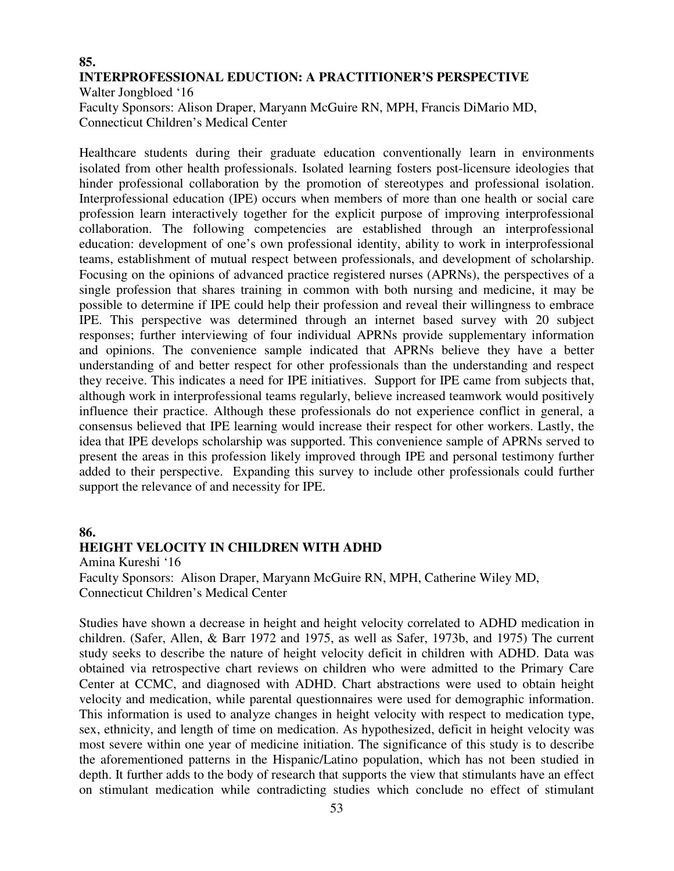### **85. INTERPROFESSIONAL EDUCTION: A PRACTITIONER'S PERSPECTIVE**

Walter Jongbloed '16 Faculty Sponsors: Alison Draper, Maryann McGuire RN, MPH, Francis DiMario MD, Connecticut Children's Medical Center

Healthcare students during their graduate education conventionally learn in environments isolated from other health professionals. Isolated learning fosters post-licensure ideologies that hinder professional collaboration by the promotion of stereotypes and professional isolation. Interprofessional education (IPE) occurs when members of more than one health or social care profession learn interactively together for the explicit purpose of improving interprofessional collaboration. The following competencies are established through an interprofessional education: development of one's own professional identity, ability to work in interprofessional teams, establishment of mutual respect between professionals, and development of scholarship. Focusing on the opinions of advanced practice registered nurses (APRNs), the perspectives of a single profession that shares training in common with both nursing and medicine, it may be possible to determine if IPE could help their profession and reveal their willingness to embrace IPE. This perspective was determined through an internet based survey with 20 subject responses; further interviewing of four individual APRNs provide supplementary information and opinions. The convenience sample indicated that APRNs believe they have a better understanding of and better respect for other professionals than the understanding and respect they receive. This indicates a need for IPE initiatives. Support for IPE came from subjects that, although work in interprofessional teams regularly, believe increased teamwork would positively influence their practice. Although these professionals do not experience conflict in general, a consensus believed that IPE learning would increase their respect for other workers. Lastly, the idea that IPE develops scholarship was supported. This convenience sample of APRNs served to present the areas in this profession likely improved through IPE and personal testimony further added to their perspective. Expanding this survey to include other professionals could further support the relevance of and necessity for IPE.

#### **86.**

#### **HEIGHT VELOCITY IN CHILDREN WITH ADHD**

Amina Kureshi '16

Faculty Sponsors: Alison Draper, Maryann McGuire RN, MPH, Catherine Wiley MD, Connecticut Children's Medical Center

Studies have shown a decrease in height and height velocity correlated to ADHD medication in children. (Safer, Allen, & Barr 1972 and 1975, as well as Safer, 1973b, and 1975) The current study seeks to describe the nature of height velocity deficit in children with ADHD. Data was obtained via retrospective chart reviews on children who were admitted to the Primary Care Center at CCMC, and diagnosed with ADHD. Chart abstractions were used to obtain height velocity and medication, while parental questionnaires were used for demographic information. This information is used to analyze changes in height velocity with respect to medication type, sex, ethnicity, and length of time on medication. As hypothesized, deficit in height velocity was most severe within one year of medicine initiation. The significance of this study is to describe the aforementioned patterns in the Hispanic/Latino population, which has not been studied in depth. It further adds to the body of research that supports the view that stimulants have an effect on stimulant medication while contradicting studies which conclude no effect of stimulant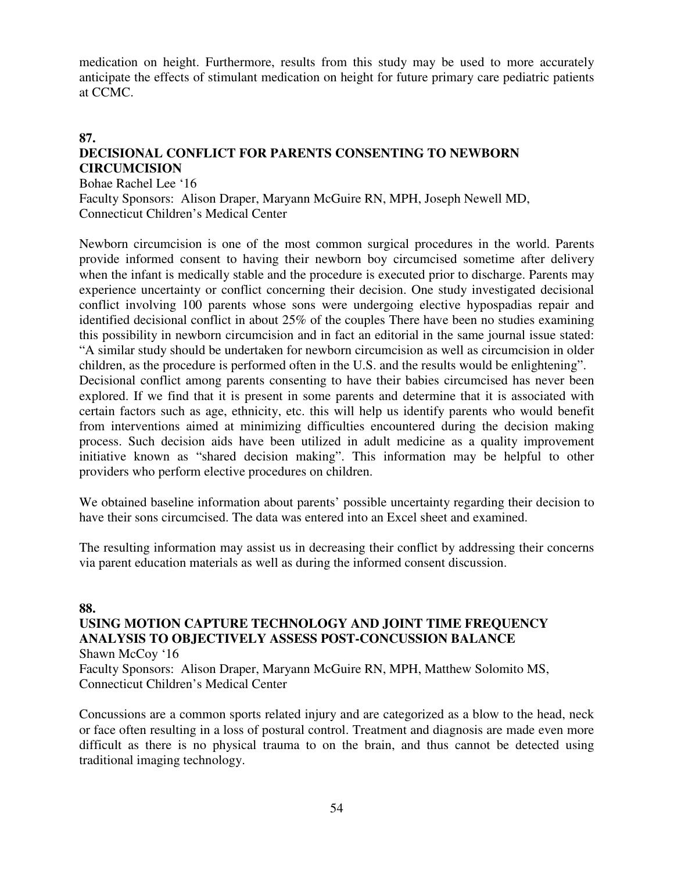medication on height. Furthermore, results from this study may be used to more accurately anticipate the effects of stimulant medication on height for future primary care pediatric patients at CCMC.

#### **87. DECISIONAL CONFLICT FOR PARENTS CONSENTING TO NEWBORN CIRCUMCISION**

Bohae Rachel Lee '16

Faculty Sponsors: Alison Draper, Maryann McGuire RN, MPH, Joseph Newell MD, Connecticut Children's Medical Center

Newborn circumcision is one of the most common surgical procedures in the world. Parents provide informed consent to having their newborn boy circumcised sometime after delivery when the infant is medically stable and the procedure is executed prior to discharge. Parents may experience uncertainty or conflict concerning their decision. One study investigated decisional conflict involving 100 parents whose sons were undergoing elective hypospadias repair and identified decisional conflict in about 25% of the couples There have been no studies examining this possibility in newborn circumcision and in fact an editorial in the same journal issue stated: "A similar study should be undertaken for newborn circumcision as well as circumcision in older children, as the procedure is performed often in the U.S. and the results would be enlightening". Decisional conflict among parents consenting to have their babies circumcised has never been explored. If we find that it is present in some parents and determine that it is associated with certain factors such as age, ethnicity, etc. this will help us identify parents who would benefit from interventions aimed at minimizing difficulties encountered during the decision making process. Such decision aids have been utilized in adult medicine as a quality improvement initiative known as "shared decision making". This information may be helpful to other providers who perform elective procedures on children.

We obtained baseline information about parents' possible uncertainty regarding their decision to have their sons circumcised. The data was entered into an Excel sheet and examined.

The resulting information may assist us in decreasing their conflict by addressing their concerns via parent education materials as well as during the informed consent discussion.

#### **88.**

#### **USING MOTION CAPTURE TECHNOLOGY AND JOINT TIME FREQUENCY ANALYSIS TO OBJECTIVELY ASSESS POST-CONCUSSION BALANCE**  Shawn McCoy '16

Faculty Sponsors: Alison Draper, Maryann McGuire RN, MPH, Matthew Solomito MS, Connecticut Children's Medical Center

Concussions are a common sports related injury and are categorized as a blow to the head, neck or face often resulting in a loss of postural control. Treatment and diagnosis are made even more difficult as there is no physical trauma to on the brain, and thus cannot be detected using traditional imaging technology.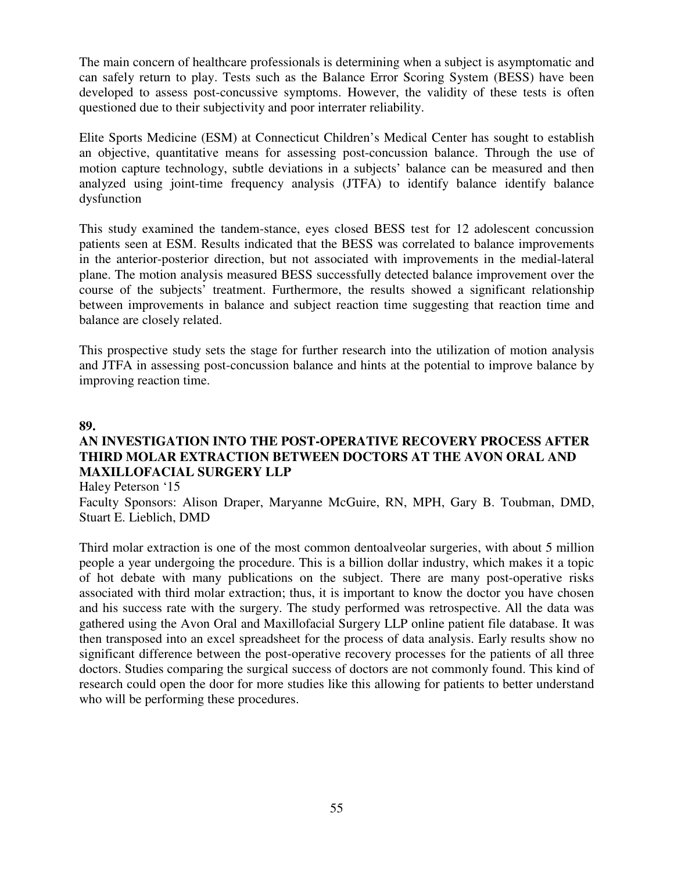The main concern of healthcare professionals is determining when a subject is asymptomatic and can safely return to play. Tests such as the Balance Error Scoring System (BESS) have been developed to assess post-concussive symptoms. However, the validity of these tests is often questioned due to their subjectivity and poor interrater reliability.

Elite Sports Medicine (ESM) at Connecticut Children's Medical Center has sought to establish an objective, quantitative means for assessing post-concussion balance. Through the use of motion capture technology, subtle deviations in a subjects' balance can be measured and then analyzed using joint-time frequency analysis (JTFA) to identify balance identify balance dysfunction

This study examined the tandem-stance, eyes closed BESS test for 12 adolescent concussion patients seen at ESM. Results indicated that the BESS was correlated to balance improvements in the anterior-posterior direction, but not associated with improvements in the medial-lateral plane. The motion analysis measured BESS successfully detected balance improvement over the course of the subjects' treatment. Furthermore, the results showed a significant relationship between improvements in balance and subject reaction time suggesting that reaction time and balance are closely related.

This prospective study sets the stage for further research into the utilization of motion analysis and JTFA in assessing post-concussion balance and hints at the potential to improve balance by improving reaction time.

#### **89.**

#### **AN INVESTIGATION INTO THE POST-OPERATIVE RECOVERY PROCESS AFTER THIRD MOLAR EXTRACTION BETWEEN DOCTORS AT THE AVON ORAL AND MAXILLOFACIAL SURGERY LLP**

Haley Peterson '15

Faculty Sponsors: Alison Draper, Maryanne McGuire, RN, MPH, Gary B. Toubman, DMD, Stuart E. Lieblich, DMD

Third molar extraction is one of the most common dentoalveolar surgeries, with about 5 million people a year undergoing the procedure. This is a billion dollar industry, which makes it a topic of hot debate with many publications on the subject. There are many post-operative risks associated with third molar extraction; thus, it is important to know the doctor you have chosen and his success rate with the surgery. The study performed was retrospective. All the data was gathered using the Avon Oral and Maxillofacial Surgery LLP online patient file database. It was then transposed into an excel spreadsheet for the process of data analysis. Early results show no significant difference between the post-operative recovery processes for the patients of all three doctors. Studies comparing the surgical success of doctors are not commonly found. This kind of research could open the door for more studies like this allowing for patients to better understand who will be performing these procedures.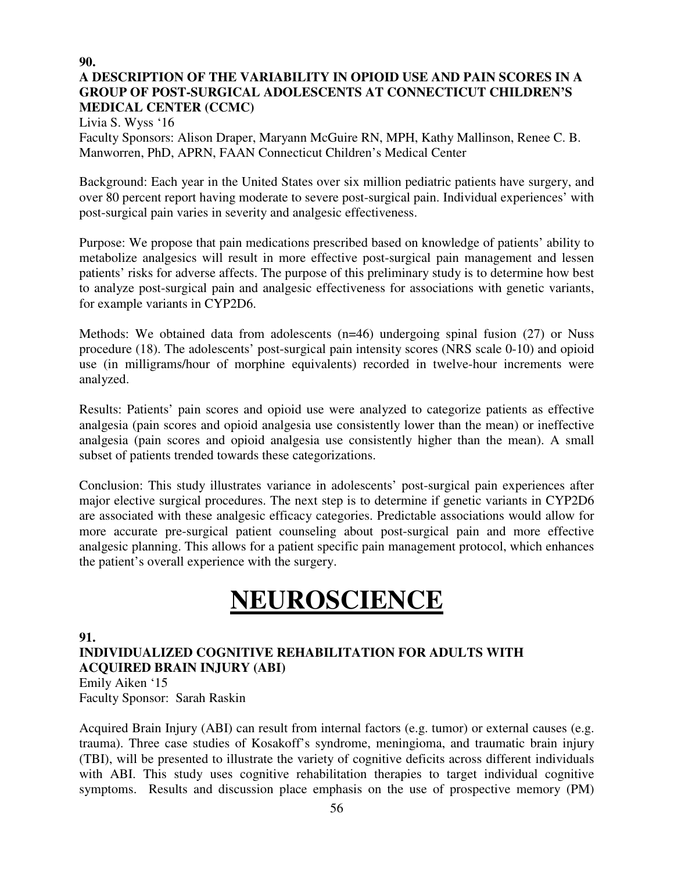#### **90. A DESCRIPTION OF THE VARIABILITY IN OPIOID USE AND PAIN SCORES IN A GROUP OF POST-SURGICAL ADOLESCENTS AT CONNECTICUT CHILDREN'S MEDICAL CENTER (CCMC)**

Livia S. Wyss '16

Faculty Sponsors: Alison Draper, Maryann McGuire RN, MPH, Kathy Mallinson, Renee C. B. Manworren, PhD, APRN, FAAN Connecticut Children's Medical Center

Background: Each year in the United States over six million pediatric patients have surgery, and over 80 percent report having moderate to severe post-surgical pain. Individual experiences' with post-surgical pain varies in severity and analgesic effectiveness.

Purpose: We propose that pain medications prescribed based on knowledge of patients' ability to metabolize analgesics will result in more effective post-surgical pain management and lessen patients' risks for adverse affects. The purpose of this preliminary study is to determine how best to analyze post-surgical pain and analgesic effectiveness for associations with genetic variants, for example variants in CYP2D6.

Methods: We obtained data from adolescents (n=46) undergoing spinal fusion (27) or Nuss procedure (18). The adolescents' post-surgical pain intensity scores (NRS scale 0-10) and opioid use (in milligrams/hour of morphine equivalents) recorded in twelve-hour increments were analyzed.

Results: Patients' pain scores and opioid use were analyzed to categorize patients as effective analgesia (pain scores and opioid analgesia use consistently lower than the mean) or ineffective analgesia (pain scores and opioid analgesia use consistently higher than the mean). A small subset of patients trended towards these categorizations.

Conclusion: This study illustrates variance in adolescents' post-surgical pain experiences after major elective surgical procedures. The next step is to determine if genetic variants in CYP2D6 are associated with these analgesic efficacy categories. Predictable associations would allow for more accurate pre-surgical patient counseling about post-surgical pain and more effective analgesic planning. This allows for a patient specific pain management protocol, which enhances the patient's overall experience with the surgery.

# **NEUROSCIENCE**

**91.** 

### **INDIVIDUALIZED COGNITIVE REHABILITATION FOR ADULTS WITH ACQUIRED BRAIN INJURY (ABI)**

Emily Aiken '15 Faculty Sponsor: Sarah Raskin

Acquired Brain Injury (ABI) can result from internal factors (e.g. tumor) or external causes (e.g. trauma). Three case studies of Kosakoff's syndrome, meningioma, and traumatic brain injury (TBI), will be presented to illustrate the variety of cognitive deficits across different individuals with ABI. This study uses cognitive rehabilitation therapies to target individual cognitive symptoms. Results and discussion place emphasis on the use of prospective memory (PM)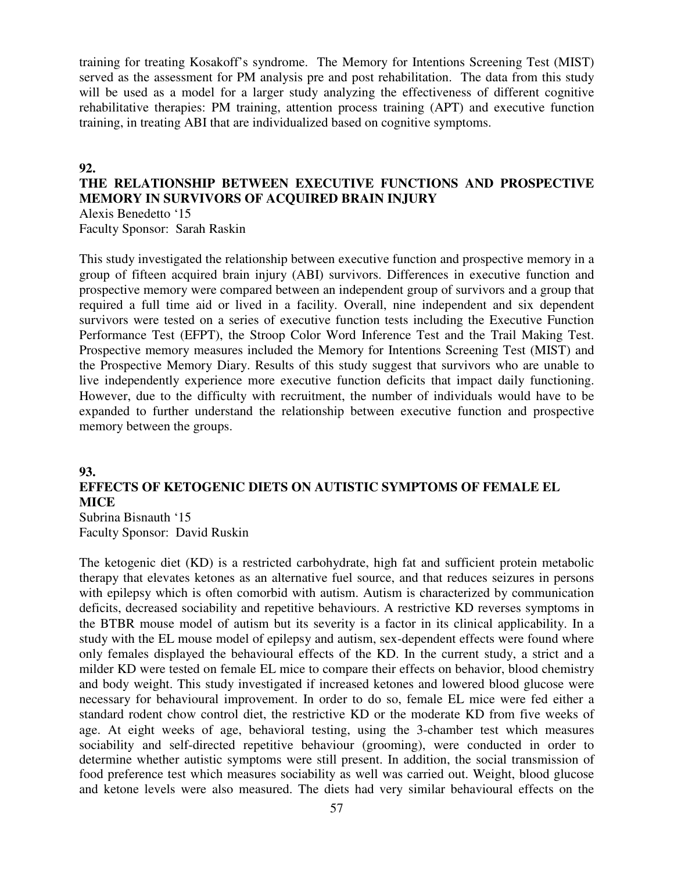training for treating Kosakoff's syndrome. The Memory for Intentions Screening Test (MIST) served as the assessment for PM analysis pre and post rehabilitation. The data from this study will be used as a model for a larger study analyzing the effectiveness of different cognitive rehabilitative therapies: PM training, attention process training (APT) and executive function training, in treating ABI that are individualized based on cognitive symptoms.

#### **92.**

#### **THE RELATIONSHIP BETWEEN EXECUTIVE FUNCTIONS AND PROSPECTIVE MEMORY IN SURVIVORS OF ACQUIRED BRAIN INJURY**

Alexis Benedetto '15 Faculty Sponsor: Sarah Raskin

This study investigated the relationship between executive function and prospective memory in a group of fifteen acquired brain injury (ABI) survivors. Differences in executive function and prospective memory were compared between an independent group of survivors and a group that required a full time aid or lived in a facility. Overall, nine independent and six dependent survivors were tested on a series of executive function tests including the Executive Function Performance Test (EFPT), the Stroop Color Word Inference Test and the Trail Making Test. Prospective memory measures included the Memory for Intentions Screening Test (MIST) and the Prospective Memory Diary. Results of this study suggest that survivors who are unable to live independently experience more executive function deficits that impact daily functioning. However, due to the difficulty with recruitment, the number of individuals would have to be expanded to further understand the relationship between executive function and prospective memory between the groups.

#### **93.**

### **EFFECTS OF KETOGENIC DIETS ON AUTISTIC SYMPTOMS OF FEMALE EL MICE**

Subrina Bisnauth '15 Faculty Sponsor: David Ruskin

The ketogenic diet (KD) is a restricted carbohydrate, high fat and sufficient protein metabolic therapy that elevates ketones as an alternative fuel source, and that reduces seizures in persons with epilepsy which is often comorbid with autism. Autism is characterized by communication deficits, decreased sociability and repetitive behaviours. A restrictive KD reverses symptoms in the BTBR mouse model of autism but its severity is a factor in its clinical applicability. In a study with the EL mouse model of epilepsy and autism, sex-dependent effects were found where only females displayed the behavioural effects of the KD. In the current study, a strict and a milder KD were tested on female EL mice to compare their effects on behavior, blood chemistry and body weight. This study investigated if increased ketones and lowered blood glucose were necessary for behavioural improvement. In order to do so, female EL mice were fed either a standard rodent chow control diet, the restrictive KD or the moderate KD from five weeks of age. At eight weeks of age, behavioral testing, using the 3-chamber test which measures sociability and self-directed repetitive behaviour (grooming), were conducted in order to determine whether autistic symptoms were still present. In addition, the social transmission of food preference test which measures sociability as well was carried out. Weight, blood glucose and ketone levels were also measured. The diets had very similar behavioural effects on the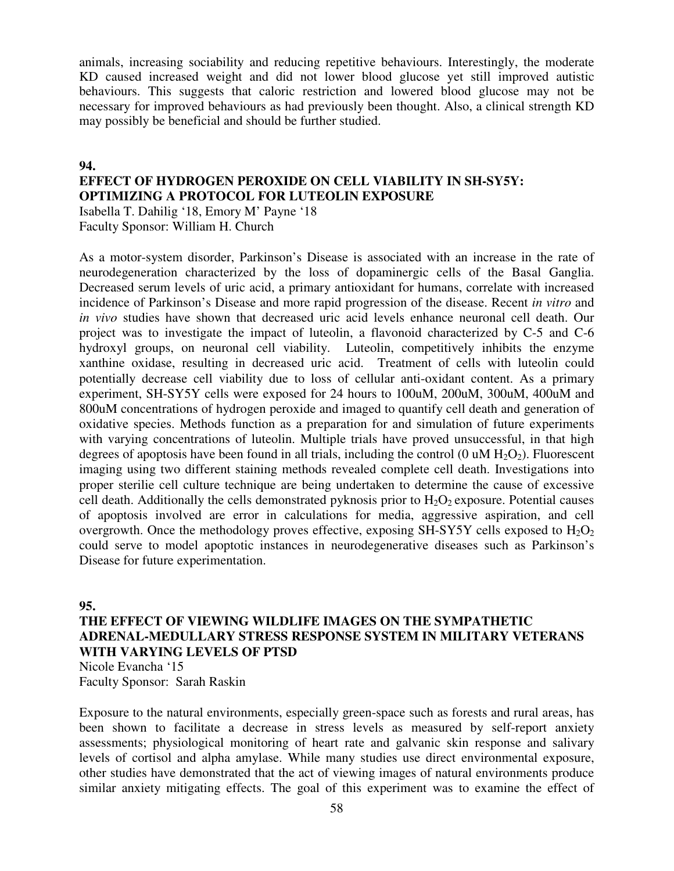animals, increasing sociability and reducing repetitive behaviours. Interestingly, the moderate KD caused increased weight and did not lower blood glucose yet still improved autistic behaviours. This suggests that caloric restriction and lowered blood glucose may not be necessary for improved behaviours as had previously been thought. Also, a clinical strength KD may possibly be beneficial and should be further studied.

#### **94.**

#### **EFFECT OF HYDROGEN PEROXIDE ON CELL VIABILITY IN SH-SY5Y: OPTIMIZING A PROTOCOL FOR LUTEOLIN EXPOSURE**

Isabella T. Dahilig '18, Emory M' Payne '18 Faculty Sponsor: William H. Church

As a motor-system disorder, Parkinson's Disease is associated with an increase in the rate of neurodegeneration characterized by the loss of dopaminergic cells of the Basal Ganglia. Decreased serum levels of uric acid, a primary antioxidant for humans, correlate with increased incidence of Parkinson's Disease and more rapid progression of the disease. Recent *in vitro* and *in vivo* studies have shown that decreased uric acid levels enhance neuronal cell death. Our project was to investigate the impact of luteolin, a flavonoid characterized by C-5 and C-6 hydroxyl groups, on neuronal cell viability. Luteolin, competitively inhibits the enzyme xanthine oxidase, resulting in decreased uric acid. Treatment of cells with luteolin could potentially decrease cell viability due to loss of cellular anti-oxidant content. As a primary experiment, SH-SY5Y cells were exposed for 24 hours to 100uM, 200uM, 300uM, 400uM and 800uM concentrations of hydrogen peroxide and imaged to quantify cell death and generation of oxidative species. Methods function as a preparation for and simulation of future experiments with varying concentrations of luteolin. Multiple trials have proved unsuccessful, in that high degrees of apoptosis have been found in all trials, including the control  $(0 \text{ uM H}_2O_2)$ . Fluorescent imaging using two different staining methods revealed complete cell death. Investigations into proper sterilie cell culture technique are being undertaken to determine the cause of excessive cell death. Additionally the cells demonstrated pyknosis prior to  $H_2O_2$  exposure. Potential causes of apoptosis involved are error in calculations for media, aggressive aspiration, and cell overgrowth. Once the methodology proves effective, exposing SH-SY5Y cells exposed to  $H_2O_2$ could serve to model apoptotic instances in neurodegenerative diseases such as Parkinson's Disease for future experimentation.

#### **95.**

### **THE EFFECT OF VIEWING WILDLIFE IMAGES ON THE SYMPATHETIC ADRENAL-MEDULLARY STRESS RESPONSE SYSTEM IN MILITARY VETERANS WITH VARYING LEVELS OF PTSD**

Nicole Evancha '15 Faculty Sponsor: Sarah Raskin

Exposure to the natural environments, especially green-space such as forests and rural areas, has been shown to facilitate a decrease in stress levels as measured by self-report anxiety assessments; physiological monitoring of heart rate and galvanic skin response and salivary levels of cortisol and alpha amylase. While many studies use direct environmental exposure, other studies have demonstrated that the act of viewing images of natural environments produce similar anxiety mitigating effects. The goal of this experiment was to examine the effect of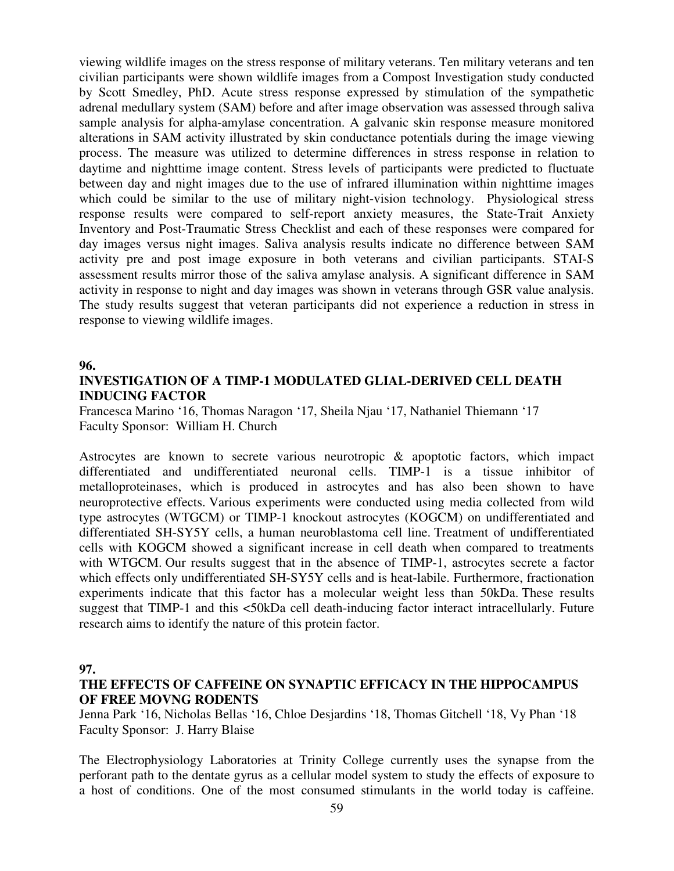viewing wildlife images on the stress response of military veterans. Ten military veterans and ten civilian participants were shown wildlife images from a Compost Investigation study conducted by Scott Smedley, PhD. Acute stress response expressed by stimulation of the sympathetic adrenal medullary system (SAM) before and after image observation was assessed through saliva sample analysis for alpha-amylase concentration. A galvanic skin response measure monitored alterations in SAM activity illustrated by skin conductance potentials during the image viewing process. The measure was utilized to determine differences in stress response in relation to daytime and nighttime image content. Stress levels of participants were predicted to fluctuate between day and night images due to the use of infrared illumination within nighttime images which could be similar to the use of military night-vision technology. Physiological stress response results were compared to self-report anxiety measures, the State-Trait Anxiety Inventory and Post-Traumatic Stress Checklist and each of these responses were compared for day images versus night images. Saliva analysis results indicate no difference between SAM activity pre and post image exposure in both veterans and civilian participants. STAI-S assessment results mirror those of the saliva amylase analysis. A significant difference in SAM activity in response to night and day images was shown in veterans through GSR value analysis. The study results suggest that veteran participants did not experience a reduction in stress in response to viewing wildlife images.

#### **96.**

#### **INVESTIGATION OF A TIMP-1 MODULATED GLIAL-DERIVED CELL DEATH INDUCING FACTOR**

Francesca Marino '16, Thomas Naragon '17, Sheila Njau '17, Nathaniel Thiemann '17 Faculty Sponsor: William H. Church

Astrocytes are known to secrete various neurotropic & apoptotic factors, which impact differentiated and undifferentiated neuronal cells. TIMP-1 is a tissue inhibitor of metalloproteinases, which is produced in astrocytes and has also been shown to have neuroprotective effects. Various experiments were conducted using media collected from wild type astrocytes (WTGCM) or TIMP-1 knockout astrocytes (KOGCM) on undifferentiated and differentiated SH-SY5Y cells, a human neuroblastoma cell line. Treatment of undifferentiated cells with KOGCM showed a significant increase in cell death when compared to treatments with WTGCM. Our results suggest that in the absence of TIMP-1, astrocytes secrete a factor which effects only undifferentiated SH-SY5Y cells and is heat-labile. Furthermore, fractionation experiments indicate that this factor has a molecular weight less than 50kDa. These results suggest that TIMP-1 and this <50kDa cell death-inducing factor interact intracellularly. Future research aims to identify the nature of this protein factor.

#### **97.**

#### **THE EFFECTS OF CAFFEINE ON SYNAPTIC EFFICACY IN THE HIPPOCAMPUS OF FREE MOVNG RODENTS**

Jenna Park '16, Nicholas Bellas '16, Chloe Desjardins '18, Thomas Gitchell '18, Vy Phan '18 Faculty Sponsor: J. Harry Blaise

The Electrophysiology Laboratories at Trinity College currently uses the synapse from the perforant path to the dentate gyrus as a cellular model system to study the effects of exposure to a host of conditions. One of the most consumed stimulants in the world today is caffeine.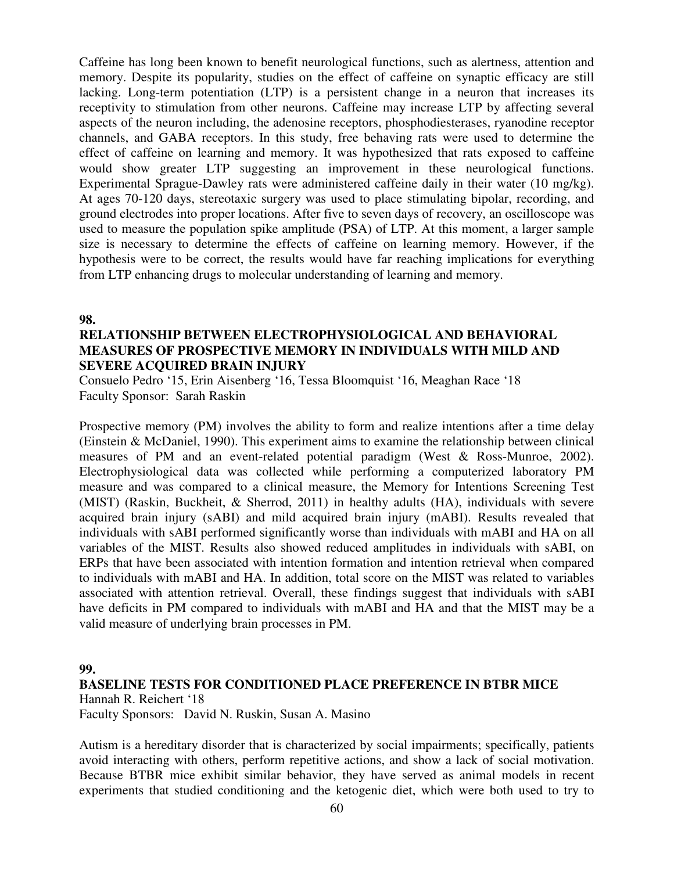Caffeine has long been known to benefit neurological functions, such as alertness, attention and memory. Despite its popularity, studies on the effect of caffeine on synaptic efficacy are still lacking. Long-term potentiation (LTP) is a persistent change in a neuron that increases its receptivity to stimulation from other neurons. Caffeine may increase LTP by affecting several aspects of the neuron including, the adenosine receptors, phosphodiesterases, ryanodine receptor channels, and GABA receptors. In this study, free behaving rats were used to determine the effect of caffeine on learning and memory. It was hypothesized that rats exposed to caffeine would show greater LTP suggesting an improvement in these neurological functions. Experimental Sprague-Dawley rats were administered caffeine daily in their water (10 mg/kg). At ages 70-120 days, stereotaxic surgery was used to place stimulating bipolar, recording, and ground electrodes into proper locations. After five to seven days of recovery, an oscilloscope was used to measure the population spike amplitude (PSA) of LTP. At this moment, a larger sample size is necessary to determine the effects of caffeine on learning memory. However, if the hypothesis were to be correct, the results would have far reaching implications for everything from LTP enhancing drugs to molecular understanding of learning and memory.

#### **98.**

#### **RELATIONSHIP BETWEEN ELECTROPHYSIOLOGICAL AND BEHAVIORAL MEASURES OF PROSPECTIVE MEMORY IN INDIVIDUALS WITH MILD AND SEVERE ACQUIRED BRAIN INJURY**

Consuelo Pedro '15, Erin Aisenberg '16, Tessa Bloomquist '16, Meaghan Race '18 Faculty Sponsor: Sarah Raskin

Prospective memory (PM) involves the ability to form and realize intentions after a time delay (Einstein & McDaniel, 1990). This experiment aims to examine the relationship between clinical measures of PM and an event-related potential paradigm (West & Ross-Munroe, 2002). Electrophysiological data was collected while performing a computerized laboratory PM measure and was compared to a clinical measure, the Memory for Intentions Screening Test (MIST) (Raskin, Buckheit, & Sherrod, 2011) in healthy adults (HA), individuals with severe acquired brain injury (sABI) and mild acquired brain injury (mABI). Results revealed that individuals with sABI performed significantly worse than individuals with mABI and HA on all variables of the MIST. Results also showed reduced amplitudes in individuals with sABI, on ERPs that have been associated with intention formation and intention retrieval when compared to individuals with mABI and HA. In addition, total score on the MIST was related to variables associated with attention retrieval. Overall, these findings suggest that individuals with sABI have deficits in PM compared to individuals with mABI and HA and that the MIST may be a valid measure of underlying brain processes in PM.

#### **99.**

#### **BASELINE TESTS FOR CONDITIONED PLACE PREFERENCE IN BTBR MICE**

Hannah R. Reichert '18

Faculty Sponsors: David N. Ruskin, Susan A. Masino

Autism is a hereditary disorder that is characterized by social impairments; specifically, patients avoid interacting with others, perform repetitive actions, and show a lack of social motivation. Because BTBR mice exhibit similar behavior, they have served as animal models in recent experiments that studied conditioning and the ketogenic diet, which were both used to try to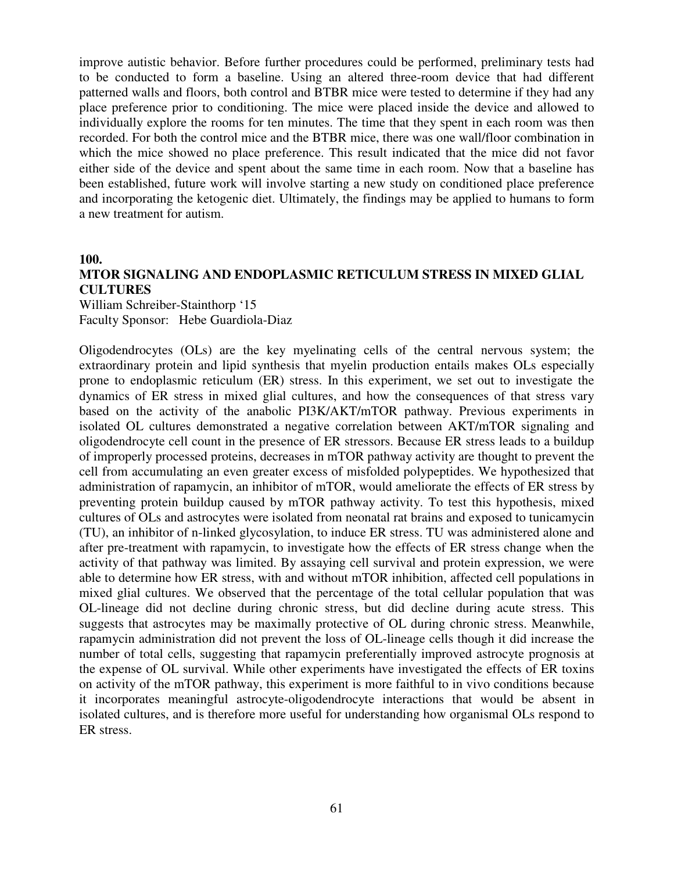improve autistic behavior. Before further procedures could be performed, preliminary tests had to be conducted to form a baseline. Using an altered three-room device that had different patterned walls and floors, both control and BTBR mice were tested to determine if they had any place preference prior to conditioning. The mice were placed inside the device and allowed to individually explore the rooms for ten minutes. The time that they spent in each room was then recorded. For both the control mice and the BTBR mice, there was one wall/floor combination in which the mice showed no place preference. This result indicated that the mice did not favor either side of the device and spent about the same time in each room. Now that a baseline has been established, future work will involve starting a new study on conditioned place preference and incorporating the ketogenic diet. Ultimately, the findings may be applied to humans to form a new treatment for autism.

#### **100.**

#### **MTOR SIGNALING AND ENDOPLASMIC RETICULUM STRESS IN MIXED GLIAL CULTURES**

William Schreiber-Stainthorp '15 Faculty Sponsor: Hebe Guardiola-Diaz

Oligodendrocytes (OLs) are the key myelinating cells of the central nervous system; the extraordinary protein and lipid synthesis that myelin production entails makes OLs especially prone to endoplasmic reticulum (ER) stress. In this experiment, we set out to investigate the dynamics of ER stress in mixed glial cultures, and how the consequences of that stress vary based on the activity of the anabolic PI3K/AKT/mTOR pathway. Previous experiments in isolated OL cultures demonstrated a negative correlation between AKT/mTOR signaling and oligodendrocyte cell count in the presence of ER stressors. Because ER stress leads to a buildup of improperly processed proteins, decreases in mTOR pathway activity are thought to prevent the cell from accumulating an even greater excess of misfolded polypeptides. We hypothesized that administration of rapamycin, an inhibitor of mTOR, would ameliorate the effects of ER stress by preventing protein buildup caused by mTOR pathway activity. To test this hypothesis, mixed cultures of OLs and astrocytes were isolated from neonatal rat brains and exposed to tunicamycin (TU), an inhibitor of n-linked glycosylation, to induce ER stress. TU was administered alone and after pre-treatment with rapamycin, to investigate how the effects of ER stress change when the activity of that pathway was limited. By assaying cell survival and protein expression, we were able to determine how ER stress, with and without mTOR inhibition, affected cell populations in mixed glial cultures. We observed that the percentage of the total cellular population that was OL-lineage did not decline during chronic stress, but did decline during acute stress. This suggests that astrocytes may be maximally protective of OL during chronic stress. Meanwhile, rapamycin administration did not prevent the loss of OL-lineage cells though it did increase the number of total cells, suggesting that rapamycin preferentially improved astrocyte prognosis at the expense of OL survival. While other experiments have investigated the effects of ER toxins on activity of the mTOR pathway, this experiment is more faithful to in vivo conditions because it incorporates meaningful astrocyte-oligodendrocyte interactions that would be absent in isolated cultures, and is therefore more useful for understanding how organismal OLs respond to ER stress.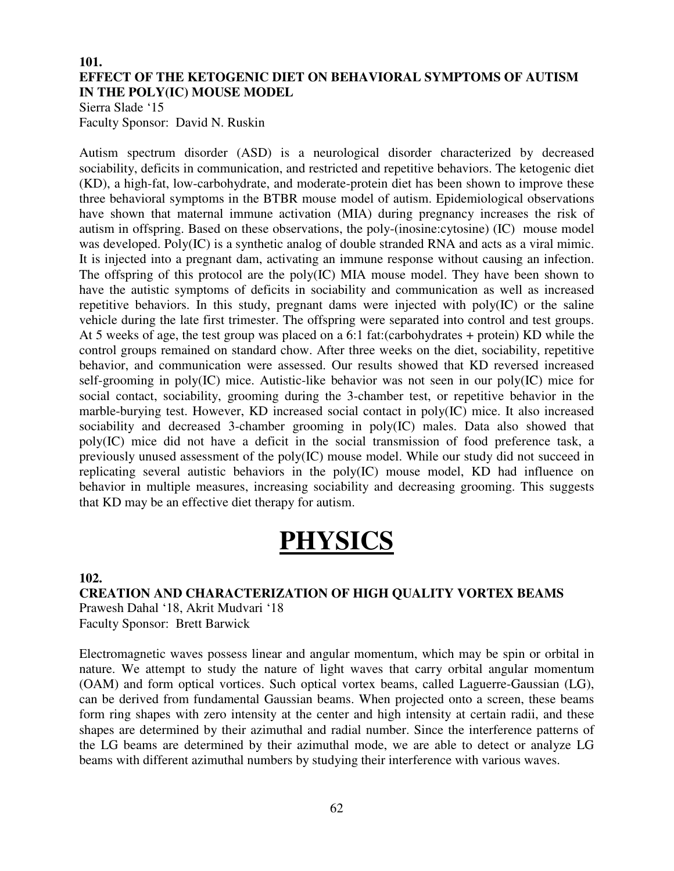#### **101. EFFECT OF THE KETOGENIC DIET ON BEHAVIORAL SYMPTOMS OF AUTISM IN THE POLY(IC) MOUSE MODEL**

Sierra Slade '15 Faculty Sponsor: David N. Ruskin

Autism spectrum disorder (ASD) is a neurological disorder characterized by decreased sociability, deficits in communication, and restricted and repetitive behaviors. The ketogenic diet (KD), a high-fat, low-carbohydrate, and moderate-protein diet has been shown to improve these three behavioral symptoms in the BTBR mouse model of autism. Epidemiological observations have shown that maternal immune activation (MIA) during pregnancy increases the risk of autism in offspring. Based on these observations, the poly-(inosine:cytosine) (IC) mouse model was developed. Poly(IC) is a synthetic analog of double stranded RNA and acts as a viral mimic. It is injected into a pregnant dam, activating an immune response without causing an infection. The offspring of this protocol are the poly(IC) MIA mouse model. They have been shown to have the autistic symptoms of deficits in sociability and communication as well as increased repetitive behaviors. In this study, pregnant dams were injected with poly(IC) or the saline vehicle during the late first trimester. The offspring were separated into control and test groups. At 5 weeks of age, the test group was placed on a 6:1 fat:(carbohydrates + protein) KD while the control groups remained on standard chow. After three weeks on the diet, sociability, repetitive behavior, and communication were assessed. Our results showed that KD reversed increased self-grooming in poly(IC) mice. Autistic-like behavior was not seen in our poly(IC) mice for social contact, sociability, grooming during the 3-chamber test, or repetitive behavior in the marble-burying test. However, KD increased social contact in poly(IC) mice. It also increased sociability and decreased 3-chamber grooming in poly(IC) males. Data also showed that poly(IC) mice did not have a deficit in the social transmission of food preference task, a previously unused assessment of the poly(IC) mouse model. While our study did not succeed in replicating several autistic behaviors in the poly(IC) mouse model, KD had influence on behavior in multiple measures, increasing sociability and decreasing grooming. This suggests that KD may be an effective diet therapy for autism.

# **PHYSICS**

**102.** 

#### **CREATION AND CHARACTERIZATION OF HIGH QUALITY VORTEX BEAMS**

Prawesh Dahal '18, Akrit Mudvari '18 Faculty Sponsor: Brett Barwick

Electromagnetic waves possess linear and angular momentum, which may be spin or orbital in nature. We attempt to study the nature of light waves that carry orbital angular momentum (OAM) and form optical vortices. Such optical vortex beams, called Laguerre-Gaussian (LG), can be derived from fundamental Gaussian beams. When projected onto a screen, these beams form ring shapes with zero intensity at the center and high intensity at certain radii, and these shapes are determined by their azimuthal and radial number. Since the interference patterns of the LG beams are determined by their azimuthal mode, we are able to detect or analyze LG beams with different azimuthal numbers by studying their interference with various waves.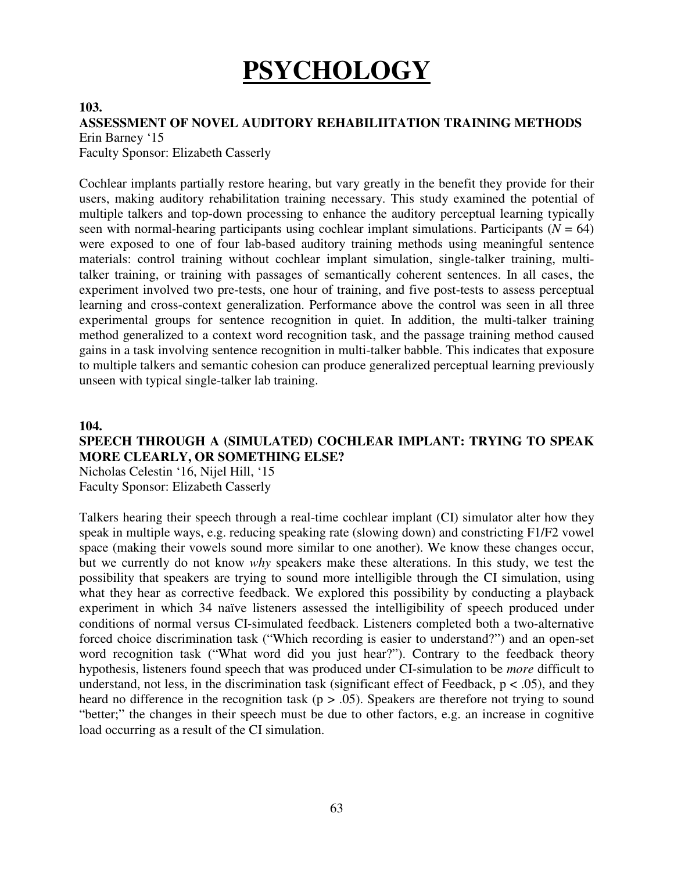# **PSYCHOLOGY**

#### **103.**

#### **ASSESSMENT OF NOVEL AUDITORY REHABILIITATION TRAINING METHODS**  Erin Barney '15

Faculty Sponsor: Elizabeth Casserly

Cochlear implants partially restore hearing, but vary greatly in the benefit they provide for their users, making auditory rehabilitation training necessary. This study examined the potential of multiple talkers and top-down processing to enhance the auditory perceptual learning typically seen with normal-hearing participants using cochlear implant simulations. Participants  $(N = 64)$ were exposed to one of four lab-based auditory training methods using meaningful sentence materials: control training without cochlear implant simulation, single-talker training, multitalker training, or training with passages of semantically coherent sentences. In all cases, the experiment involved two pre-tests, one hour of training, and five post-tests to assess perceptual learning and cross-context generalization. Performance above the control was seen in all three experimental groups for sentence recognition in quiet. In addition, the multi-talker training method generalized to a context word recognition task, and the passage training method caused gains in a task involving sentence recognition in multi-talker babble. This indicates that exposure to multiple talkers and semantic cohesion can produce generalized perceptual learning previously unseen with typical single-talker lab training.

#### **104.**

### **SPEECH THROUGH A (SIMULATED) COCHLEAR IMPLANT: TRYING TO SPEAK MORE CLEARLY, OR SOMETHING ELSE?**

Nicholas Celestin '16, Nijel Hill, '15 Faculty Sponsor: Elizabeth Casserly

Talkers hearing their speech through a real-time cochlear implant (CI) simulator alter how they speak in multiple ways, e.g. reducing speaking rate (slowing down) and constricting F1/F2 vowel space (making their vowels sound more similar to one another). We know these changes occur, but we currently do not know *why* speakers make these alterations. In this study, we test the possibility that speakers are trying to sound more intelligible through the CI simulation, using what they hear as corrective feedback. We explored this possibility by conducting a playback experiment in which 34 naïve listeners assessed the intelligibility of speech produced under conditions of normal versus CI-simulated feedback. Listeners completed both a two-alternative forced choice discrimination task ("Which recording is easier to understand?") and an open-set word recognition task ("What word did you just hear?"). Contrary to the feedback theory hypothesis, listeners found speech that was produced under CI-simulation to be *more* difficult to understand, not less, in the discrimination task (significant effect of Feedback,  $p < .05$ ), and they heard no difference in the recognition task ( $p > .05$ ). Speakers are therefore not trying to sound "better;" the changes in their speech must be due to other factors, e.g. an increase in cognitive load occurring as a result of the CI simulation.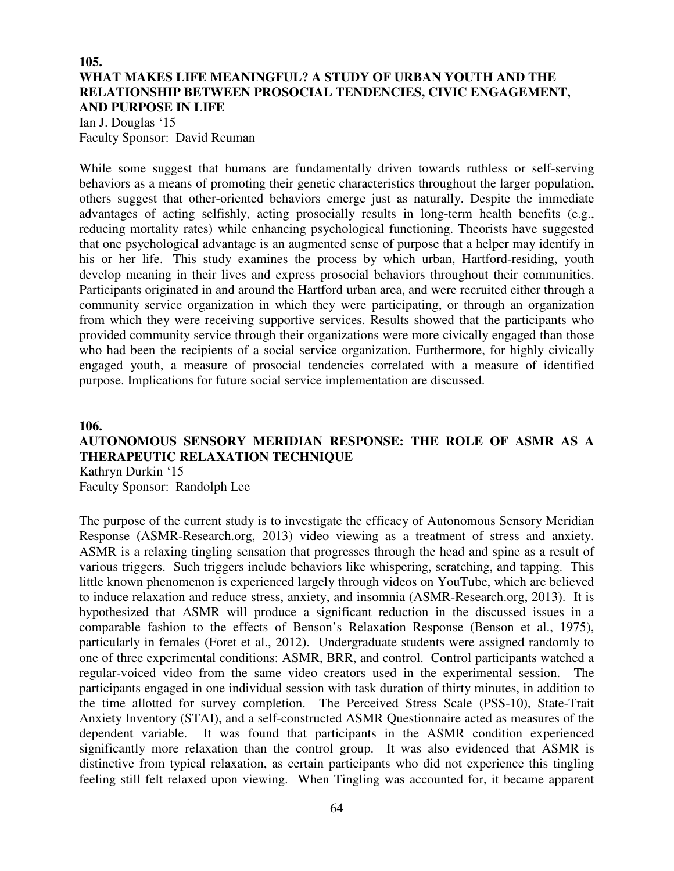#### **105. WHAT MAKES LIFE MEANINGFUL? A STUDY OF URBAN YOUTH AND THE RELATIONSHIP BETWEEN PROSOCIAL TENDENCIES, CIVIC ENGAGEMENT, AND PURPOSE IN LIFE**

Ian J. Douglas '15 Faculty Sponsor: David Reuman

While some suggest that humans are fundamentally driven towards ruthless or self-serving behaviors as a means of promoting their genetic characteristics throughout the larger population, others suggest that other-oriented behaviors emerge just as naturally. Despite the immediate advantages of acting selfishly, acting prosocially results in long-term health benefits (e.g., reducing mortality rates) while enhancing psychological functioning. Theorists have suggested that one psychological advantage is an augmented sense of purpose that a helper may identify in his or her life. This study examines the process by which urban, Hartford-residing, youth develop meaning in their lives and express prosocial behaviors throughout their communities. Participants originated in and around the Hartford urban area, and were recruited either through a community service organization in which they were participating, or through an organization from which they were receiving supportive services. Results showed that the participants who provided community service through their organizations were more civically engaged than those who had been the recipients of a social service organization. Furthermore, for highly civically engaged youth, a measure of prosocial tendencies correlated with a measure of identified purpose. Implications for future social service implementation are discussed.

#### **106.**

#### **AUTONOMOUS SENSORY MERIDIAN RESPONSE: THE ROLE OF ASMR AS A THERAPEUTIC RELAXATION TECHNIQUE**

Kathryn Durkin '15 Faculty Sponsor: Randolph Lee

The purpose of the current study is to investigate the efficacy of Autonomous Sensory Meridian Response (ASMR-Research.org, 2013) video viewing as a treatment of stress and anxiety. ASMR is a relaxing tingling sensation that progresses through the head and spine as a result of various triggers. Such triggers include behaviors like whispering, scratching, and tapping. This little known phenomenon is experienced largely through videos on YouTube, which are believed to induce relaxation and reduce stress, anxiety, and insomnia (ASMR-Research.org, 2013). It is hypothesized that ASMR will produce a significant reduction in the discussed issues in a comparable fashion to the effects of Benson's Relaxation Response (Benson et al., 1975), particularly in females (Foret et al., 2012). Undergraduate students were assigned randomly to one of three experimental conditions: ASMR, BRR, and control. Control participants watched a regular-voiced video from the same video creators used in the experimental session. The participants engaged in one individual session with task duration of thirty minutes, in addition to the time allotted for survey completion. The Perceived Stress Scale (PSS-10), State-Trait Anxiety Inventory (STAI), and a self-constructed ASMR Questionnaire acted as measures of the dependent variable. It was found that participants in the ASMR condition experienced significantly more relaxation than the control group. It was also evidenced that ASMR is distinctive from typical relaxation, as certain participants who did not experience this tingling feeling still felt relaxed upon viewing. When Tingling was accounted for, it became apparent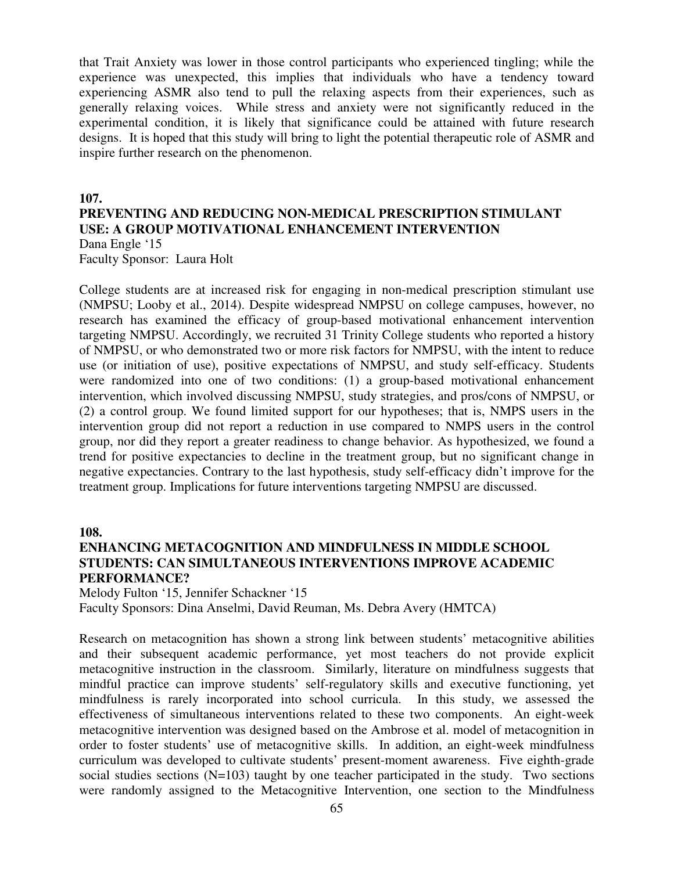that Trait Anxiety was lower in those control participants who experienced tingling; while the experience was unexpected, this implies that individuals who have a tendency toward experiencing ASMR also tend to pull the relaxing aspects from their experiences, such as generally relaxing voices. While stress and anxiety were not significantly reduced in the experimental condition, it is likely that significance could be attained with future research designs. It is hoped that this study will bring to light the potential therapeutic role of ASMR and inspire further research on the phenomenon.

#### **107.**

#### **PREVENTING AND REDUCING NON-MEDICAL PRESCRIPTION STIMULANT USE: A GROUP MOTIVATIONAL ENHANCEMENT INTERVENTION**  Dana Engle '15 Faculty Sponsor: Laura Holt

College students are at increased risk for engaging in non-medical prescription stimulant use (NMPSU; Looby et al., 2014). Despite widespread NMPSU on college campuses, however, no research has examined the efficacy of group-based motivational enhancement intervention targeting NMPSU. Accordingly, we recruited 31 Trinity College students who reported a history of NMPSU, or who demonstrated two or more risk factors for NMPSU, with the intent to reduce use (or initiation of use), positive expectations of NMPSU, and study self-efficacy. Students were randomized into one of two conditions: (1) a group-based motivational enhancement intervention, which involved discussing NMPSU, study strategies, and pros/cons of NMPSU, or (2) a control group. We found limited support for our hypotheses; that is, NMPS users in the intervention group did not report a reduction in use compared to NMPS users in the control group, nor did they report a greater readiness to change behavior. As hypothesized, we found a trend for positive expectancies to decline in the treatment group, but no significant change in negative expectancies. Contrary to the last hypothesis, study self-efficacy didn't improve for the treatment group. Implications for future interventions targeting NMPSU are discussed.

#### **108.**

#### **ENHANCING METACOGNITION AND MINDFULNESS IN MIDDLE SCHOOL STUDENTS: CAN SIMULTANEOUS INTERVENTIONS IMPROVE ACADEMIC PERFORMANCE?**

Melody Fulton '15, Jennifer Schackner '15 Faculty Sponsors: Dina Anselmi, David Reuman, Ms. Debra Avery (HMTCA)

Research on metacognition has shown a strong link between students' metacognitive abilities and their subsequent academic performance, yet most teachers do not provide explicit metacognitive instruction in the classroom. Similarly, literature on mindfulness suggests that mindful practice can improve students' self-regulatory skills and executive functioning, yet mindfulness is rarely incorporated into school curricula. In this study, we assessed the effectiveness of simultaneous interventions related to these two components. An eight-week metacognitive intervention was designed based on the Ambrose et al. model of metacognition in order to foster students' use of metacognitive skills. In addition, an eight-week mindfulness curriculum was developed to cultivate students' present-moment awareness. Five eighth-grade social studies sections (N=103) taught by one teacher participated in the study. Two sections were randomly assigned to the Metacognitive Intervention, one section to the Mindfulness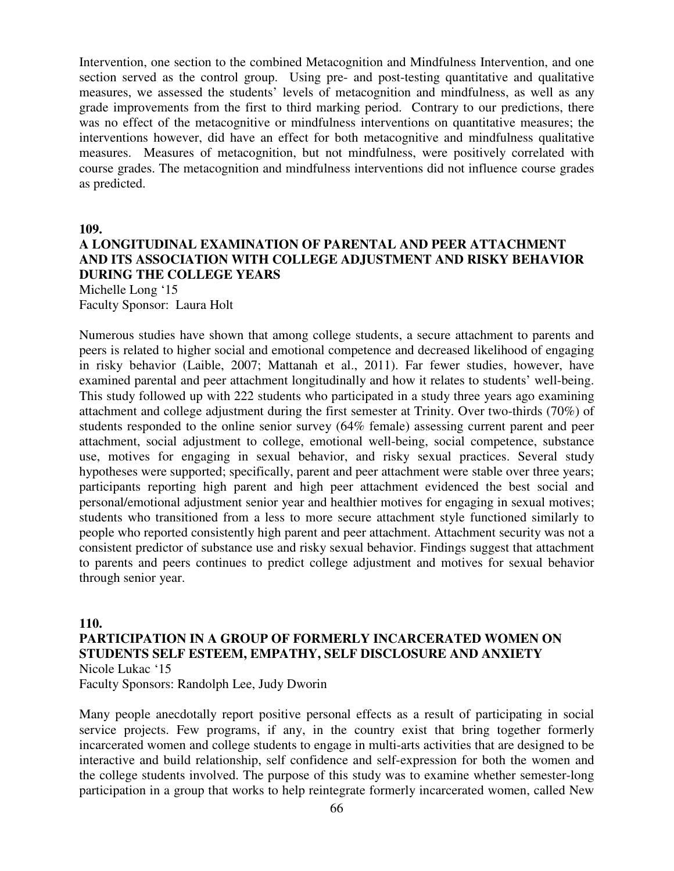Intervention, one section to the combined Metacognition and Mindfulness Intervention, and one section served as the control group. Using pre- and post-testing quantitative and qualitative measures, we assessed the students' levels of metacognition and mindfulness, as well as any grade improvements from the first to third marking period. Contrary to our predictions, there was no effect of the metacognitive or mindfulness interventions on quantitative measures; the interventions however, did have an effect for both metacognitive and mindfulness qualitative measures. Measures of metacognition, but not mindfulness, were positively correlated with course grades. The metacognition and mindfulness interventions did not influence course grades as predicted.

**109.** 

#### **A LONGITUDINAL EXAMINATION OF PARENTAL AND PEER ATTACHMENT AND ITS ASSOCIATION WITH COLLEGE ADJUSTMENT AND RISKY BEHAVIOR DURING THE COLLEGE YEARS**

Michelle Long '15

Faculty Sponsor: Laura Holt

Numerous studies have shown that among college students, a secure attachment to parents and peers is related to higher social and emotional competence and decreased likelihood of engaging in risky behavior (Laible, 2007; Mattanah et al., 2011). Far fewer studies, however, have examined parental and peer attachment longitudinally and how it relates to students' well-being. This study followed up with 222 students who participated in a study three years ago examining attachment and college adjustment during the first semester at Trinity. Over two-thirds (70%) of students responded to the online senior survey (64% female) assessing current parent and peer attachment, social adjustment to college, emotional well-being, social competence, substance use, motives for engaging in sexual behavior, and risky sexual practices. Several study hypotheses were supported; specifically, parent and peer attachment were stable over three years; participants reporting high parent and high peer attachment evidenced the best social and personal/emotional adjustment senior year and healthier motives for engaging in sexual motives; students who transitioned from a less to more secure attachment style functioned similarly to people who reported consistently high parent and peer attachment. Attachment security was not a consistent predictor of substance use and risky sexual behavior. Findings suggest that attachment to parents and peers continues to predict college adjustment and motives for sexual behavior through senior year.

#### **110. PARTICIPATION IN A GROUP OF FORMERLY INCARCERATED WOMEN ON STUDENTS SELF ESTEEM, EMPATHY, SELF DISCLOSURE AND ANXIETY**  Nicole Lukac '15

Faculty Sponsors: Randolph Lee, Judy Dworin

Many people anecdotally report positive personal effects as a result of participating in social service projects. Few programs, if any, in the country exist that bring together formerly incarcerated women and college students to engage in multi-arts activities that are designed to be interactive and build relationship, self confidence and self-expression for both the women and the college students involved. The purpose of this study was to examine whether semester-long participation in a group that works to help reintegrate formerly incarcerated women, called New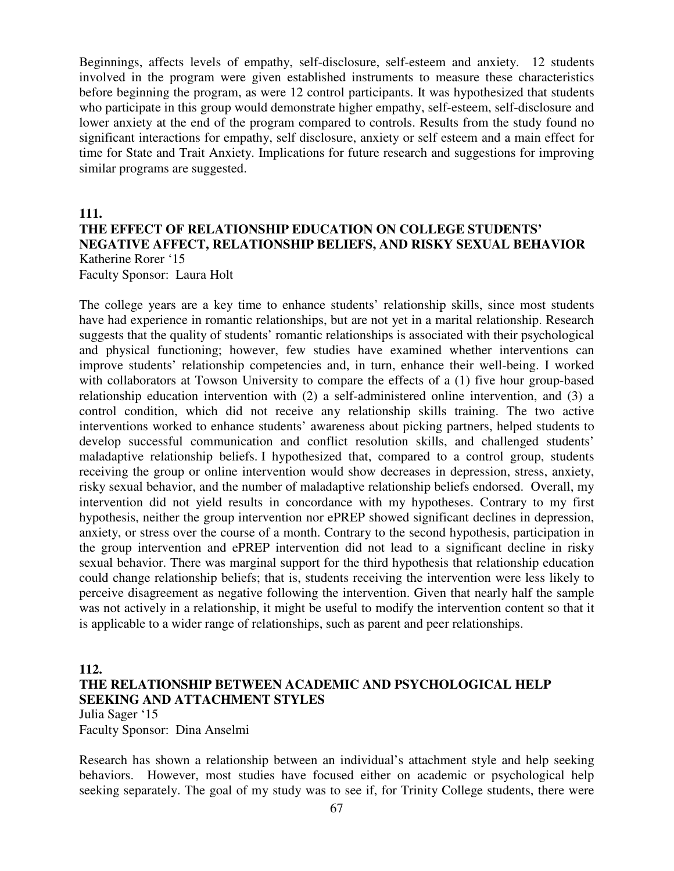Beginnings, affects levels of empathy, self-disclosure, self-esteem and anxiety. 12 students involved in the program were given established instruments to measure these characteristics before beginning the program, as were 12 control participants. It was hypothesized that students who participate in this group would demonstrate higher empathy, self-esteem, self-disclosure and lower anxiety at the end of the program compared to controls. Results from the study found no significant interactions for empathy, self disclosure, anxiety or self esteem and a main effect for time for State and Trait Anxiety. Implications for future research and suggestions for improving similar programs are suggested.

#### **111.**

#### **THE EFFECT OF RELATIONSHIP EDUCATION ON COLLEGE STUDENTS' NEGATIVE AFFECT, RELATIONSHIP BELIEFS, AND RISKY SEXUAL BEHAVIOR**  Katherine Rorer '15 Faculty Sponsor: Laura Holt

The college years are a key time to enhance students' relationship skills, since most students have had experience in romantic relationships, but are not yet in a marital relationship. Research suggests that the quality of students' romantic relationships is associated with their psychological and physical functioning; however, few studies have examined whether interventions can improve students' relationship competencies and, in turn, enhance their well-being. I worked with collaborators at Towson University to compare the effects of a (1) five hour group-based relationship education intervention with (2) a self-administered online intervention, and (3) a control condition, which did not receive any relationship skills training. The two active interventions worked to enhance students' awareness about picking partners, helped students to develop successful communication and conflict resolution skills, and challenged students' maladaptive relationship beliefs. I hypothesized that, compared to a control group, students receiving the group or online intervention would show decreases in depression, stress, anxiety, risky sexual behavior, and the number of maladaptive relationship beliefs endorsed. Overall, my intervention did not yield results in concordance with my hypotheses. Contrary to my first hypothesis, neither the group intervention nor ePREP showed significant declines in depression, anxiety, or stress over the course of a month. Contrary to the second hypothesis, participation in the group intervention and ePREP intervention did not lead to a significant decline in risky sexual behavior. There was marginal support for the third hypothesis that relationship education could change relationship beliefs; that is, students receiving the intervention were less likely to perceive disagreement as negative following the intervention. Given that nearly half the sample was not actively in a relationship, it might be useful to modify the intervention content so that it is applicable to a wider range of relationships, such as parent and peer relationships.

#### **112.**

#### **THE RELATIONSHIP BETWEEN ACADEMIC AND PSYCHOLOGICAL HELP SEEKING AND ATTACHMENT STYLES**

Julia Sager '15 Faculty Sponsor: Dina Anselmi

Research has shown a relationship between an individual's attachment style and help seeking behaviors. However, most studies have focused either on academic or psychological help seeking separately. The goal of my study was to see if, for Trinity College students, there were